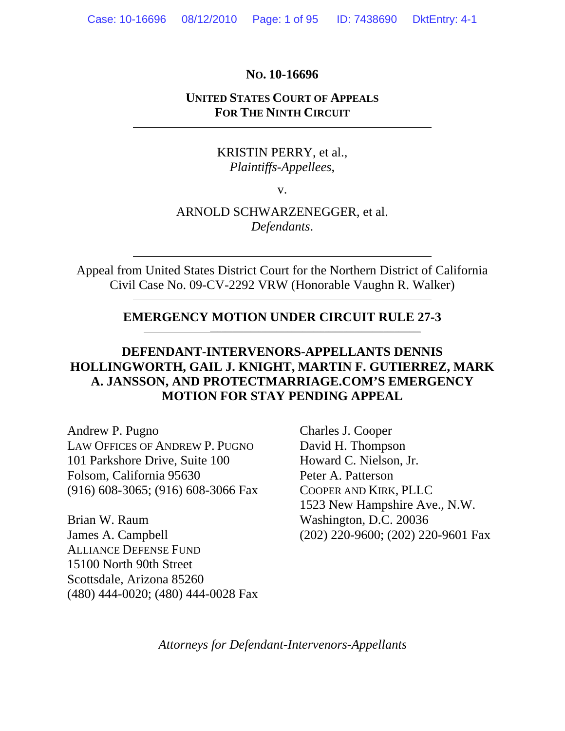#### **NO. 10-16696**

# **UNITED STATES COURT OF APPEALS FOR THE NINTH CIRCUIT**

# KRISTIN PERRY, et al., *Plaintiffs-Appellees*,

v.

# ARNOLD SCHWARZENEGGER, et al. *Defendants*.

Appeal from United States District Court for the Northern District of California Civil Case No. 09-CV-2292 VRW (Honorable Vaughn R. Walker)

# **EMERGENCY MOTION UNDER CIRCUIT RULE 27-3**

\_\_\_\_\_\_\_\_\_\_\_\_\_\_\_\_\_\_\_\_\_\_\_\_\_\_\_\_\_\_\_\_\_\_\_\_\_\_\_\_\_\_\_\_\_\_\_\_\_\_\_\_\_\_\_\_\_

# **DEFENDANT-INTERVENORS-APPELLANTS DENNIS HOLLINGWORTH, GAIL J. KNIGHT, MARTIN F. GUTIERREZ, MARK A. JANSSON, AND PROTECTMARRIAGE.COM'S EMERGENCY MOTION FOR STAY PENDING APPEAL**

Andrew P. Pugno LAW OFFICES OF ANDREW P. PUGNO 101 Parkshore Drive, Suite 100 Folsom, California 95630 (916) 608-3065; (916) 608-3066 Fax

Brian W. Raum James A. Campbell ALLIANCE DEFENSE FUND 15100 North 90th Street Scottsdale, Arizona 85260 (480) 444-0020; (480) 444-0028 Fax Charles J. Cooper David H. Thompson Howard C. Nielson, Jr. Peter A. Patterson COOPER AND KIRK, PLLC 1523 New Hampshire Ave., N.W. Washington, D.C. 20036 (202) 220-9600; (202) 220-9601 Fax

*Attorneys for Defendant-Intervenors-Appellants*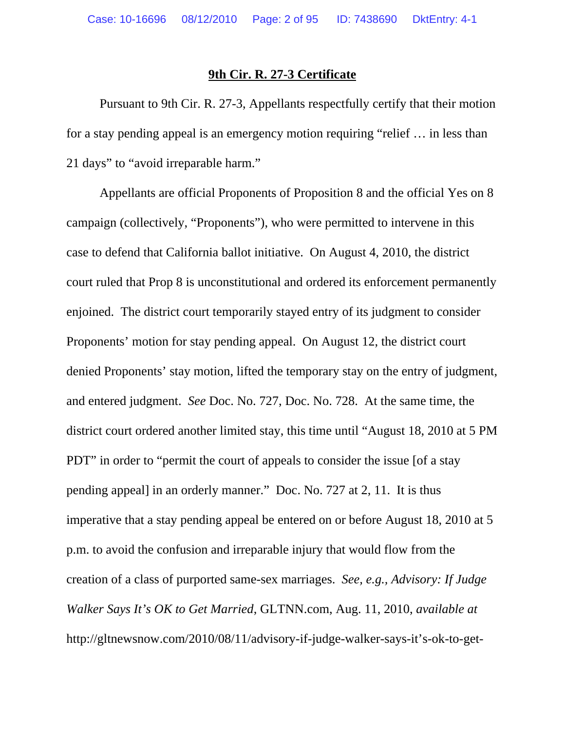#### **9th Cir. R. 27-3 Certificate**

 Pursuant to 9th Cir. R. 27-3, Appellants respectfully certify that their motion for a stay pending appeal is an emergency motion requiring "relief … in less than 21 days" to "avoid irreparable harm."

Appellants are official Proponents of Proposition 8 and the official Yes on 8 campaign (collectively, "Proponents"), who were permitted to intervene in this case to defend that California ballot initiative. On August 4, 2010, the district court ruled that Prop 8 is unconstitutional and ordered its enforcement permanently enjoined. The district court temporarily stayed entry of its judgment to consider Proponents' motion for stay pending appeal. On August 12, the district court denied Proponents' stay motion, lifted the temporary stay on the entry of judgment, and entered judgment. *See* Doc. No. 727, Doc. No. 728. At the same time, the district court ordered another limited stay, this time until "August 18, 2010 at 5 PM PDT" in order to "permit the court of appeals to consider the issue [of a stay pending appeal] in an orderly manner." Doc. No. 727 at 2, 11. It is thus imperative that a stay pending appeal be entered on or before August 18, 2010 at 5 p.m. to avoid the confusion and irreparable injury that would flow from the creation of a class of purported same-sex marriages. *See, e.g., Advisory: If Judge Walker Says It's OK to Get Married*, GLTNN.com, Aug. 11, 2010, *available at* http://gltnewsnow.com/2010/08/11/advisory-if-judge-walker-says-it's-ok-to-get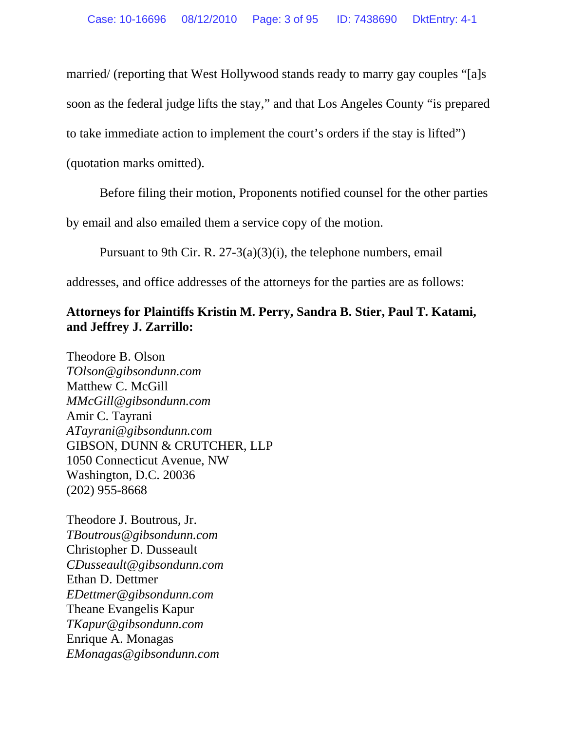married/ (reporting that West Hollywood stands ready to marry gay couples "[a]s

soon as the federal judge lifts the stay," and that Los Angeles County "is prepared

to take immediate action to implement the court's orders if the stay is lifted")

(quotation marks omitted).

Before filing their motion, Proponents notified counsel for the other parties

by email and also emailed them a service copy of the motion.

Pursuant to 9th Cir. R. 27-3(a)(3)(i), the telephone numbers, email

addresses, and office addresses of the attorneys for the parties are as follows:

# **Attorneys for Plaintiffs Kristin M. Perry, Sandra B. Stier, Paul T. Katami, and Jeffrey J. Zarrillo:**

Theodore B. Olson *TOlson@gibsondunn.com*  Matthew C. McGill *MMcGill@gibsondunn.com*  Amir C. Tayrani *ATayrani@gibsondunn.com*  GIBSON, DUNN & CRUTCHER, LLP 1050 Connecticut Avenue, NW Washington, D.C. 20036 (202) 955-8668

Theodore J. Boutrous, Jr. *TBoutrous@gibsondunn.com*  Christopher D. Dusseault *CDusseault@gibsondunn.com*  Ethan D. Dettmer *EDettmer@gibsondunn.com*  Theane Evangelis Kapur *TKapur@gibsondunn.com*  Enrique A. Monagas *EMonagas@gibsondunn.com*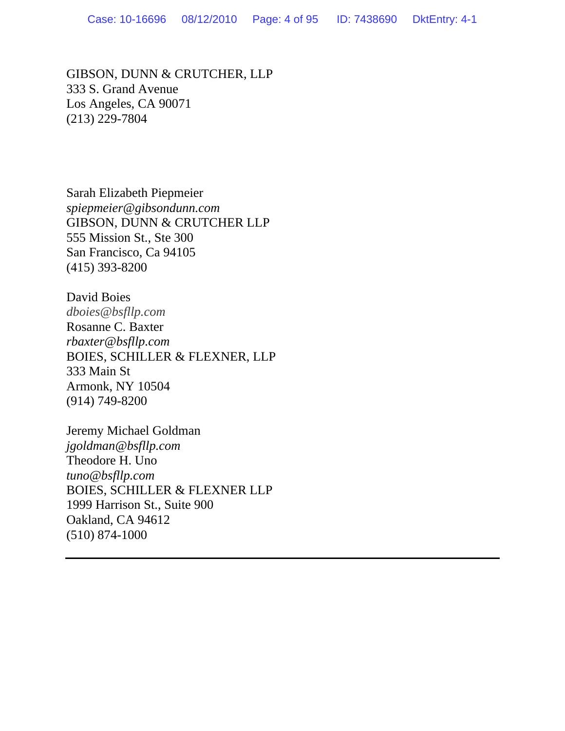GIBSON, DUNN & CRUTCHER, LLP 333 S. Grand Avenue Los Angeles, CA 90071 (213) 229-7804

Sarah Elizabeth Piepmeier *spiepmeier@gibsondunn.com*  GIBSON, DUNN & CRUTCHER LLP 555 Mission St., Ste 300 San Francisco, Ca 94105 (415) 393-8200

David Boies *dboies@bsfllp.com* Rosanne C. Baxter *rbaxter@bsfllp.com*  BOIES, SCHILLER & FLEXNER, LLP 333 Main St Armonk, NY 10504 (914) 749-8200

Jeremy Michael Goldman *jgoldman@bsfllp.com*  Theodore H. Uno *tuno@bsfllp.com*  BOIES, SCHILLER & FLEXNER LLP 1999 Harrison St., Suite 900 Oakland, CA 94612 (510) 874-1000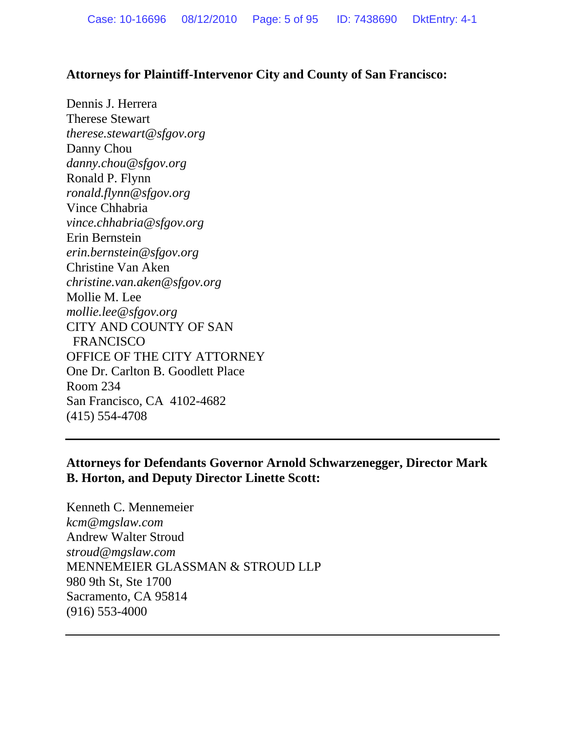#### **Attorneys for Plaintiff-Intervenor City and County of San Francisco:**

Dennis J. Herrera Therese Stewart *therese.stewart@sfgov.org*  Danny Chou *danny.chou@sfgov.org*  Ronald P. Flynn *ronald.flynn@sfgov.org*  Vince Chhabria *vince.chhabria@sfgov.org*  Erin Bernstein *erin.bernstein@sfgov.org*  Christine Van Aken *christine.van.aken@sfgov.org*  Mollie M. Lee *mollie.lee@sfgov.org*  CITY AND COUNTY OF SAN FRANCISCO OFFICE OF THE CITY ATTORNEY One Dr. Carlton B. Goodlett Place Room 234 San Francisco, CA 4102-4682 (415) 554-4708

## **Attorneys for Defendants Governor Arnold Schwarzenegger, Director Mark B. Horton, and Deputy Director Linette Scott:**

Kenneth C. Mennemeier *kcm@mgslaw.com* Andrew Walter Stroud *stroud@mgslaw.com*  MENNEMEIER GLASSMAN & STROUD LLP 980 9th St, Ste 1700 Sacramento, CA 95814 (916) 553-4000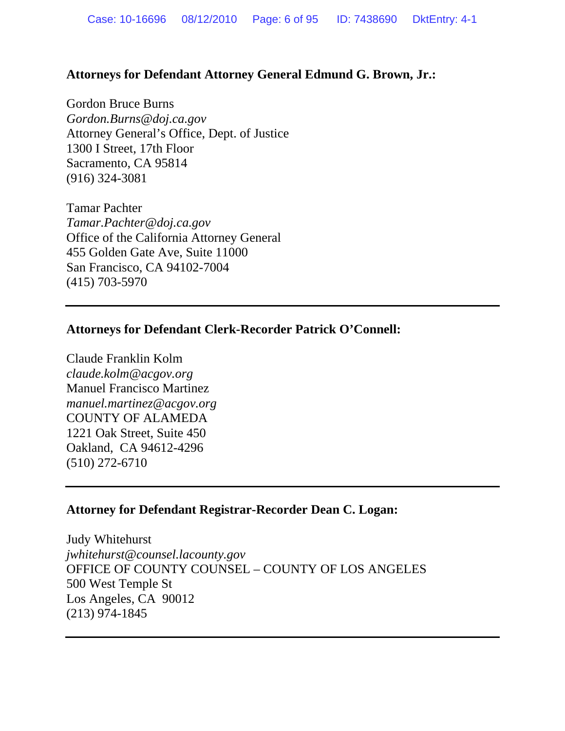### **Attorneys for Defendant Attorney General Edmund G. Brown, Jr.:**

Gordon Bruce Burns *Gordon.Burns@doj.ca.gov* Attorney General's Office, Dept. of Justice 1300 I Street, 17th Floor Sacramento, CA 95814 (916) 324-3081

Tamar Pachter *Tamar.Pachter@doj.ca.gov* Office of the California Attorney General 455 Golden Gate Ave, Suite 11000 San Francisco, CA 94102-7004 (415) 703-5970

#### **Attorneys for Defendant Clerk-Recorder Patrick O'Connell:**

Claude Franklin Kolm *claude.kolm@acgov.org*  Manuel Francisco Martinez *manuel.martinez@acgov.org* COUNTY OF ALAMEDA 1221 Oak Street, Suite 450 Oakland, CA 94612-4296 (510) 272-6710

### **Attorney for Defendant Registrar-Recorder Dean C. Logan:**

Judy Whitehurst *jwhitehurst@counsel.lacounty.gov* OFFICE OF COUNTY COUNSEL – COUNTY OF LOS ANGELES 500 West Temple St Los Angeles, CA 90012 (213) 974-1845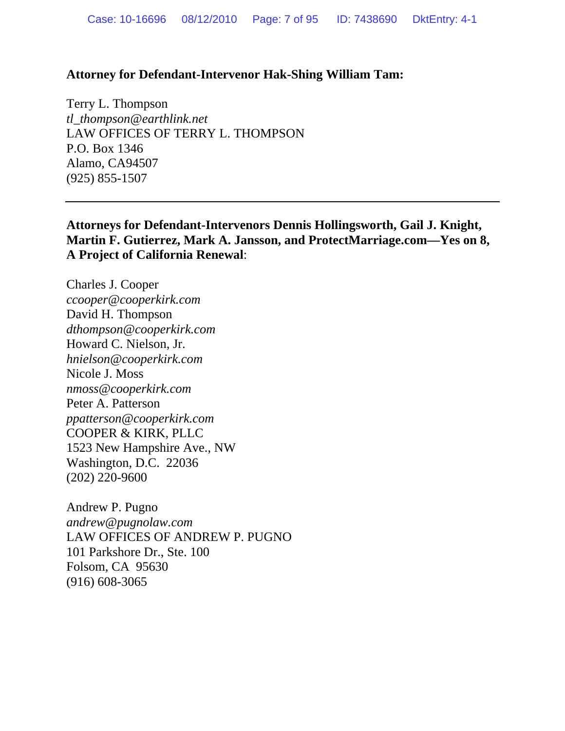#### **Attorney for Defendant-Intervenor Hak-Shing William Tam:**

Terry L. Thompson *tl\_thompson@earthlink.net*  LAW OFFICES OF TERRY L. THOMPSON P.O. Box 1346 Alamo, CA94507 (925) 855-1507

**Attorneys for Defendant-Intervenors Dennis Hollingsworth, Gail J. Knight, Martin F. Gutierrez, Mark A. Jansson, and ProtectMarriage.com—Yes on 8, A Project of California Renewal**:

Charles J. Cooper *ccooper@cooperkirk.com*  David H. Thompson *dthompson@cooperkirk.com*  Howard C. Nielson, Jr. *hnielson@cooperkirk.com*  Nicole J. Moss *nmoss@cooperkirk.com* Peter A. Patterson *ppatterson@cooperkirk.com*  COOPER & KIRK, PLLC 1523 New Hampshire Ave., NW Washington, D.C. 22036 (202) 220-9600

Andrew P. Pugno *andrew@pugnolaw.com*  LAW OFFICES OF ANDREW P. PUGNO 101 Parkshore Dr., Ste. 100 Folsom, CA 95630 (916) 608-3065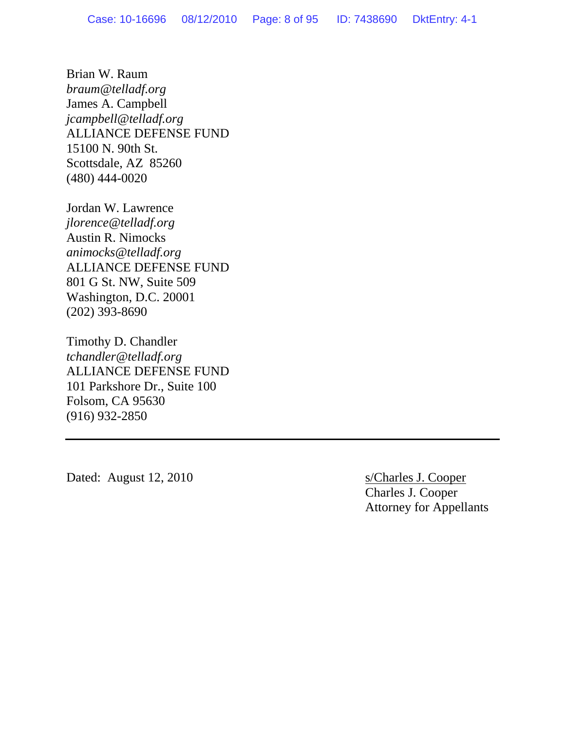Brian W. Raum *braum@telladf.org*  James A. Campbell *jcampbell@telladf.org*  ALLIANCE DEFENSE FUND 15100 N. 90th St. Scottsdale, AZ 85260 (480) 444-0020

Jordan W. Lawrence *jlorence@telladf.org*  Austin R. Nimocks *animocks@telladf.org*  ALLIANCE DEFENSE FUND 801 G St. NW, Suite 509 Washington, D.C. 20001 (202) 393-8690

Timothy D. Chandler *tchandler@telladf.org*  ALLIANCE DEFENSE FUND 101 Parkshore Dr., Suite 100 Folsom, CA 95630 (916) 932-2850

Dated: August 12, 2010 s/Charles J. Cooper

 Charles J. Cooper Attorney for Appellants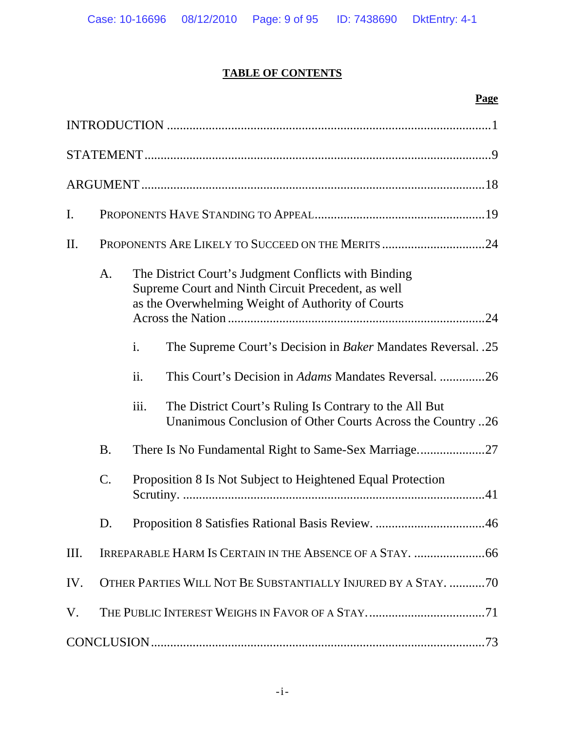# **TABLE OF CONTENTS**

### **Page**

| I.   |                 |                                                                                                                                                                                                                                                                                                                                                                                                                                                                                                            |
|------|-----------------|------------------------------------------------------------------------------------------------------------------------------------------------------------------------------------------------------------------------------------------------------------------------------------------------------------------------------------------------------------------------------------------------------------------------------------------------------------------------------------------------------------|
| П.   |                 | PROPONENTS ARE LIKELY TO SUCCEED ON THE MERITS 24                                                                                                                                                                                                                                                                                                                                                                                                                                                          |
|      | A.<br><b>B.</b> | The District Court's Judgment Conflicts with Binding<br>Supreme Court and Ninth Circuit Precedent, as well<br>as the Overwhelming Weight of Authority of Courts<br>i.<br>The Supreme Court's Decision in <i>Baker</i> Mandates Reversal. .25<br>ii.<br>This Court's Decision in <i>Adams</i> Mandates Reversal. 26<br>iii.<br>The District Court's Ruling Is Contrary to the All But<br>Unanimous Conclusion of Other Courts Across the Country 26<br>There Is No Fundamental Right to Same-Sex Marriage27 |
|      | $C$ .           | Proposition 8 Is Not Subject to Heightened Equal Protection                                                                                                                                                                                                                                                                                                                                                                                                                                                |
|      | D.              |                                                                                                                                                                                                                                                                                                                                                                                                                                                                                                            |
| III. |                 |                                                                                                                                                                                                                                                                                                                                                                                                                                                                                                            |
| IV.  |                 | OTHER PARTIES WILL NOT BE SUBSTANTIALLY INJURED BY A STAY. 70                                                                                                                                                                                                                                                                                                                                                                                                                                              |
| V.   |                 |                                                                                                                                                                                                                                                                                                                                                                                                                                                                                                            |
|      |                 |                                                                                                                                                                                                                                                                                                                                                                                                                                                                                                            |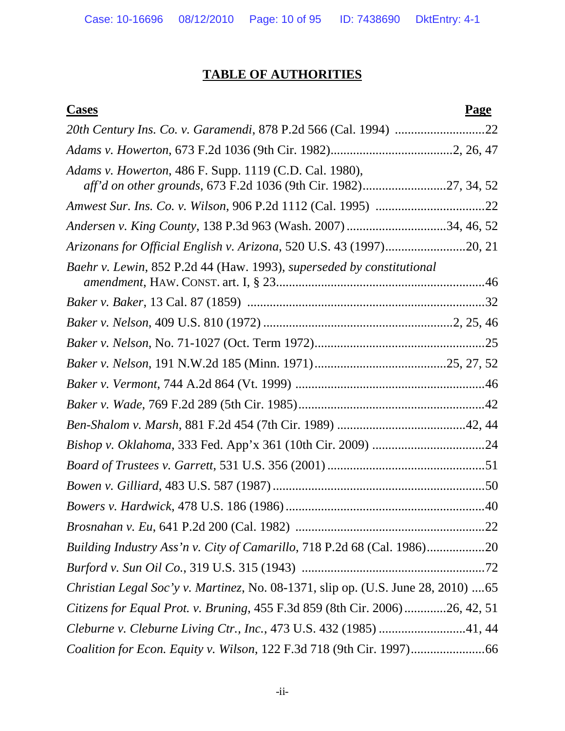# **TABLE OF AUTHORITIES**

#### **Cases Page**

| Adams v. Howerton, 486 F. Supp. 1119 (C.D. Cal. 1980),<br>aff'd on other grounds, 673 F.2d 1036 (9th Cir. 1982)27, 34, 52 |  |
|---------------------------------------------------------------------------------------------------------------------------|--|
|                                                                                                                           |  |
| Andersen v. King County, 138 P.3d 963 (Wash. 2007) 34, 46, 52                                                             |  |
| Arizonans for Official English v. Arizona, 520 U.S. 43 (1997)20, 21                                                       |  |
| Baehr v. Lewin, 852 P.2d 44 (Haw. 1993), superseded by constitutional                                                     |  |
|                                                                                                                           |  |
|                                                                                                                           |  |
|                                                                                                                           |  |
|                                                                                                                           |  |
|                                                                                                                           |  |
|                                                                                                                           |  |
|                                                                                                                           |  |
|                                                                                                                           |  |
|                                                                                                                           |  |
|                                                                                                                           |  |
|                                                                                                                           |  |
|                                                                                                                           |  |
| Building Industry Ass'n v. City of Camarillo, 718 P.2d 68 (Cal. 1986)                                                     |  |
|                                                                                                                           |  |
| Christian Legal Soc'y v. Martinez, No. 08-1371, slip op. (U.S. June 28, 2010)  65                                         |  |
| Citizens for Equal Prot. v. Bruning, 455 F.3d 859 (8th Cir. 2006)26, 42, 51                                               |  |
| Cleburne v. Cleburne Living Ctr., Inc., 473 U.S. 432 (1985) 41, 44                                                        |  |
|                                                                                                                           |  |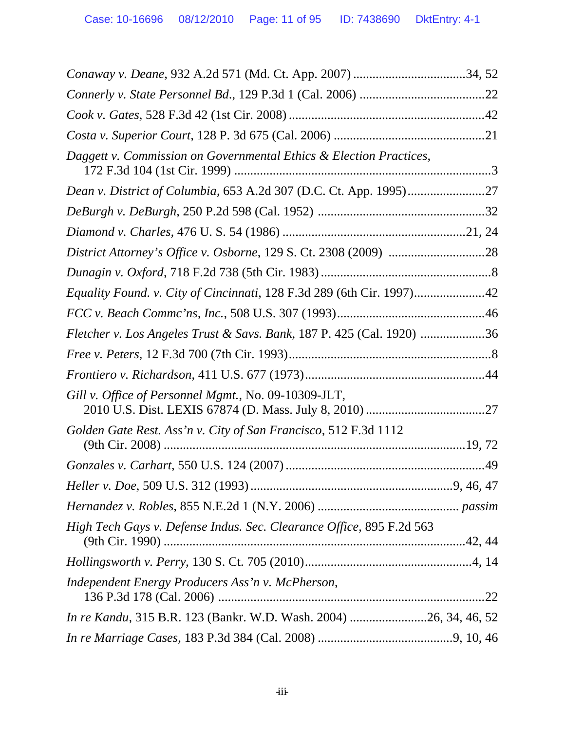| Daggett v. Commission on Governmental Ethics & Election Practices,    |  |
|-----------------------------------------------------------------------|--|
|                                                                       |  |
|                                                                       |  |
|                                                                       |  |
|                                                                       |  |
|                                                                       |  |
| Equality Found. v. City of Cincinnati, 128 F.3d 289 (6th Cir. 1997)42 |  |
|                                                                       |  |
| Fletcher v. Los Angeles Trust & Savs. Bank, 187 P. 425 (Cal. 1920) 36 |  |
|                                                                       |  |
|                                                                       |  |
| Gill v. Office of Personnel Mgmt., No. 09-10309-JLT,                  |  |
| Golden Gate Rest. Ass'n v. City of San Francisco, 512 F.3d 1112       |  |
|                                                                       |  |
|                                                                       |  |
|                                                                       |  |
| High Tech Gays v. Defense Indus. Sec. Clearance Office, 895 F.2d 563  |  |
|                                                                       |  |
| Independent Energy Producers Ass'n v. McPherson,                      |  |
| In re Kandu, 315 B.R. 123 (Bankr. W.D. Wash. 2004) 26, 34, 46, 52     |  |
|                                                                       |  |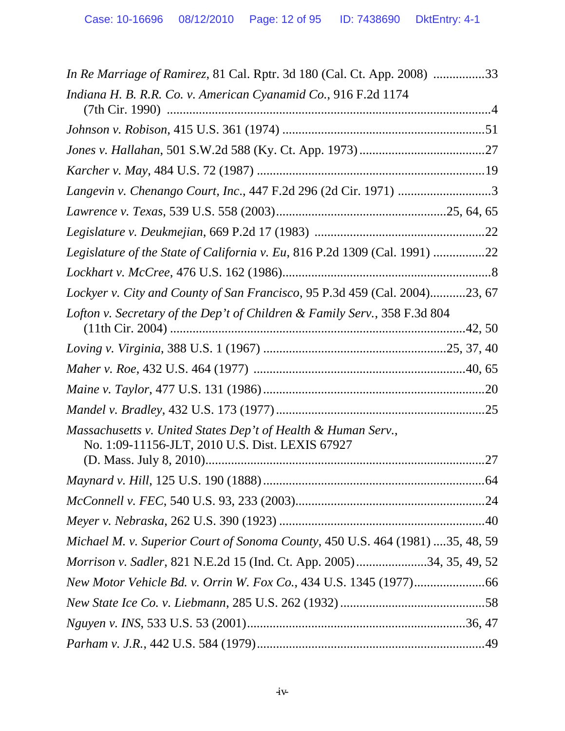| <i>In Re Marriage of Ramirez</i> , 81 Cal. Rptr. 3d 180 (Cal. Ct. App. 2008) 33                                  |
|------------------------------------------------------------------------------------------------------------------|
| Indiana H. B. R.R. Co. v. American Cyanamid Co., 916 F.2d 1174                                                   |
|                                                                                                                  |
|                                                                                                                  |
|                                                                                                                  |
| Langevin v. Chenango Court, Inc., 447 F.2d 296 (2d Cir. 1971) 3                                                  |
|                                                                                                                  |
|                                                                                                                  |
| Legislature of the State of California v. Eu, 816 P.2d 1309 (Cal. 1991) 22                                       |
|                                                                                                                  |
| Lockyer v. City and County of San Francisco, 95 P.3d 459 (Cal. 2004)23, 67                                       |
| Lofton v. Secretary of the Dep't of Children & Family Serv., 358 F.3d 804                                        |
|                                                                                                                  |
|                                                                                                                  |
|                                                                                                                  |
|                                                                                                                  |
| Massachusetts v. United States Dep't of Health & Human Serv.,<br>No. 1:09-11156-JLT, 2010 U.S. Dist. LEXIS 67927 |
|                                                                                                                  |
|                                                                                                                  |
|                                                                                                                  |
| Michael M. v. Superior Court of Sonoma County, 450 U.S. 464 (1981) 35, 48, 59                                    |
| Morrison v. Sadler, 821 N.E.2d 15 (Ind. Ct. App. 2005)34, 35, 49, 52                                             |
|                                                                                                                  |
|                                                                                                                  |
|                                                                                                                  |
|                                                                                                                  |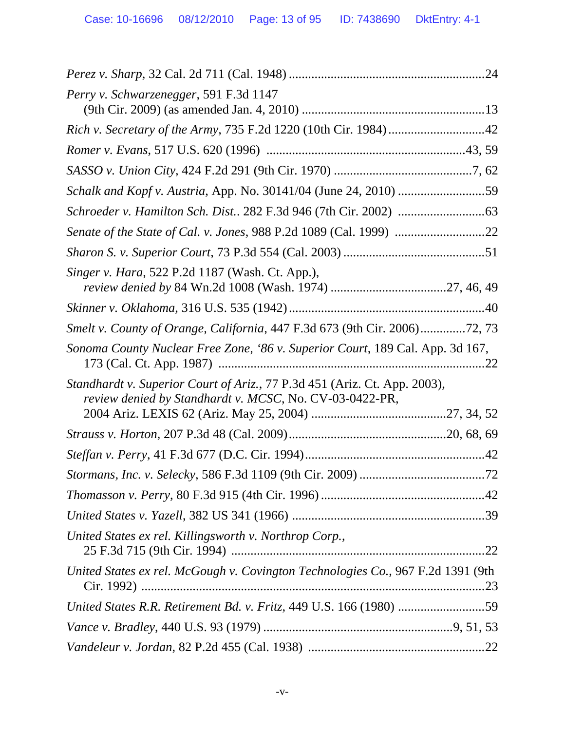| Perry v. Schwarzenegger, 591 F.3d 1147                                                                                               |  |
|--------------------------------------------------------------------------------------------------------------------------------------|--|
| Rich v. Secretary of the Army, 735 F.2d 1220 (10th Cir. 1984) 42                                                                     |  |
|                                                                                                                                      |  |
|                                                                                                                                      |  |
| Schalk and Kopf v. Austria, App. No. 30141/04 (June 24, 2010) 59                                                                     |  |
|                                                                                                                                      |  |
|                                                                                                                                      |  |
|                                                                                                                                      |  |
| Singer v. Hara, 522 P.2d 1187 (Wash. Ct. App.),                                                                                      |  |
|                                                                                                                                      |  |
| Smelt v. County of Orange, California, 447 F.3d 673 (9th Cir. 2006)72, 73                                                            |  |
| Sonoma County Nuclear Free Zone, '86 v. Superior Court, 189 Cal. App. 3d 167,                                                        |  |
| Standhardt v. Superior Court of Ariz., 77 P.3d 451 (Ariz. Ct. App. 2003),<br>review denied by Standhardt v. MCSC, No. CV-03-0422-PR, |  |
|                                                                                                                                      |  |
|                                                                                                                                      |  |
|                                                                                                                                      |  |
|                                                                                                                                      |  |
|                                                                                                                                      |  |
| United States ex rel. Killingsworth v. Northrop Corp.,                                                                               |  |
| United States ex rel. McGough v. Covington Technologies Co., 967 F.2d 1391 (9th                                                      |  |
| United States R.R. Retirement Bd. v. Fritz, 449 U.S. 166 (1980) 59                                                                   |  |
|                                                                                                                                      |  |
|                                                                                                                                      |  |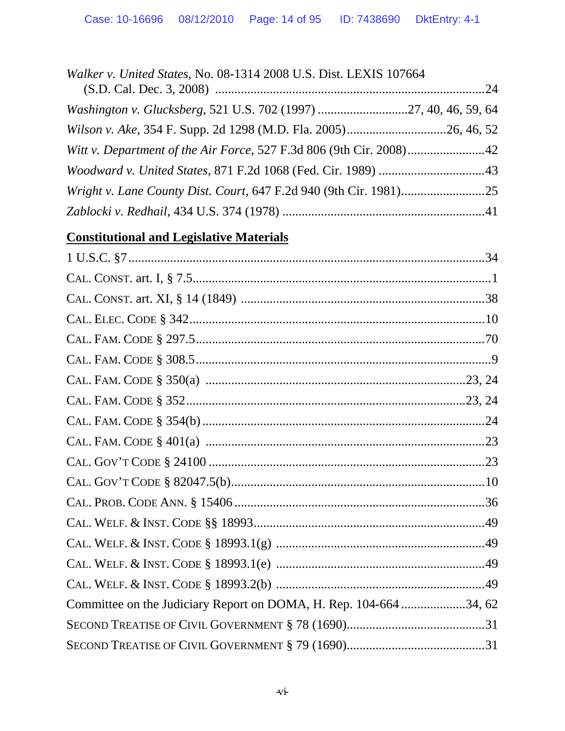| Walker v. United States, No. 08-1314 2008 U.S. Dist. LEXIS 107664   |  |
|---------------------------------------------------------------------|--|
|                                                                     |  |
| Washington v. Glucksberg, 521 U.S. 702 (1997) 27, 40, 46, 59, 64    |  |
|                                                                     |  |
| Witt v. Department of the Air Force, 527 F.3d 806 (9th Cir. 2008)42 |  |
|                                                                     |  |
|                                                                     |  |
|                                                                     |  |

# **Constitutional and Legislative Materials**

| Committee on the Judiciary Report on DOMA, H. Rep. 104-664 34, 62 |  |
|-------------------------------------------------------------------|--|
|                                                                   |  |
|                                                                   |  |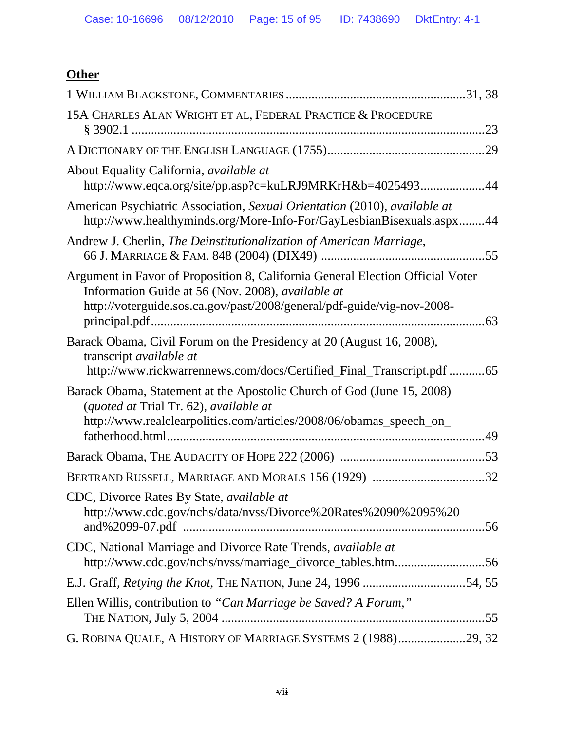# **Other**

| 15A CHARLES ALAN WRIGHT ET AL, FEDERAL PRACTICE & PROCEDURE                                                                                                                                                                     |  |
|---------------------------------------------------------------------------------------------------------------------------------------------------------------------------------------------------------------------------------|--|
|                                                                                                                                                                                                                                 |  |
| About Equality California, available at<br>http://www.eqca.org/site/pp.asp?c=kuLRJ9MRKrH&b=402549344                                                                                                                            |  |
| American Psychiatric Association, Sexual Orientation (2010), available at<br>http://www.healthyminds.org/More-Info-For/GayLesbianBisexuals.aspx44                                                                               |  |
| Andrew J. Cherlin, The Deinstitutionalization of American Marriage,                                                                                                                                                             |  |
| Argument in Favor of Proposition 8, California General Election Official Voter<br>Information Guide at 56 (Nov. 2008), available at<br>http://voterguide.sos.ca.gov/past/2008/general/pdf-guide/vig-nov-2008-<br>principal.pdf. |  |
| Barack Obama, Civil Forum on the Presidency at 20 (August 16, 2008),<br>transcript <i>available at</i><br>http://www.rickwarrennews.com/docs/Certified_Final_Transcript.pdf 65                                                  |  |
| Barack Obama, Statement at the Apostolic Church of God (June 15, 2008)<br>(quoted at Trial Tr. 62), available at<br>http://www.realclearpolitics.com/articles/2008/06/obamas_speech_on_                                         |  |
|                                                                                                                                                                                                                                 |  |
| BERTRAND RUSSELL, MARRIAGE AND MORALS 156 (1929) 32                                                                                                                                                                             |  |
| CDC, Divorce Rates By State, <i>available at</i><br>http://www.cdc.gov/nchs/data/nvss/Divorce%20Rates%2090%2095%20                                                                                                              |  |
| CDC, National Marriage and Divorce Rate Trends, available at<br>http://www.cdc.gov/nchs/nvss/marriage_divorce_tables.htm56                                                                                                      |  |
|                                                                                                                                                                                                                                 |  |
| Ellen Willis, contribution to "Can Marriage be Saved? A Forum,"                                                                                                                                                                 |  |
| G. ROBINA QUALE, A HISTORY OF MARRIAGE SYSTEMS 2 (1988)29, 32                                                                                                                                                                   |  |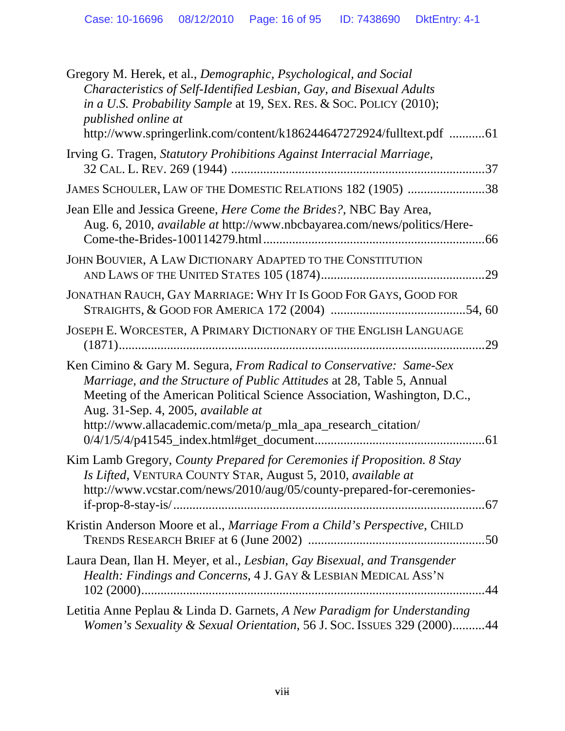| Gregory M. Herek, et al., Demographic, Psychological, and Social<br>Characteristics of Self-Identified Lesbian, Gay, and Bisexual Adults<br>in a U.S. Probability Sample at 19, SEX. RES. & SOC. POLICY (2010);<br>published online at<br>http://www.springerlink.com/content/k186244647272924/fulltext.pdf 61                  |
|---------------------------------------------------------------------------------------------------------------------------------------------------------------------------------------------------------------------------------------------------------------------------------------------------------------------------------|
| Irving G. Tragen, Statutory Prohibitions Against Interracial Marriage,                                                                                                                                                                                                                                                          |
| JAMES SCHOULER, LAW OF THE DOMESTIC RELATIONS 182 (1905) 38                                                                                                                                                                                                                                                                     |
| Jean Elle and Jessica Greene, <i>Here Come the Brides?</i> , NBC Bay Area,<br>Aug. 6, 2010, <i>available at</i> http://www.nbcbayarea.com/news/politics/Here-                                                                                                                                                                   |
| JOHN BOUVIER, A LAW DICTIONARY ADAPTED TO THE CONSTITUTION                                                                                                                                                                                                                                                                      |
| JONATHAN RAUCH, GAY MARRIAGE: WHY IT IS GOOD FOR GAYS, GOOD FOR                                                                                                                                                                                                                                                                 |
| JOSEPH E. WORCESTER, A PRIMARY DICTIONARY OF THE ENGLISH LANGUAGE                                                                                                                                                                                                                                                               |
| Ken Cimino & Gary M. Segura, From Radical to Conservative: Same-Sex<br>Marriage, and the Structure of Public Attitudes at 28, Table 5, Annual<br>Meeting of the American Political Science Association, Washington, D.C.,<br>Aug. 31-Sep. 4, 2005, available at<br>http://www.allacademic.com/meta/p_mla_apa_research_citation/ |
| Kim Lamb Gregory, County Prepared for Ceremonies if Proposition. 8 Stay<br>Is Lifted, VENTURA COUNTY STAR, August 5, 2010, available at<br>http://www.vcstar.com/news/2010/aug/05/county-prepared-for-ceremonies-                                                                                                               |
| Kristin Anderson Moore et al., Marriage From a Child's Perspective, CHILD                                                                                                                                                                                                                                                       |
| Laura Dean, Ilan H. Meyer, et al., Lesbian, Gay Bisexual, and Transgender<br>Health: Findings and Concerns, 4 J. GAY & LESBIAN MEDICAL ASS'N                                                                                                                                                                                    |
| Letitia Anne Peplau & Linda D. Garnets, A New Paradigm for Understanding<br>Women's Sexuality & Sexual Orientation, 56 J. Soc. ISSUES 329 (2000)44                                                                                                                                                                              |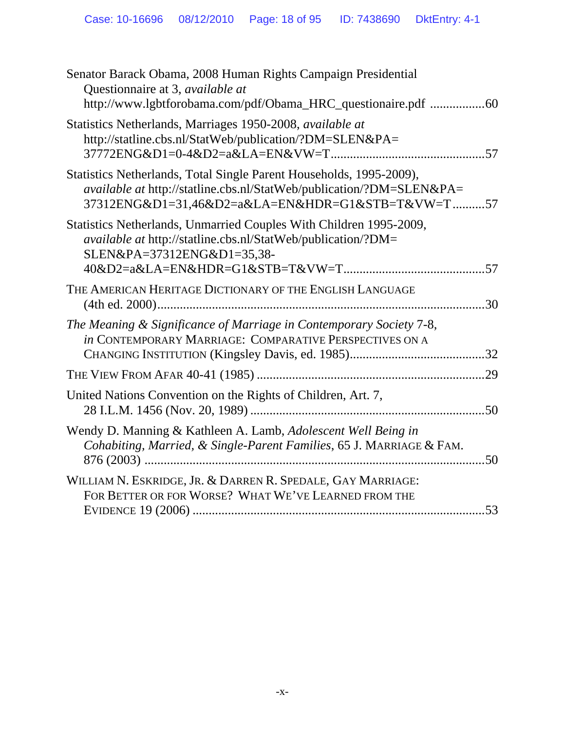| Senator Barack Obama, 2008 Human Rights Campaign Presidential<br>Questionnaire at 3, available at<br>http://www.lgbtforobama.com/pdf/Obama_HRC_questionaire.pdf 60                              |  |
|-------------------------------------------------------------------------------------------------------------------------------------------------------------------------------------------------|--|
| Statistics Netherlands, Marriages 1950-2008, available at<br>http://statline.cbs.nl/StatWeb/publication/?DM=SLEN&PA=                                                                            |  |
| Statistics Netherlands, Total Single Parent Households, 1995-2009),<br>available at http://statline.cbs.nl/StatWeb/publication/?DM=SLEN&PA=<br>37312ENG&D1=31,46&D2=a&LA=EN&HDR=G1&STB=T&VW=T57 |  |
| Statistics Netherlands, Unmarried Couples With Children 1995-2009,<br><i>available at http://statline.cbs.nl/StatWeb/publication/?DM=</i><br>SLEN&PA=37312ENG&D1=35,38-                         |  |
| THE AMERICAN HERITAGE DICTIONARY OF THE ENGLISH LANGUAGE                                                                                                                                        |  |
| The Meaning & Significance of Marriage in Contemporary Society 7-8,<br>in CONTEMPORARY MARRIAGE: COMPARATIVE PERSPECTIVES ON A                                                                  |  |
|                                                                                                                                                                                                 |  |
| United Nations Convention on the Rights of Children, Art. 7,                                                                                                                                    |  |
| Wendy D. Manning & Kathleen A. Lamb, Adolescent Well Being in<br>Cohabiting, Married, & Single-Parent Families, 65 J. MARRIAGE & FAM.                                                           |  |
| WILLIAM N. ESKRIDGE, JR. & DARREN R. SPEDALE, GAY MARRIAGE:<br>FOR BETTER OR FOR WORSE? WHAT WE'VE LEARNED FROM THE                                                                             |  |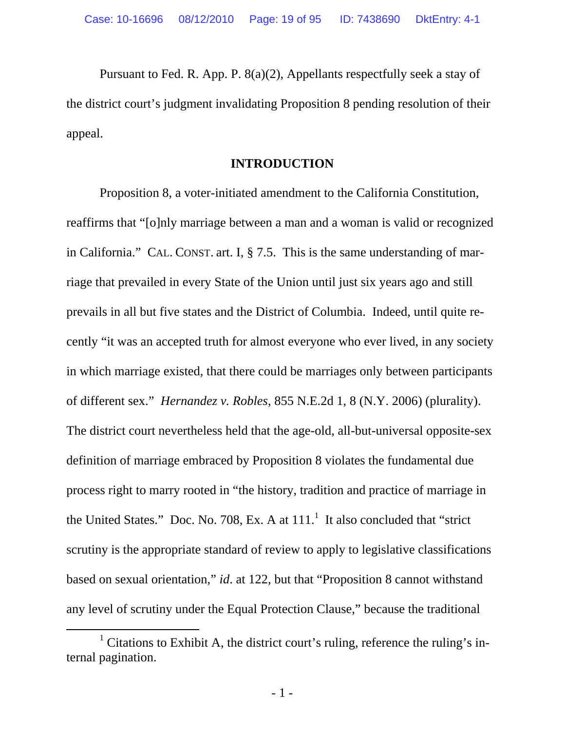Pursuant to Fed. R. App. P. 8(a)(2), Appellants respectfully seek a stay of the district court's judgment invalidating Proposition 8 pending resolution of their appeal.

#### **INTRODUCTION**

 Proposition 8, a voter-initiated amendment to the California Constitution, reaffirms that "[o]nly marriage between a man and a woman is valid or recognized in California." CAL. CONST. art. I, § 7.5. This is the same understanding of marriage that prevailed in every State of the Union until just six years ago and still prevails in all but five states and the District of Columbia. Indeed, until quite recently "it was an accepted truth for almost everyone who ever lived, in any society in which marriage existed, that there could be marriages only between participants of different sex." *Hernandez v. Robles*, 855 N.E.2d 1, 8 (N.Y. 2006) (plurality). The district court nevertheless held that the age-old, all-but-universal opposite-sex definition of marriage embraced by Proposition 8 violates the fundamental due process right to marry rooted in "the history, tradition and practice of marriage in the United States." Doc. No. 708, Ex. A at  $111<sup>1</sup>$  It also concluded that "strict" scrutiny is the appropriate standard of review to apply to legislative classifications based on sexual orientation," *id*. at 122, but that "Proposition 8 cannot withstand any level of scrutiny under the Equal Protection Clause," because the traditional

 $\frac{1}{1}$ <sup>1</sup> Citations to Exhibit A, the district court's ruling, reference the ruling's internal pagination.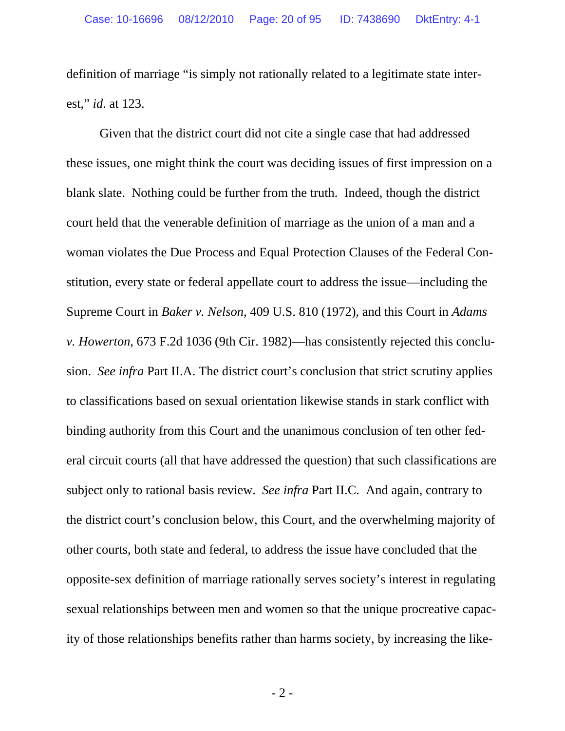definition of marriage "is simply not rationally related to a legitimate state interest," *id*. at 123.

 Given that the district court did not cite a single case that had addressed these issues, one might think the court was deciding issues of first impression on a blank slate. Nothing could be further from the truth. Indeed, though the district court held that the venerable definition of marriage as the union of a man and a woman violates the Due Process and Equal Protection Clauses of the Federal Constitution, every state or federal appellate court to address the issue—including the Supreme Court in *Baker v. Nelson*, 409 U.S. 810 (1972), and this Court in *Adams v. Howerton*, 673 F.2d 1036 (9th Cir. 1982)—has consistently rejected this conclusion. *See infra* Part II.A. The district court's conclusion that strict scrutiny applies to classifications based on sexual orientation likewise stands in stark conflict with binding authority from this Court and the unanimous conclusion of ten other federal circuit courts (all that have addressed the question) that such classifications are subject only to rational basis review. *See infra* Part II.C. And again, contrary to the district court's conclusion below, this Court, and the overwhelming majority of other courts, both state and federal, to address the issue have concluded that the opposite-sex definition of marriage rationally serves society's interest in regulating sexual relationships between men and women so that the unique procreative capacity of those relationships benefits rather than harms society, by increasing the like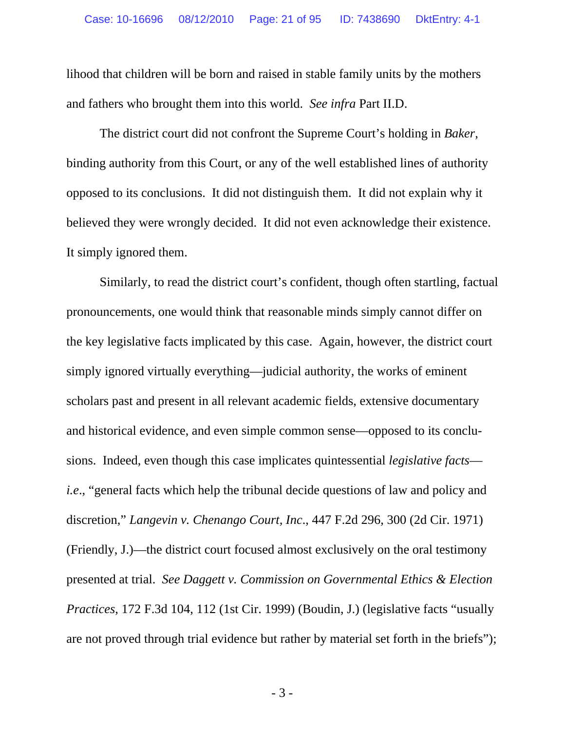lihood that children will be born and raised in stable family units by the mothers and fathers who brought them into this world. *See infra* Part II.D.

 The district court did not confront the Supreme Court's holding in *Baker*, binding authority from this Court, or any of the well established lines of authority opposed to its conclusions. It did not distinguish them. It did not explain why it believed they were wrongly decided. It did not even acknowledge their existence. It simply ignored them.

 Similarly, to read the district court's confident, though often startling, factual pronouncements, one would think that reasonable minds simply cannot differ on the key legislative facts implicated by this case. Again, however, the district court simply ignored virtually everything—judicial authority, the works of eminent scholars past and present in all relevant academic fields, extensive documentary and historical evidence, and even simple common sense—opposed to its conclusions. Indeed, even though this case implicates quintessential *legislative facts i.e*., "general facts which help the tribunal decide questions of law and policy and discretion," *Langevin v. Chenango Court, Inc*., 447 F.2d 296, 300 (2d Cir. 1971) (Friendly, J.)—the district court focused almost exclusively on the oral testimony presented at trial. *See Daggett v. Commission on Governmental Ethics & Election Practices*, 172 F.3d 104, 112 (1st Cir. 1999) (Boudin, J.) (legislative facts "usually are not proved through trial evidence but rather by material set forth in the briefs");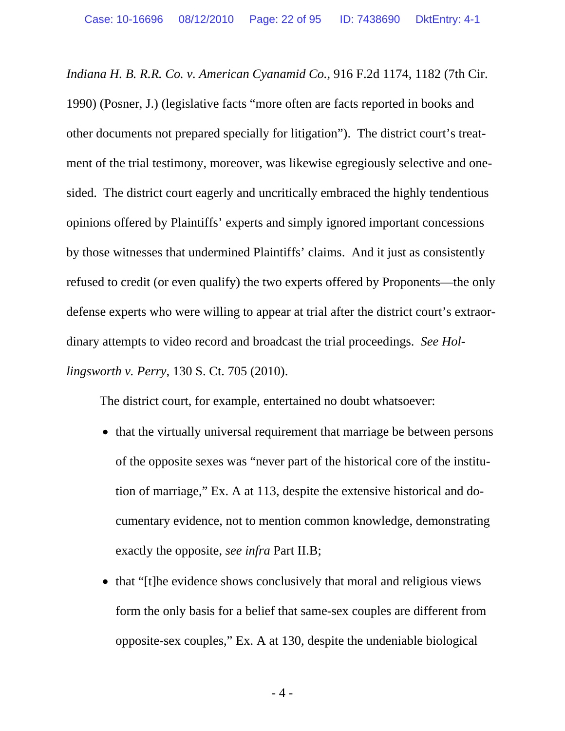*Indiana H. B. R.R. Co. v. American Cyanamid Co.*, 916 F.2d 1174, 1182 (7th Cir. 1990) (Posner, J.) (legislative facts "more often are facts reported in books and other documents not prepared specially for litigation"). The district court's treatment of the trial testimony, moreover, was likewise egregiously selective and onesided. The district court eagerly and uncritically embraced the highly tendentious opinions offered by Plaintiffs' experts and simply ignored important concessions by those witnesses that undermined Plaintiffs' claims. And it just as consistently refused to credit (or even qualify) the two experts offered by Proponents—the only defense experts who were willing to appear at trial after the district court's extraordinary attempts to video record and broadcast the trial proceedings. *See Hollingsworth v. Perry*, 130 S. Ct. 705 (2010).

The district court, for example, entertained no doubt whatsoever:

- that the virtually universal requirement that marriage be between persons of the opposite sexes was "never part of the historical core of the institution of marriage," Ex. A at 113, despite the extensive historical and documentary evidence, not to mention common knowledge, demonstrating exactly the opposite, *see infra* Part II.B;
- that "[t]he evidence shows conclusively that moral and religious views form the only basis for a belief that same-sex couples are different from opposite-sex couples," Ex. A at 130, despite the undeniable biological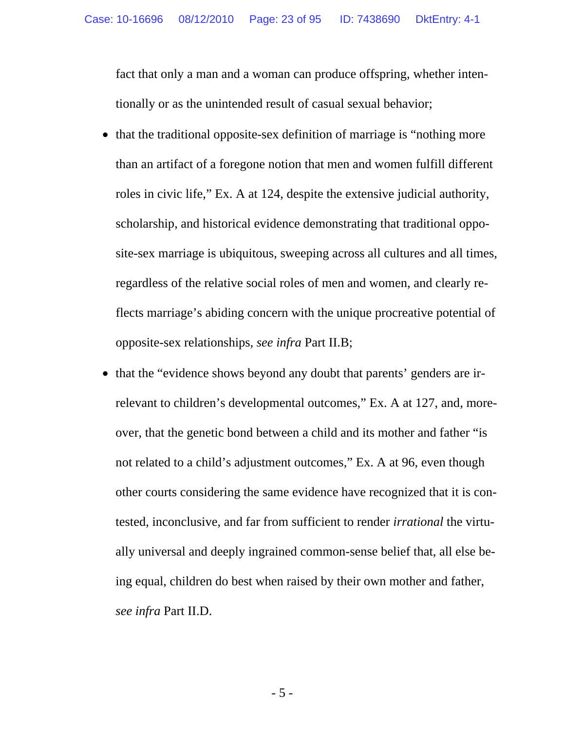fact that only a man and a woman can produce offspring, whether intentionally or as the unintended result of casual sexual behavior;

- that the traditional opposite-sex definition of marriage is "nothing more" than an artifact of a foregone notion that men and women fulfill different roles in civic life," Ex. A at 124, despite the extensive judicial authority, scholarship, and historical evidence demonstrating that traditional opposite-sex marriage is ubiquitous, sweeping across all cultures and all times, regardless of the relative social roles of men and women, and clearly reflects marriage's abiding concern with the unique procreative potential of opposite-sex relationships, *see infra* Part II.B;
- that the "evidence shows beyond any doubt that parents' genders are irrelevant to children's developmental outcomes," Ex. A at 127, and, moreover, that the genetic bond between a child and its mother and father "is not related to a child's adjustment outcomes," Ex. A at 96, even though other courts considering the same evidence have recognized that it is contested, inconclusive, and far from sufficient to render *irrational* the virtually universal and deeply ingrained common-sense belief that, all else being equal, children do best when raised by their own mother and father, *see infra* Part II.D.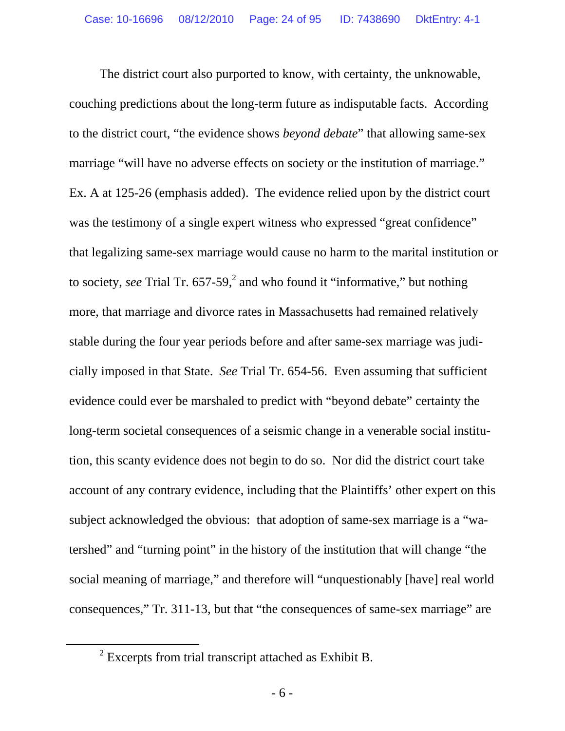The district court also purported to know, with certainty, the unknowable, couching predictions about the long-term future as indisputable facts. According to the district court, "the evidence shows *beyond debate*" that allowing same-sex marriage "will have no adverse effects on society or the institution of marriage." Ex. A at 125-26 (emphasis added). The evidence relied upon by the district court was the testimony of a single expert witness who expressed "great confidence" that legalizing same-sex marriage would cause no harm to the marital institution or to society, *see* Trial Tr.  $657-59$ , and who found it "informative," but nothing more, that marriage and divorce rates in Massachusetts had remained relatively stable during the four year periods before and after same-sex marriage was judicially imposed in that State. *See* Trial Tr. 654-56. Even assuming that sufficient evidence could ever be marshaled to predict with "beyond debate" certainty the long-term societal consequences of a seismic change in a venerable social institution, this scanty evidence does not begin to do so. Nor did the district court take account of any contrary evidence, including that the Plaintiffs' other expert on this subject acknowledged the obvious: that adoption of same-sex marriage is a "watershed" and "turning point" in the history of the institution that will change "the social meaning of marriage," and therefore will "unquestionably [have] real world consequences," Tr. 311-13, but that "the consequences of same-sex marriage" are

 <sup>2</sup>  $\frac{2}{3}$  Excerpts from trial transcript attached as Exhibit B.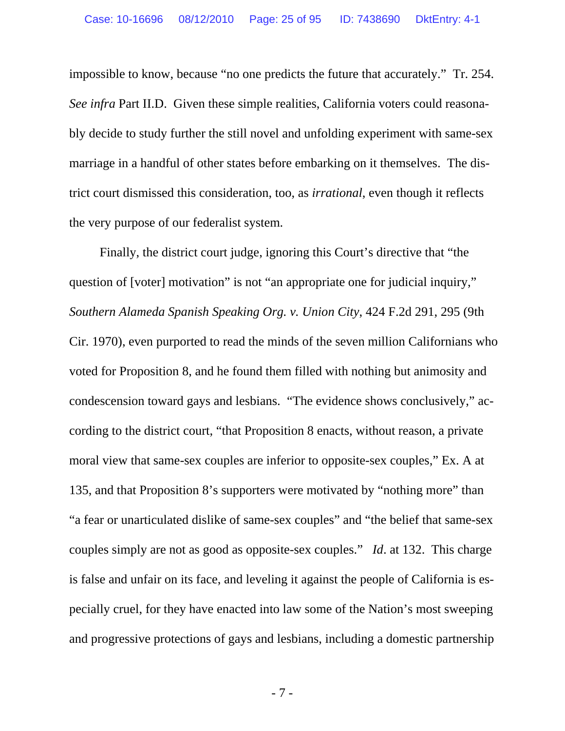impossible to know, because "no one predicts the future that accurately." Tr. 254. *See infra* Part II.D. Given these simple realities, California voters could reasonably decide to study further the still novel and unfolding experiment with same-sex marriage in a handful of other states before embarking on it themselves. The district court dismissed this consideration, too, as *irrational*, even though it reflects the very purpose of our federalist system.

 Finally, the district court judge, ignoring this Court's directive that "the question of [voter] motivation" is not "an appropriate one for judicial inquiry," *Southern Alameda Spanish Speaking Org. v. Union City*, 424 F.2d 291, 295 (9th Cir. 1970), even purported to read the minds of the seven million Californians who voted for Proposition 8, and he found them filled with nothing but animosity and condescension toward gays and lesbians. "The evidence shows conclusively," according to the district court, "that Proposition 8 enacts, without reason, a private moral view that same-sex couples are inferior to opposite-sex couples," Ex. A at 135, and that Proposition 8's supporters were motivated by "nothing more" than "a fear or unarticulated dislike of same-sex couples" and "the belief that same-sex couples simply are not as good as opposite-sex couples." *Id*. at 132. This charge is false and unfair on its face, and leveling it against the people of California is especially cruel, for they have enacted into law some of the Nation's most sweeping and progressive protections of gays and lesbians, including a domestic partnership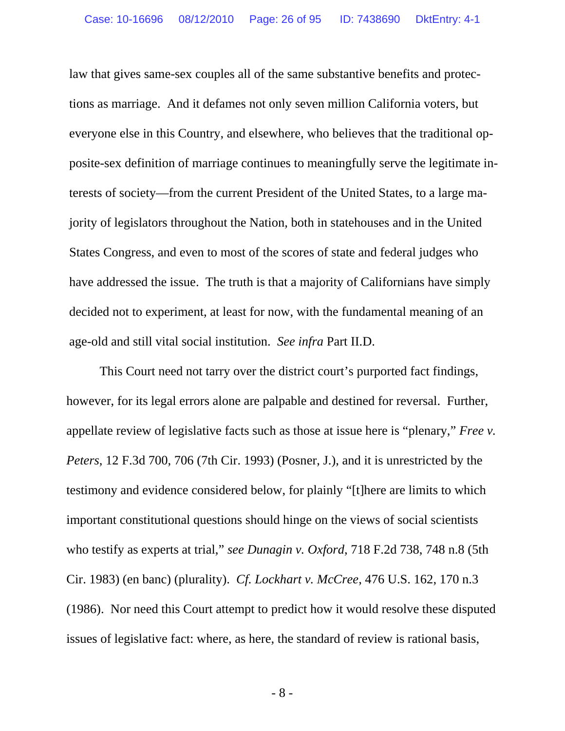law that gives same-sex couples all of the same substantive benefits and protections as marriage. And it defames not only seven million California voters, but everyone else in this Country, and elsewhere, who believes that the traditional opposite-sex definition of marriage continues to meaningfully serve the legitimate interests of society—from the current President of the United States, to a large majority of legislators throughout the Nation, both in statehouses and in the United States Congress, and even to most of the scores of state and federal judges who have addressed the issue. The truth is that a majority of Californians have simply decided not to experiment, at least for now, with the fundamental meaning of an age-old and still vital social institution. *See infra* Part II.D.

 This Court need not tarry over the district court's purported fact findings, however, for its legal errors alone are palpable and destined for reversal. Further, appellate review of legislative facts such as those at issue here is "plenary," *Free v. Peters*, 12 F.3d 700, 706 (7th Cir. 1993) (Posner, J.), and it is unrestricted by the testimony and evidence considered below, for plainly "[t]here are limits to which important constitutional questions should hinge on the views of social scientists who testify as experts at trial," *see Dunagin v. Oxford*, 718 F.2d 738, 748 n.8 (5th Cir. 1983) (en banc) (plurality). *Cf. Lockhart v. McCree*, 476 U.S. 162, 170 n.3 (1986). Nor need this Court attempt to predict how it would resolve these disputed issues of legislative fact: where, as here, the standard of review is rational basis,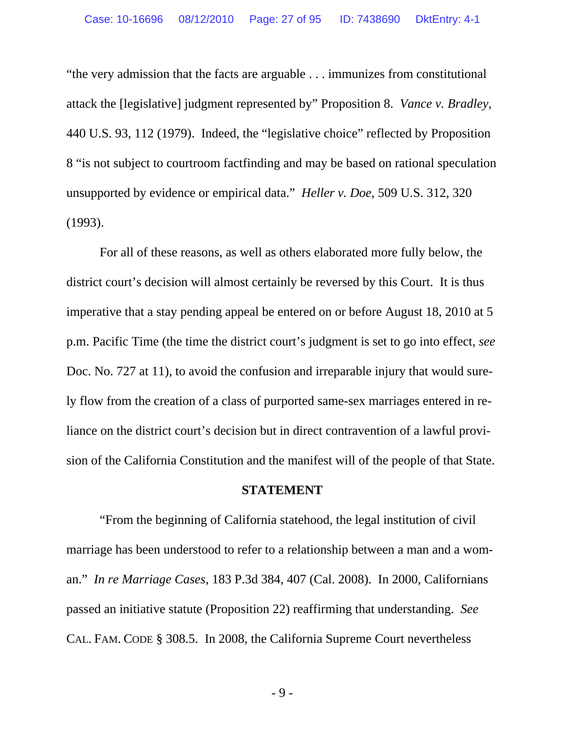"the very admission that the facts are arguable . . . immunizes from constitutional attack the [legislative] judgment represented by" Proposition 8. *Vance v. Bradley*, 440 U.S. 93, 112 (1979). Indeed, the "legislative choice" reflected by Proposition 8 "is not subject to courtroom factfinding and may be based on rational speculation unsupported by evidence or empirical data." *Heller v. Doe*, 509 U.S. 312, 320 (1993).

For all of these reasons, as well as others elaborated more fully below, the district court's decision will almost certainly be reversed by this Court. It is thus imperative that a stay pending appeal be entered on or before August 18, 2010 at 5 p.m. Pacific Time (the time the district court's judgment is set to go into effect, *see*  Doc. No. 727 at 11), to avoid the confusion and irreparable injury that would surely flow from the creation of a class of purported same-sex marriages entered in reliance on the district court's decision but in direct contravention of a lawful provision of the California Constitution and the manifest will of the people of that State.

#### **STATEMENT**

 "From the beginning of California statehood, the legal institution of civil marriage has been understood to refer to a relationship between a man and a woman." *In re Marriage Cases*, 183 P.3d 384, 407 (Cal. 2008). In 2000, Californians passed an initiative statute (Proposition 22) reaffirming that understanding. *See* CAL. FAM. CODE § 308.5. In 2008, the California Supreme Court nevertheless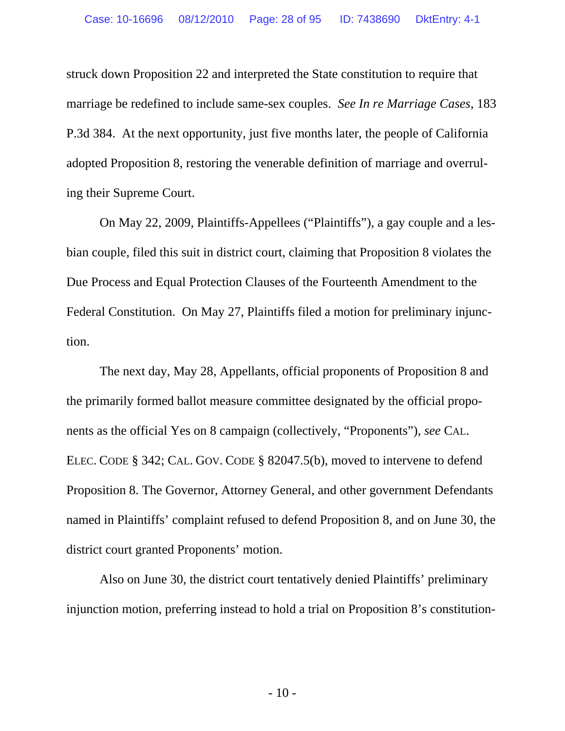struck down Proposition 22 and interpreted the State constitution to require that marriage be redefined to include same-sex couples. *See In re Marriage Cases*, 183 P.3d 384. At the next opportunity, just five months later, the people of California adopted Proposition 8, restoring the venerable definition of marriage and overruling their Supreme Court.

 On May 22, 2009, Plaintiffs-Appellees ("Plaintiffs"), a gay couple and a lesbian couple, filed this suit in district court, claiming that Proposition 8 violates the Due Process and Equal Protection Clauses of the Fourteenth Amendment to the Federal Constitution. On May 27, Plaintiffs filed a motion for preliminary injunction.

 The next day, May 28, Appellants, official proponents of Proposition 8 and the primarily formed ballot measure committee designated by the official proponents as the official Yes on 8 campaign (collectively, "Proponents"), *see* CAL. ELEC. CODE § 342; CAL. GOV. CODE § 82047.5(b), moved to intervene to defend Proposition 8. The Governor, Attorney General, and other government Defendants named in Plaintiffs' complaint refused to defend Proposition 8, and on June 30, the district court granted Proponents' motion.

 Also on June 30, the district court tentatively denied Plaintiffs' preliminary injunction motion, preferring instead to hold a trial on Proposition 8's constitution-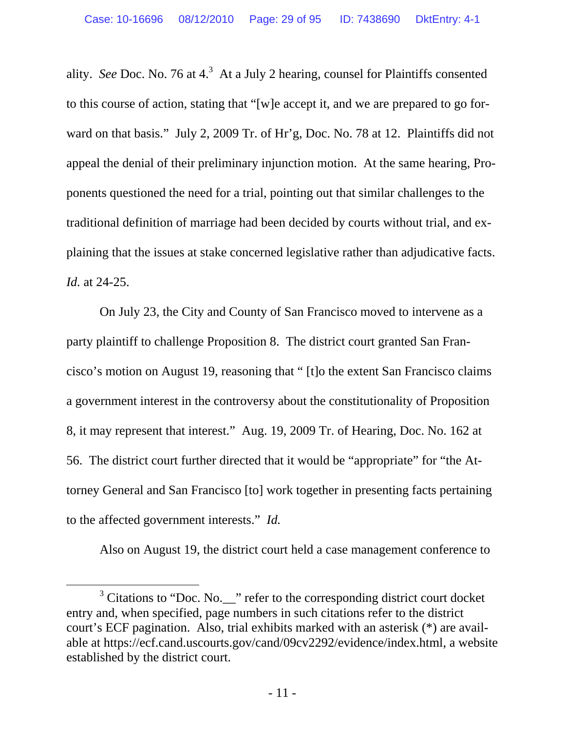ality. *See* Doc. No. 76 at  $4<sup>3</sup>$  At a July 2 hearing, counsel for Plaintiffs consented to this course of action, stating that "[w]e accept it, and we are prepared to go forward on that basis." July 2, 2009 Tr. of Hr'g, Doc. No. 78 at 12. Plaintiffs did not appeal the denial of their preliminary injunction motion. At the same hearing, Proponents questioned the need for a trial, pointing out that similar challenges to the traditional definition of marriage had been decided by courts without trial, and explaining that the issues at stake concerned legislative rather than adjudicative facts. *Id.* at 24-25.

 On July 23, the City and County of San Francisco moved to intervene as a party plaintiff to challenge Proposition 8. The district court granted San Francisco's motion on August 19, reasoning that " [t]o the extent San Francisco claims a government interest in the controversy about the constitutionality of Proposition 8, it may represent that interest." Aug. 19, 2009 Tr. of Hearing, Doc. No. 162 at 56. The district court further directed that it would be "appropriate" for "the Attorney General and San Francisco [to] work together in presenting facts pertaining to the affected government interests." *Id.* 

Also on August 19, the district court held a case management conference to

 $\overline{\phantom{a}}$  3 <sup>3</sup> Citations to "Doc. No.\_\_" refer to the corresponding district court docket entry and, when specified, page numbers in such citations refer to the district court's ECF pagination. Also, trial exhibits marked with an asterisk (\*) are available at https://ecf.cand.uscourts.gov/cand/09cv2292/evidence/index.html, a website established by the district court.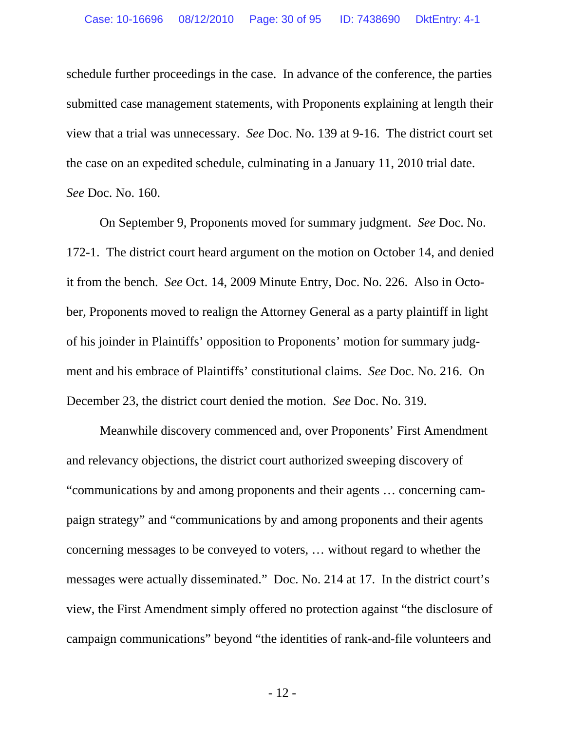schedule further proceedings in the case. In advance of the conference, the parties submitted case management statements, with Proponents explaining at length their view that a trial was unnecessary. *See* Doc. No. 139 at 9-16. The district court set the case on an expedited schedule, culminating in a January 11, 2010 trial date. *See* Doc. No. 160.

 On September 9, Proponents moved for summary judgment. *See* Doc. No. 172-1. The district court heard argument on the motion on October 14, and denied it from the bench. *See* Oct. 14, 2009 Minute Entry, Doc. No. 226. Also in October, Proponents moved to realign the Attorney General as a party plaintiff in light of his joinder in Plaintiffs' opposition to Proponents' motion for summary judgment and his embrace of Plaintiffs' constitutional claims. *See* Doc. No. 216. On December 23, the district court denied the motion. *See* Doc. No. 319.

 Meanwhile discovery commenced and, over Proponents' First Amendment and relevancy objections, the district court authorized sweeping discovery of "communications by and among proponents and their agents … concerning campaign strategy" and "communications by and among proponents and their agents concerning messages to be conveyed to voters, … without regard to whether the messages were actually disseminated." Doc. No. 214 at 17. In the district court's view, the First Amendment simply offered no protection against "the disclosure of campaign communications" beyond "the identities of rank-and-file volunteers and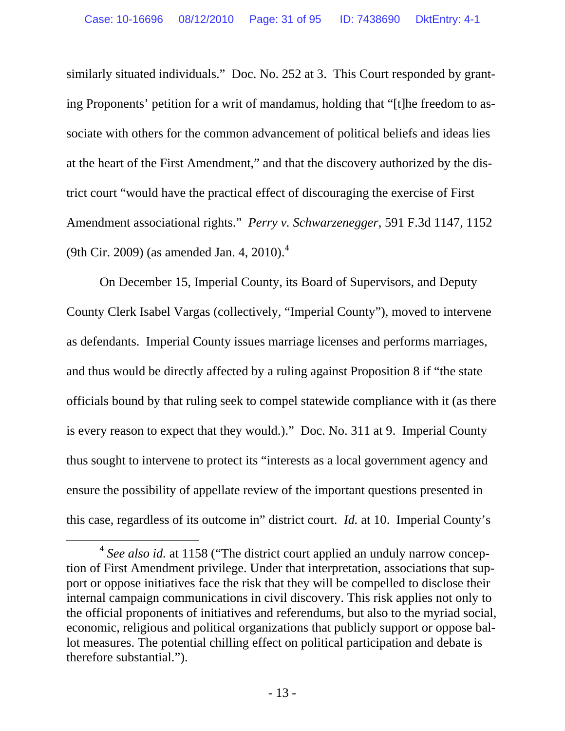similarly situated individuals." Doc. No. 252 at 3. This Court responded by granting Proponents' petition for a writ of mandamus, holding that "[t]he freedom to associate with others for the common advancement of political beliefs and ideas lies at the heart of the First Amendment," and that the discovery authorized by the district court "would have the practical effect of discouraging the exercise of First Amendment associational rights." *Perry v. Schwarzenegger*, 591 F.3d 1147, 1152 (9th Cir. 2009) (as amended Jan. 4, 2010).<sup>4</sup>

 On December 15, Imperial County, its Board of Supervisors, and Deputy County Clerk Isabel Vargas (collectively, "Imperial County"), moved to intervene as defendants. Imperial County issues marriage licenses and performs marriages, and thus would be directly affected by a ruling against Proposition 8 if "the state officials bound by that ruling seek to compel statewide compliance with it (as there is every reason to expect that they would.)." Doc. No. 311 at 9. Imperial County thus sought to intervene to protect its "interests as a local government agency and ensure the possibility of appellate review of the important questions presented in this case, regardless of its outcome in" district court. *Id.* at 10. Imperial County's

 <sup>4</sup> *See also id.* at 1158 ("The district court applied an unduly narrow conception of First Amendment privilege. Under that interpretation, associations that support or oppose initiatives face the risk that they will be compelled to disclose their internal campaign communications in civil discovery. This risk applies not only to the official proponents of initiatives and referendums, but also to the myriad social, economic, religious and political organizations that publicly support or oppose ballot measures. The potential chilling effect on political participation and debate is therefore substantial.").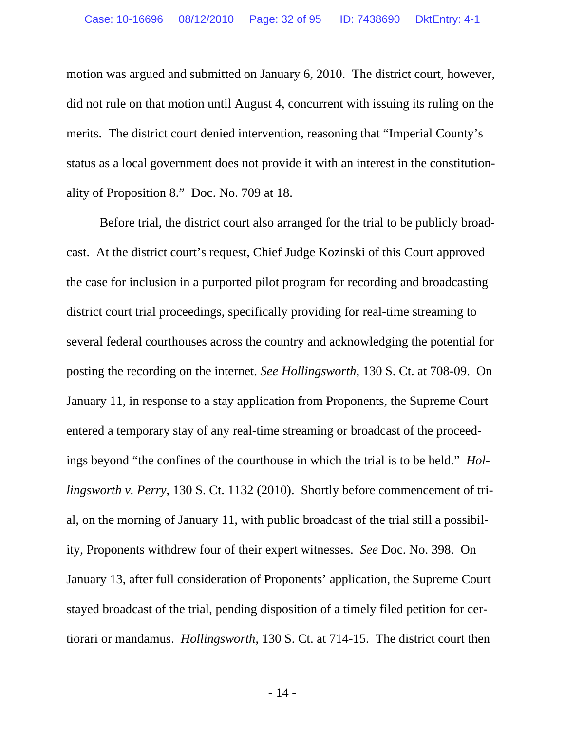motion was argued and submitted on January 6, 2010. The district court, however, did not rule on that motion until August 4, concurrent with issuing its ruling on the merits. The district court denied intervention, reasoning that "Imperial County's status as a local government does not provide it with an interest in the constitutionality of Proposition 8." Doc. No. 709 at 18.

 Before trial, the district court also arranged for the trial to be publicly broadcast. At the district court's request, Chief Judge Kozinski of this Court approved the case for inclusion in a purported pilot program for recording and broadcasting district court trial proceedings, specifically providing for real-time streaming to several federal courthouses across the country and acknowledging the potential for posting the recording on the internet. *See Hollingsworth*, 130 S. Ct. at 708-09. On January 11, in response to a stay application from Proponents, the Supreme Court entered a temporary stay of any real-time streaming or broadcast of the proceedings beyond "the confines of the courthouse in which the trial is to be held." *Hollingsworth v. Perry*, 130 S. Ct. 1132 (2010). Shortly before commencement of trial, on the morning of January 11, with public broadcast of the trial still a possibility, Proponents withdrew four of their expert witnesses. *See* Doc. No. 398. On January 13, after full consideration of Proponents' application, the Supreme Court stayed broadcast of the trial, pending disposition of a timely filed petition for certiorari or mandamus. *Hollingsworth*, 130 S. Ct. at 714-15. The district court then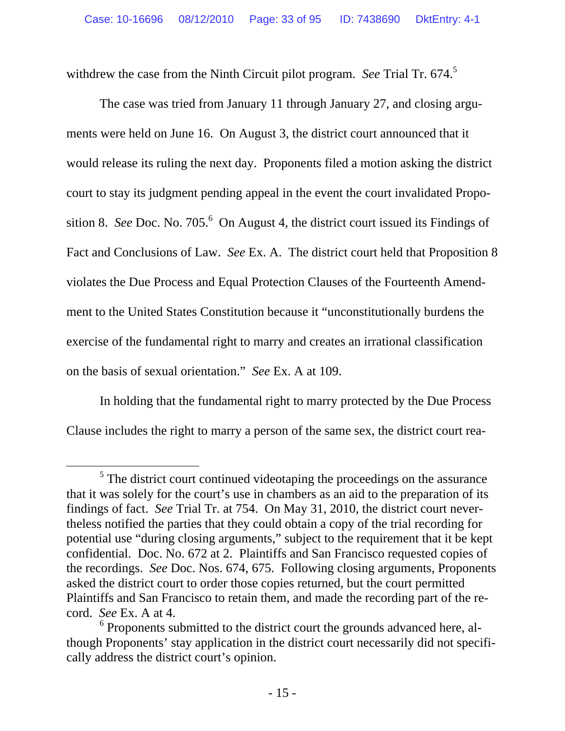withdrew the case from the Ninth Circuit pilot program. *See* Trial Tr. 674.5

 The case was tried from January 11 through January 27, and closing arguments were held on June 16. On August 3, the district court announced that it would release its ruling the next day. Proponents filed a motion asking the district court to stay its judgment pending appeal in the event the court invalidated Proposition 8. *See* Doc. No. 705. $\degree$  On August 4, the district court issued its Findings of Fact and Conclusions of Law. *See* Ex. A. The district court held that Proposition 8 violates the Due Process and Equal Protection Clauses of the Fourteenth Amendment to the United States Constitution because it "unconstitutionally burdens the exercise of the fundamental right to marry and creates an irrational classification on the basis of sexual orientation." *See* Ex. A at 109.

 In holding that the fundamental right to marry protected by the Due Process Clause includes the right to marry a person of the same sex, the district court rea-

 $rac{1}{5}$  $<sup>5</sup>$  The district court continued videotaping the proceedings on the assurance</sup> that it was solely for the court's use in chambers as an aid to the preparation of its findings of fact. *See* Trial Tr. at 754. On May 31, 2010, the district court nevertheless notified the parties that they could obtain a copy of the trial recording for potential use "during closing arguments," subject to the requirement that it be kept confidential. Doc. No. 672 at 2. Plaintiffs and San Francisco requested copies of the recordings. *See* Doc. Nos. 674, 675. Following closing arguments, Proponents asked the district court to order those copies returned, but the court permitted Plaintiffs and San Francisco to retain them, and made the recording part of the record. *See* Ex. A at 4.

 $6$  Proponents submitted to the district court the grounds advanced here, although Proponents' stay application in the district court necessarily did not specifically address the district court's opinion.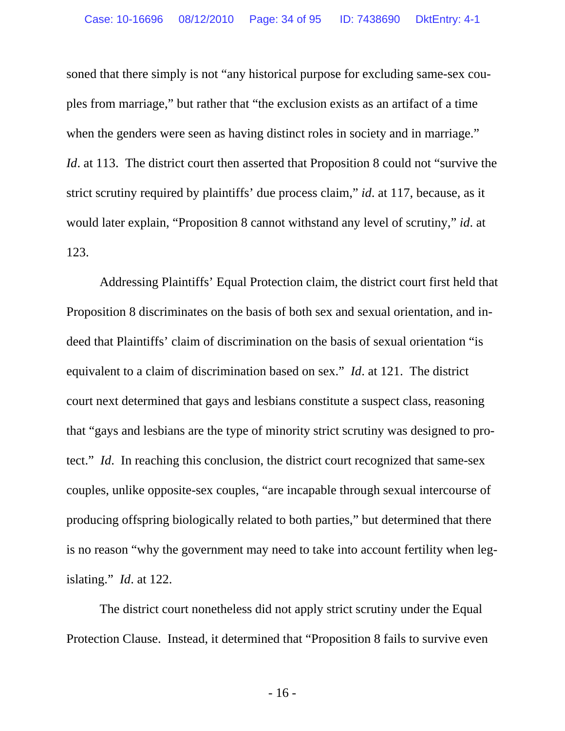soned that there simply is not "any historical purpose for excluding same-sex couples from marriage," but rather that "the exclusion exists as an artifact of a time when the genders were seen as having distinct roles in society and in marriage." *Id.* at 113. The district court then asserted that Proposition 8 could not "survive the strict scrutiny required by plaintiffs' due process claim," *id*. at 117, because, as it would later explain, "Proposition 8 cannot withstand any level of scrutiny," *id*. at 123.

 Addressing Plaintiffs' Equal Protection claim, the district court first held that Proposition 8 discriminates on the basis of both sex and sexual orientation, and indeed that Plaintiffs' claim of discrimination on the basis of sexual orientation "is equivalent to a claim of discrimination based on sex." *Id*. at 121. The district court next determined that gays and lesbians constitute a suspect class, reasoning that "gays and lesbians are the type of minority strict scrutiny was designed to protect." *Id*. In reaching this conclusion, the district court recognized that same-sex couples, unlike opposite-sex couples, "are incapable through sexual intercourse of producing offspring biologically related to both parties," but determined that there is no reason "why the government may need to take into account fertility when legislating." *Id*. at 122.

 The district court nonetheless did not apply strict scrutiny under the Equal Protection Clause. Instead, it determined that "Proposition 8 fails to survive even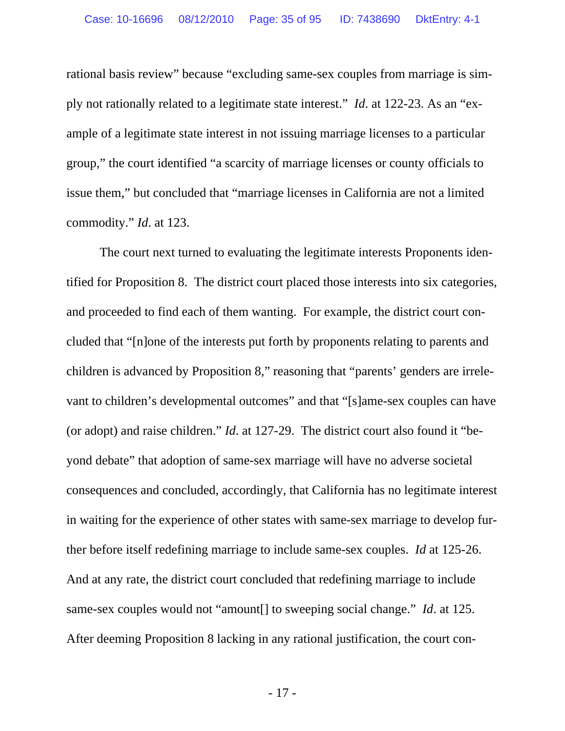rational basis review" because "excluding same-sex couples from marriage is simply not rationally related to a legitimate state interest." *Id*. at 122-23. As an "example of a legitimate state interest in not issuing marriage licenses to a particular group," the court identified "a scarcity of marriage licenses or county officials to issue them," but concluded that "marriage licenses in California are not a limited commodity." *Id*. at 123.

 The court next turned to evaluating the legitimate interests Proponents identified for Proposition 8. The district court placed those interests into six categories, and proceeded to find each of them wanting. For example, the district court concluded that "[n]one of the interests put forth by proponents relating to parents and children is advanced by Proposition 8," reasoning that "parents' genders are irrelevant to children's developmental outcomes" and that "[s]ame-sex couples can have (or adopt) and raise children." *Id*. at 127-29. The district court also found it "beyond debate" that adoption of same-sex marriage will have no adverse societal consequences and concluded, accordingly, that California has no legitimate interest in waiting for the experience of other states with same-sex marriage to develop further before itself redefining marriage to include same-sex couples. *Id* at 125-26. And at any rate, the district court concluded that redefining marriage to include same-sex couples would not "amount[] to sweeping social change." *Id*. at 125. After deeming Proposition 8 lacking in any rational justification, the court con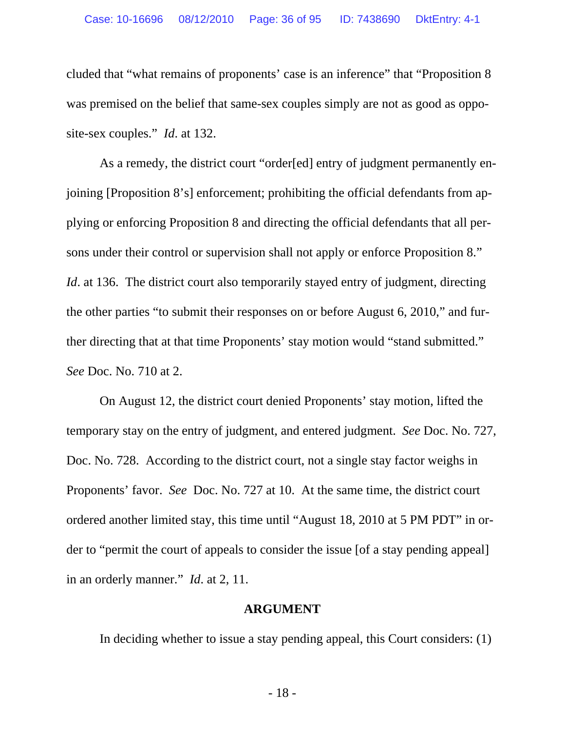cluded that "what remains of proponents' case is an inference" that "Proposition 8 was premised on the belief that same-sex couples simply are not as good as opposite-sex couples." *Id*. at 132.

 As a remedy, the district court "order[ed] entry of judgment permanently enjoining [Proposition 8's] enforcement; prohibiting the official defendants from applying or enforcing Proposition 8 and directing the official defendants that all persons under their control or supervision shall not apply or enforce Proposition 8." *Id.* at 136. The district court also temporarily stayed entry of judgment, directing the other parties "to submit their responses on or before August 6, 2010," and further directing that at that time Proponents' stay motion would "stand submitted." *See* Doc. No. 710 at 2.

 On August 12, the district court denied Proponents' stay motion, lifted the temporary stay on the entry of judgment, and entered judgment. *See* Doc. No. 727, Doc. No. 728. According to the district court, not a single stay factor weighs in Proponents' favor. *See* Doc. No. 727 at 10. At the same time, the district court ordered another limited stay, this time until "August 18, 2010 at 5 PM PDT" in order to "permit the court of appeals to consider the issue [of a stay pending appeal] in an orderly manner." *Id*. at 2, 11.

#### **ARGUMENT**

In deciding whether to issue a stay pending appeal, this Court considers: (1)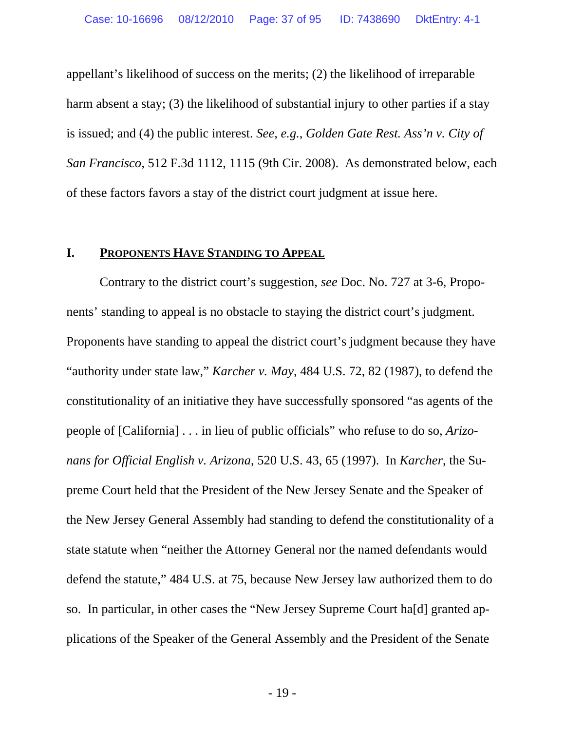appellant's likelihood of success on the merits; (2) the likelihood of irreparable harm absent a stay; (3) the likelihood of substantial injury to other parties if a stay is issued; and (4) the public interest. *See, e.g.*, *Golden Gate Rest. Ass'n v. City of San Francisco*, 512 F.3d 1112, 1115 (9th Cir. 2008). As demonstrated below, each of these factors favors a stay of the district court judgment at issue here.

### **I. PROPONENTS HAVE STANDING TO APPEAL**

 Contrary to the district court's suggestion, *see* Doc. No. 727 at 3-6, Proponents' standing to appeal is no obstacle to staying the district court's judgment. Proponents have standing to appeal the district court's judgment because they have "authority under state law," *Karcher v. May*, 484 U.S. 72, 82 (1987), to defend the constitutionality of an initiative they have successfully sponsored "as agents of the people of [California] . . . in lieu of public officials" who refuse to do so, *Arizonans for Official English v. Arizona*, 520 U.S. 43, 65 (1997). In *Karcher*, the Supreme Court held that the President of the New Jersey Senate and the Speaker of the New Jersey General Assembly had standing to defend the constitutionality of a state statute when "neither the Attorney General nor the named defendants would defend the statute," 484 U.S. at 75, because New Jersey law authorized them to do so. In particular, in other cases the "New Jersey Supreme Court ha[d] granted applications of the Speaker of the General Assembly and the President of the Senate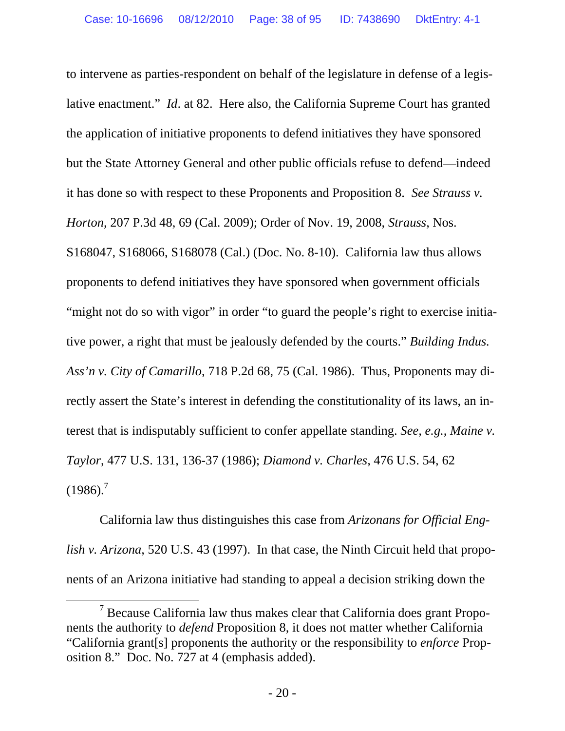to intervene as parties-respondent on behalf of the legislature in defense of a legislative enactment." *Id*. at 82. Here also, the California Supreme Court has granted the application of initiative proponents to defend initiatives they have sponsored but the State Attorney General and other public officials refuse to defend—indeed it has done so with respect to these Proponents and Proposition 8. *See Strauss v. Horton*, 207 P.3d 48, 69 (Cal. 2009); Order of Nov. 19, 2008, *Strauss*, Nos. S168047, S168066, S168078 (Cal.) (Doc. No. 8-10). California law thus allows proponents to defend initiatives they have sponsored when government officials "might not do so with vigor" in order "to guard the people's right to exercise initiative power, a right that must be jealously defended by the courts." *Building Indus. Ass'n v. City of Camarillo*, 718 P.2d 68, 75 (Cal. 1986). Thus, Proponents may directly assert the State's interest in defending the constitutionality of its laws, an interest that is indisputably sufficient to confer appellate standing. *See, e.g.*, *Maine v. Taylor*, 477 U.S. 131, 136-37 (1986); *Diamond v. Charles,* 476 U.S. 54, 62  $(1986).^{7}$ 

 California law thus distinguishes this case from *Arizonans for Official English v. Arizona*, 520 U.S. 43 (1997). In that case, the Ninth Circuit held that proponents of an Arizona initiative had standing to appeal a decision striking down the

 $\overline{7}$  $\frac{7}{1}$  Because California law thus makes clear that California does grant Proponents the authority to *defend* Proposition 8, it does not matter whether California "California grant[s] proponents the authority or the responsibility to *enforce* Proposition 8." Doc. No. 727 at 4 (emphasis added).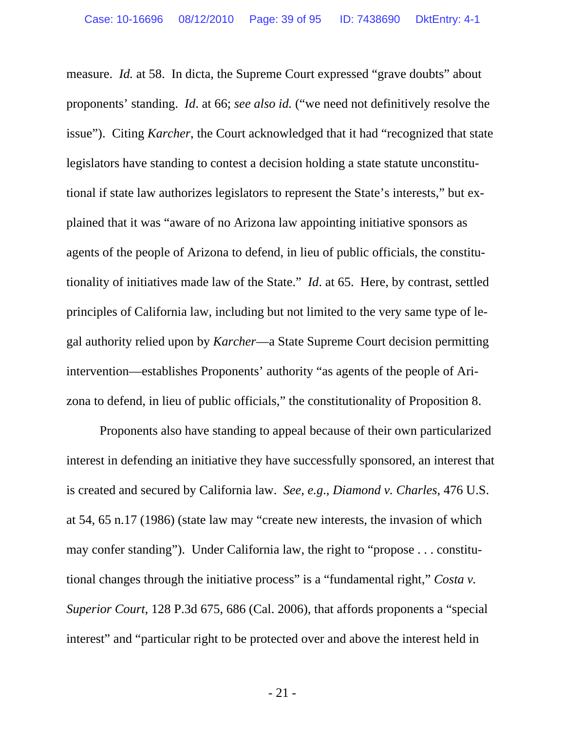measure. *Id.* at 58. In dicta, the Supreme Court expressed "grave doubts" about proponents' standing. *Id*. at 66; *see also id.* ("we need not definitively resolve the issue"). Citing *Karcher*, the Court acknowledged that it had "recognized that state legislators have standing to contest a decision holding a state statute unconstitutional if state law authorizes legislators to represent the State's interests," but explained that it was "aware of no Arizona law appointing initiative sponsors as agents of the people of Arizona to defend, in lieu of public officials, the constitutionality of initiatives made law of the State." *Id*. at 65. Here, by contrast, settled principles of California law, including but not limited to the very same type of legal authority relied upon by *Karcher*—a State Supreme Court decision permitting intervention—establishes Proponents' authority "as agents of the people of Arizona to defend, in lieu of public officials," the constitutionality of Proposition 8.

 Proponents also have standing to appeal because of their own particularized interest in defending an initiative they have successfully sponsored, an interest that is created and secured by California law. *See, e.g*., *Diamond v. Charles*, 476 U.S. at 54, 65 n.17 (1986) (state law may "create new interests, the invasion of which may confer standing"). Under California law, the right to "propose . . . constitutional changes through the initiative process" is a "fundamental right," *Costa v. Superior Court*, 128 P.3d 675, 686 (Cal. 2006), that affords proponents a "special interest" and "particular right to be protected over and above the interest held in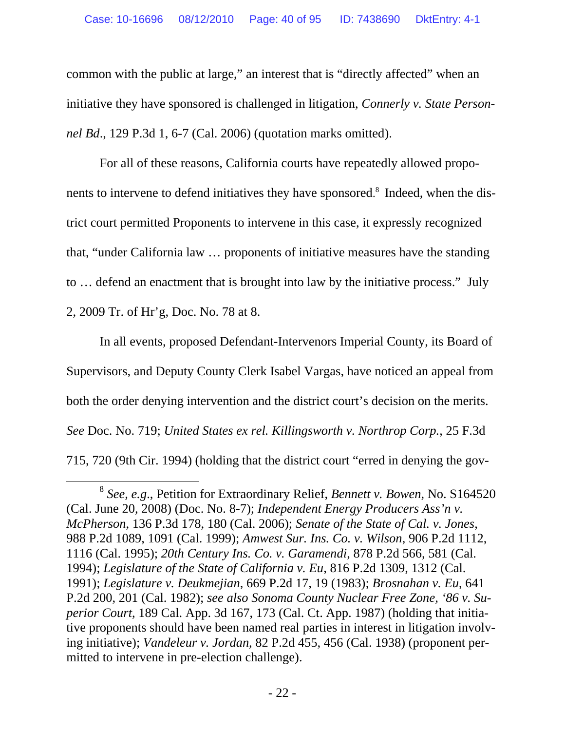common with the public at large," an interest that is "directly affected" when an initiative they have sponsored is challenged in litigation, *Connerly v. State Personnel Bd*., 129 P.3d 1, 6-7 (Cal. 2006) (quotation marks omitted).

 For all of these reasons, California courts have repeatedly allowed proponents to intervene to defend initiatives they have sponsored. 8 Indeed, when the district court permitted Proponents to intervene in this case, it expressly recognized that, "under California law … proponents of initiative measures have the standing to … defend an enactment that is brought into law by the initiative process." July 2, 2009 Tr. of Hr'g, Doc. No. 78 at 8.

 In all events, proposed Defendant-Intervenors Imperial County, its Board of Supervisors, and Deputy County Clerk Isabel Vargas, have noticed an appeal from both the order denying intervention and the district court's decision on the merits. *See* Doc. No. 719; *United States ex rel. Killingsworth v. Northrop Corp.*, 25 F.3d 715, 720 (9th Cir. 1994) (holding that the district court "erred in denying the gov-

 <sup>8</sup> *See, e.g*., Petition for Extraordinary Relief, *Bennett v. Bowen*, No. S164520 (Cal. June 20, 2008) (Doc. No. 8-7); *Independent Energy Producers Ass'n v. McPherson*, 136 P.3d 178, 180 (Cal. 2006); *Senate of the State of Cal. v. Jones*, 988 P.2d 1089, 1091 (Cal. 1999); *Amwest Sur. Ins. Co. v. Wilson*, 906 P.2d 1112, 1116 (Cal. 1995); *20th Century Ins. Co. v. Garamendi*, 878 P.2d 566, 581 (Cal. 1994); *Legislature of the State of California v. Eu*, 816 P.2d 1309, 1312 (Cal. 1991); *Legislature v. Deukmejian*, 669 P.2d 17, 19 (1983); *Brosnahan v. Eu*, 641 P.2d 200, 201 (Cal. 1982); *see also Sonoma County Nuclear Free Zone, '86 v. Superior Court*, 189 Cal. App. 3d 167, 173 (Cal. Ct. App. 1987) (holding that initiative proponents should have been named real parties in interest in litigation involving initiative); *Vandeleur v. Jordan*, 82 P.2d 455, 456 (Cal. 1938) (proponent permitted to intervene in pre-election challenge).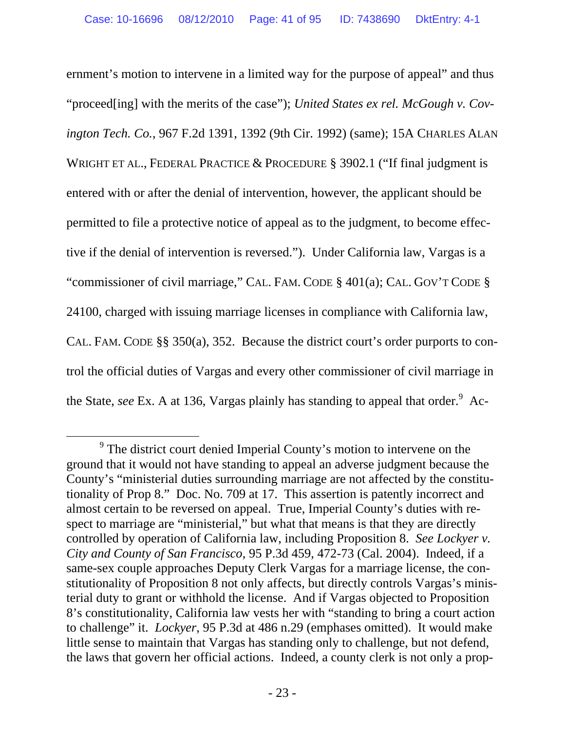ernment's motion to intervene in a limited way for the purpose of appeal" and thus "proceed[ing] with the merits of the case"); *United States ex rel. McGough v. Covington Tech. Co.*, 967 F.2d 1391, 1392 (9th Cir. 1992) (same); 15A CHARLES ALAN WRIGHT ET AL., FEDERAL PRACTICE & PROCEDURE § 3902.1 ("If final judgment is entered with or after the denial of intervention, however, the applicant should be permitted to file a protective notice of appeal as to the judgment, to become effective if the denial of intervention is reversed."). Under California law, Vargas is a "commissioner of civil marriage," CAL. FAM. CODE § 401(a); CAL. GOV'T CODE § 24100, charged with issuing marriage licenses in compliance with California law, CAL. FAM. CODE §§ 350(a), 352. Because the district court's order purports to control the official duties of Vargas and every other commissioner of civil marriage in the State, *see* Ex. A at 136, Vargas plainly has standing to appeal that order.<sup>9</sup> Ac-

 $\frac{1}{9}$ <sup>9</sup> The district court denied Imperial County's motion to intervene on the ground that it would not have standing to appeal an adverse judgment because the County's "ministerial duties surrounding marriage are not affected by the constitutionality of Prop 8." Doc. No. 709 at 17. This assertion is patently incorrect and almost certain to be reversed on appeal. True, Imperial County's duties with respect to marriage are "ministerial," but what that means is that they are directly controlled by operation of California law, including Proposition 8. *See Lockyer v. City and County of San Francisco*, 95 P.3d 459, 472-73 (Cal. 2004). Indeed, if a same-sex couple approaches Deputy Clerk Vargas for a marriage license, the constitutionality of Proposition 8 not only affects, but directly controls Vargas's ministerial duty to grant or withhold the license. And if Vargas objected to Proposition 8's constitutionality, California law vests her with "standing to bring a court action to challenge" it. *Lockyer*, 95 P.3d at 486 n.29 (emphases omitted). It would make little sense to maintain that Vargas has standing only to challenge, but not defend, the laws that govern her official actions. Indeed, a county clerk is not only a prop-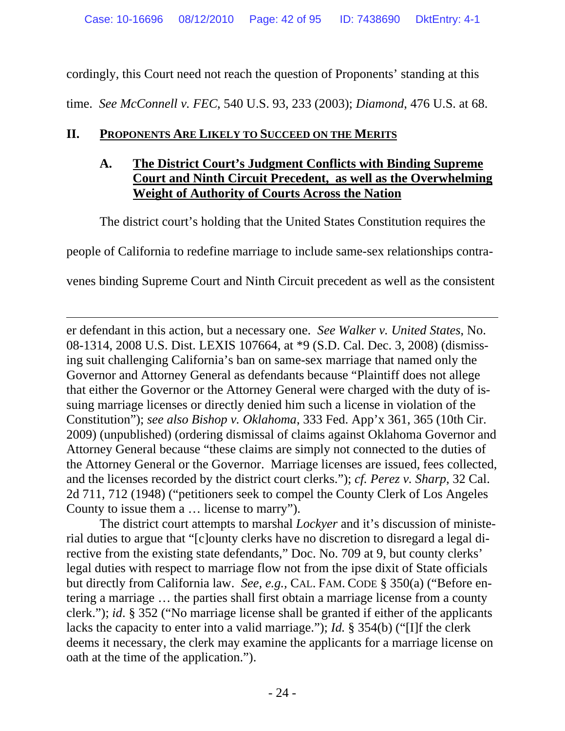cordingly, this Court need not reach the question of Proponents' standing at this time. *See McConnell v. FEC*, 540 U.S. 93, 233 (2003); *Diamond*, 476 U.S. at 68.

### **II. PROPONENTS ARE LIKELY TO SUCCEED ON THE MERITS**

 $\overline{a}$ 

## **A. The District Court's Judgment Conflicts with Binding Supreme Court and Ninth Circuit Precedent, as well as the Overwhelming Weight of Authority of Courts Across the Nation**

The district court's holding that the United States Constitution requires the

people of California to redefine marriage to include same-sex relationships contra-

venes binding Supreme Court and Ninth Circuit precedent as well as the consistent

er defendant in this action, but a necessary one. *See Walker v. United States*, No. 08-1314, 2008 U.S. Dist. LEXIS 107664, at \*9 (S.D. Cal. Dec. 3, 2008) (dismissing suit challenging California's ban on same-sex marriage that named only the Governor and Attorney General as defendants because "Plaintiff does not allege that either the Governor or the Attorney General were charged with the duty of issuing marriage licenses or directly denied him such a license in violation of the Constitution"); *see also Bishop v. Oklahoma*, 333 Fed. App'x 361, 365 (10th Cir. 2009) (unpublished) (ordering dismissal of claims against Oklahoma Governor and Attorney General because "these claims are simply not connected to the duties of the Attorney General or the Governor. Marriage licenses are issued, fees collected, and the licenses recorded by the district court clerks."); *cf. Perez v. Sharp*, 32 Cal. 2d 711, 712 (1948) ("petitioners seek to compel the County Clerk of Los Angeles County to issue them a … license to marry").

 The district court attempts to marshal *Lockyer* and it's discussion of ministerial duties to argue that "[c]ounty clerks have no discretion to disregard a legal directive from the existing state defendants," Doc. No. 709 at 9, but county clerks' legal duties with respect to marriage flow not from the ipse dixit of State officials but directly from California law. *See, e.g.,* CAL. FAM. CODE § 350(a) ("Before entering a marriage … the parties shall first obtain a marriage license from a county clerk."); *id*. § 352 ("No marriage license shall be granted if either of the applicants lacks the capacity to enter into a valid marriage."); *Id.* § 354(b) ("[I]f the clerk deems it necessary, the clerk may examine the applicants for a marriage license on oath at the time of the application.").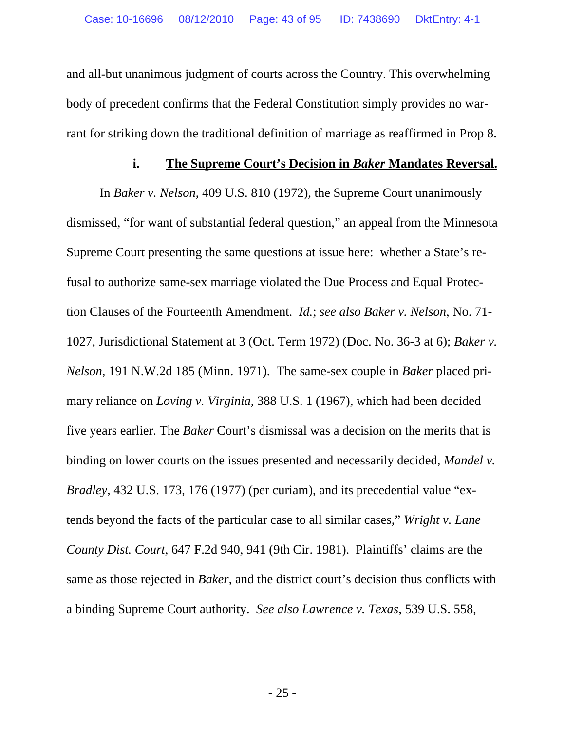and all-but unanimous judgment of courts across the Country. This overwhelming body of precedent confirms that the Federal Constitution simply provides no warrant for striking down the traditional definition of marriage as reaffirmed in Prop 8.

#### **i. The Supreme Court's Decision in** *Baker* **Mandates Reversal.**

 In *Baker v. Nelson*, 409 U.S. 810 (1972), the Supreme Court unanimously dismissed, "for want of substantial federal question," an appeal from the Minnesota Supreme Court presenting the same questions at issue here: whether a State's refusal to authorize same-sex marriage violated the Due Process and Equal Protection Clauses of the Fourteenth Amendment. *Id.*; *see also Baker v. Nelson*, No. 71- 1027, Jurisdictional Statement at 3 (Oct. Term 1972) (Doc. No. 36-3 at 6); *Baker v. Nelson*, 191 N.W.2d 185 (Minn. 1971). The same-sex couple in *Baker* placed primary reliance on *Loving v. Virginia*, 388 U.S. 1 (1967), which had been decided five years earlier. The *Baker* Court's dismissal was a decision on the merits that is binding on lower courts on the issues presented and necessarily decided, *Mandel v. Bradley*, 432 U.S. 173, 176 (1977) (per curiam), and its precedential value "extends beyond the facts of the particular case to all similar cases," *Wright v. Lane County Dist. Court*, 647 F.2d 940, 941 (9th Cir. 1981). Plaintiffs' claims are the same as those rejected in *Baker*, and the district court's decision thus conflicts with a binding Supreme Court authority. *See also Lawrence v. Texas*, 539 U.S. 558,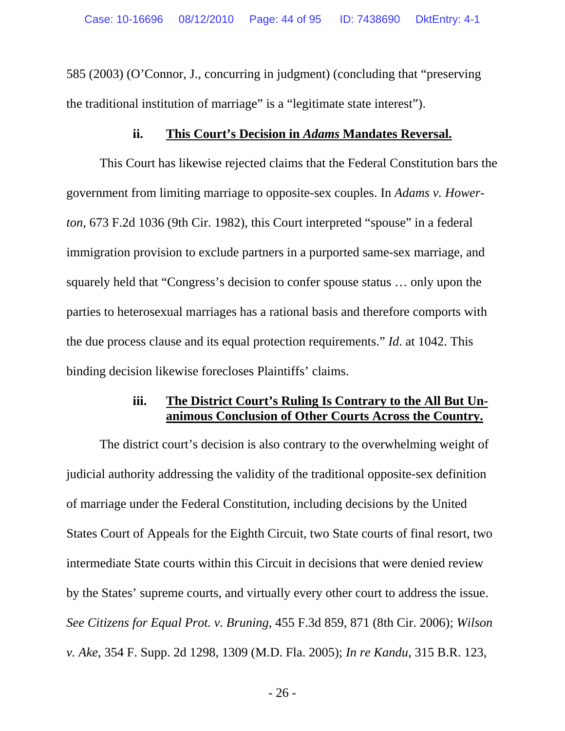585 (2003) (O'Connor, J., concurring in judgment) (concluding that "preserving the traditional institution of marriage" is a "legitimate state interest").

### **ii. This Court's Decision in** *Adams* **Mandates Reversal.**

 This Court has likewise rejected claims that the Federal Constitution bars the government from limiting marriage to opposite-sex couples. In *Adams v. Howerton*, 673 F.2d 1036 (9th Cir. 1982), this Court interpreted "spouse" in a federal immigration provision to exclude partners in a purported same-sex marriage, and squarely held that "Congress's decision to confer spouse status … only upon the parties to heterosexual marriages has a rational basis and therefore comports with the due process clause and its equal protection requirements." *Id*. at 1042. This binding decision likewise forecloses Plaintiffs' claims.

### **iii. The District Court's Ruling Is Contrary to the All But Unanimous Conclusion of Other Courts Across the Country.**

The district court's decision is also contrary to the overwhelming weight of judicial authority addressing the validity of the traditional opposite-sex definition of marriage under the Federal Constitution, including decisions by the United States Court of Appeals for the Eighth Circuit, two State courts of final resort, two intermediate State courts within this Circuit in decisions that were denied review by the States' supreme courts, and virtually every other court to address the issue. *See Citizens for Equal Prot. v. Bruning*, 455 F.3d 859, 871 (8th Cir. 2006); *Wilson v. Ake*, 354 F. Supp. 2d 1298, 1309 (M.D. Fla. 2005); *In re Kandu*, 315 B.R. 123,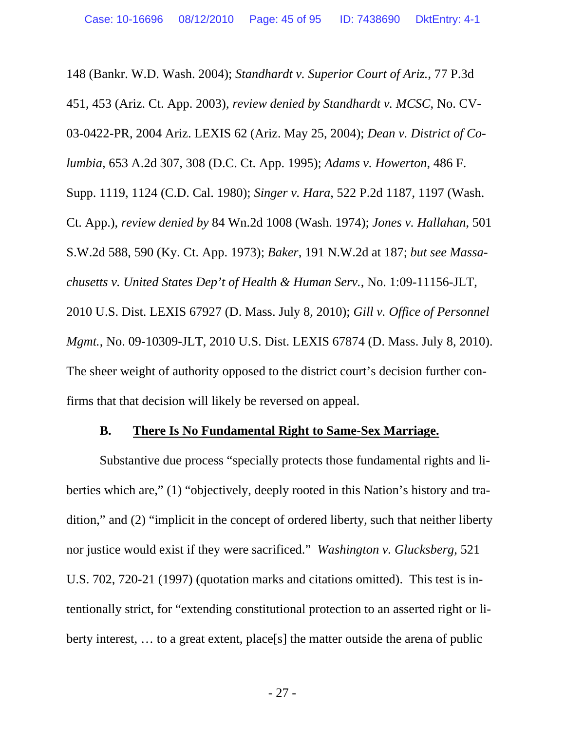148 (Bankr. W.D. Wash. 2004); *Standhardt v. Superior Court of Ariz.*, 77 P.3d 451, 453 (Ariz. Ct. App. 2003), *review denied by Standhardt v. MCSC*, No. CV-03-0422-PR, 2004 Ariz. LEXIS 62 (Ariz. May 25, 2004); *Dean v. District of Columbia*, 653 A.2d 307, 308 (D.C. Ct. App. 1995); *Adams v. Howerton*, 486 F. Supp. 1119, 1124 (C.D. Cal. 1980); *Singer v. Hara*, 522 P.2d 1187, 1197 (Wash. Ct. App.), *review denied by* 84 Wn.2d 1008 (Wash. 1974); *Jones v. Hallahan*, 501 S.W.2d 588, 590 (Ky. Ct. App. 1973); *Baker*, 191 N.W.2d at 187; *but see Massachusetts v. United States Dep't of Health & Human Serv.*, No. 1:09-11156-JLT, 2010 U.S. Dist. LEXIS 67927 (D. Mass. July 8, 2010); *Gill v. Office of Personnel Mgmt.*, No. 09-10309-JLT, 2010 U.S. Dist. LEXIS 67874 (D. Mass. July 8, 2010). The sheer weight of authority opposed to the district court's decision further confirms that that decision will likely be reversed on appeal.

#### **B. There Is No Fundamental Right to Same-Sex Marriage.**

Substantive due process "specially protects those fundamental rights and liberties which are," (1) "objectively, deeply rooted in this Nation's history and tradition," and (2) "implicit in the concept of ordered liberty, such that neither liberty nor justice would exist if they were sacrificed." *Washington v. Glucksberg*, 521 U.S. 702, 720-21 (1997) (quotation marks and citations omitted). This test is intentionally strict, for "extending constitutional protection to an asserted right or liberty interest, … to a great extent, place[s] the matter outside the arena of public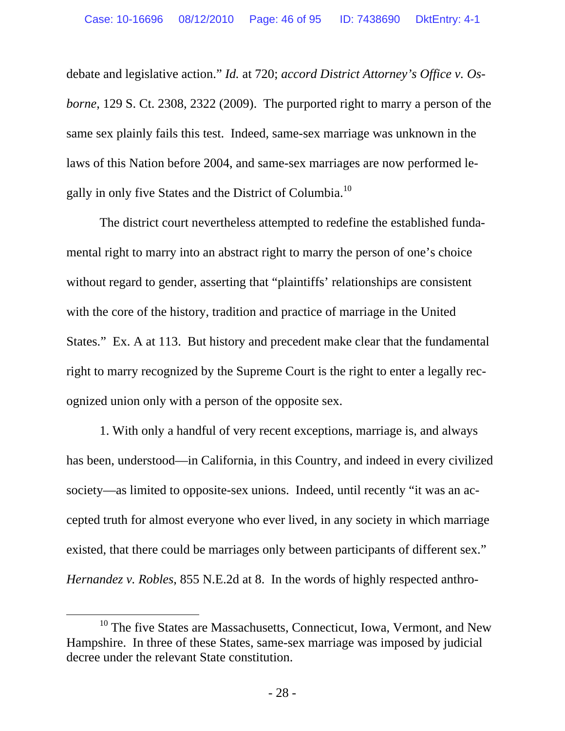debate and legislative action." *Id.* at 720; *accord District Attorney's Office v. Osborne*, 129 S. Ct. 2308, 2322 (2009). The purported right to marry a person of the same sex plainly fails this test. Indeed, same-sex marriage was unknown in the laws of this Nation before 2004, and same-sex marriages are now performed legally in only five States and the District of Columbia.<sup>10</sup>

The district court nevertheless attempted to redefine the established fundamental right to marry into an abstract right to marry the person of one's choice without regard to gender, asserting that "plaintiffs' relationships are consistent with the core of the history, tradition and practice of marriage in the United States." Ex. A at 113. But history and precedent make clear that the fundamental right to marry recognized by the Supreme Court is the right to enter a legally recognized union only with a person of the opposite sex.

1. With only a handful of very recent exceptions, marriage is, and always has been, understood—in California, in this Country, and indeed in every civilized society—as limited to opposite-sex unions. Indeed, until recently "it was an accepted truth for almost everyone who ever lived, in any society in which marriage existed, that there could be marriages only between participants of different sex." *Hernandez v. Robles*, 855 N.E.2d at 8. In the words of highly respected anthro-

 $10$  The five States are Massachusetts, Connecticut, Iowa, Vermont, and New Hampshire. In three of these States, same-sex marriage was imposed by judicial decree under the relevant State constitution.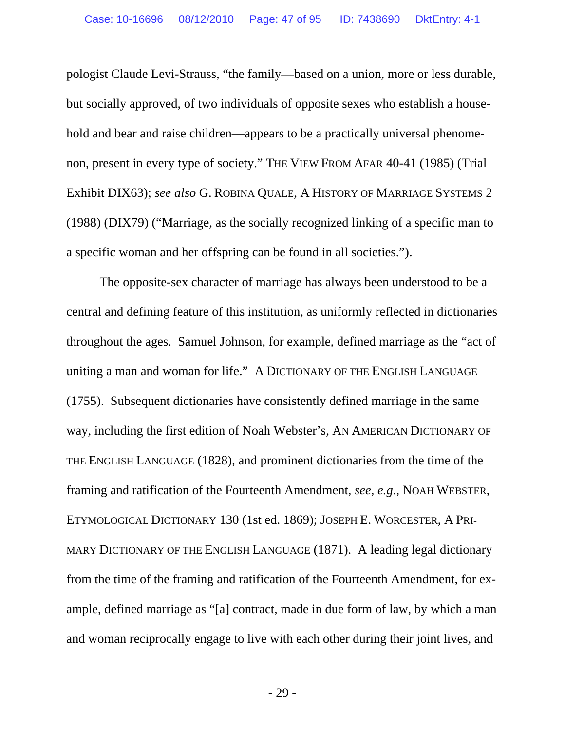pologist Claude Levi-Strauss, "the family—based on a union, more or less durable, but socially approved, of two individuals of opposite sexes who establish a household and bear and raise children—appears to be a practically universal phenomenon, present in every type of society." THE VIEW FROM AFAR 40-41 (1985) (Trial Exhibit DIX63); *see also* G. ROBINA QUALE, A HISTORY OF MARRIAGE SYSTEMS 2 (1988) (DIX79) ("Marriage, as the socially recognized linking of a specific man to a specific woman and her offspring can be found in all societies.").

The opposite-sex character of marriage has always been understood to be a central and defining feature of this institution, as uniformly reflected in dictionaries throughout the ages. Samuel Johnson, for example, defined marriage as the "act of uniting a man and woman for life." A DICTIONARY OF THE ENGLISH LANGUAGE (1755). Subsequent dictionaries have consistently defined marriage in the same way, including the first edition of Noah Webster's, AN AMERICAN DICTIONARY OF THE ENGLISH LANGUAGE (1828), and prominent dictionaries from the time of the framing and ratification of the Fourteenth Amendment, *see, e.g*., NOAH WEBSTER, ETYMOLOGICAL DICTIONARY 130 (1st ed. 1869); JOSEPH E. WORCESTER, A PRI-MARY DICTIONARY OF THE ENGLISH LANGUAGE (1871). A leading legal dictionary from the time of the framing and ratification of the Fourteenth Amendment, for example, defined marriage as "[a] contract, made in due form of law, by which a man and woman reciprocally engage to live with each other during their joint lives, and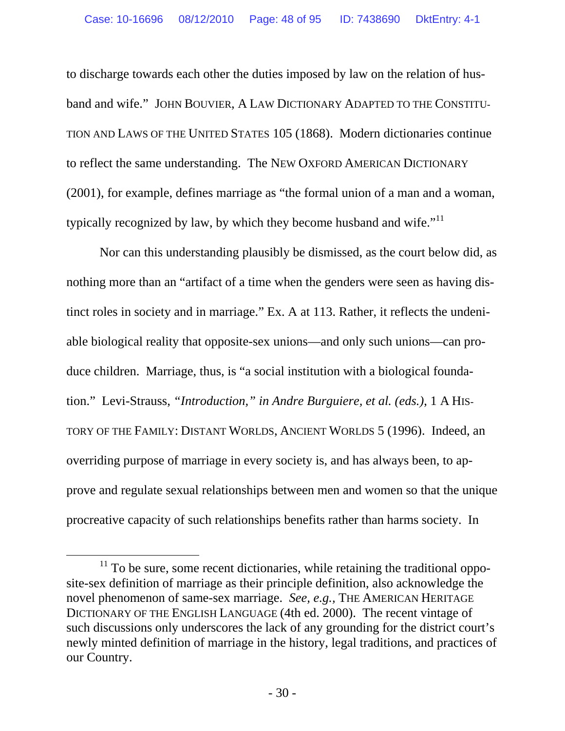to discharge towards each other the duties imposed by law on the relation of husband and wife." JOHN BOUVIER, A LAW DICTIONARY ADAPTED TO THE CONSTITU-TION AND LAWS OF THE UNITED STATES 105 (1868). Modern dictionaries continue to reflect the same understanding. The NEW OXFORD AMERICAN DICTIONARY (2001), for example, defines marriage as "the formal union of a man and a woman, typically recognized by law, by which they become husband and wife."<sup>11</sup>

Nor can this understanding plausibly be dismissed, as the court below did, as nothing more than an "artifact of a time when the genders were seen as having distinct roles in society and in marriage." Ex. A at 113. Rather, it reflects the undeniable biological reality that opposite-sex unions—and only such unions—can produce children. Marriage, thus, is "a social institution with a biological foundation." Levi-Strauss, *"Introduction," in Andre Burguiere, et al. (eds.)*, 1 A HIS-TORY OF THE FAMILY: DISTANT WORLDS, ANCIENT WORLDS 5 (1996). Indeed, an overriding purpose of marriage in every society is, and has always been, to approve and regulate sexual relationships between men and women so that the unique procreative capacity of such relationships benefits rather than harms society. In

 $11$  To be sure, some recent dictionaries, while retaining the traditional opposite-sex definition of marriage as their principle definition, also acknowledge the novel phenomenon of same-sex marriage. *See, e.g.,* THE AMERICAN HERITAGE DICTIONARY OF THE ENGLISH LANGUAGE (4th ed. 2000). The recent vintage of such discussions only underscores the lack of any grounding for the district court's newly minted definition of marriage in the history, legal traditions, and practices of our Country.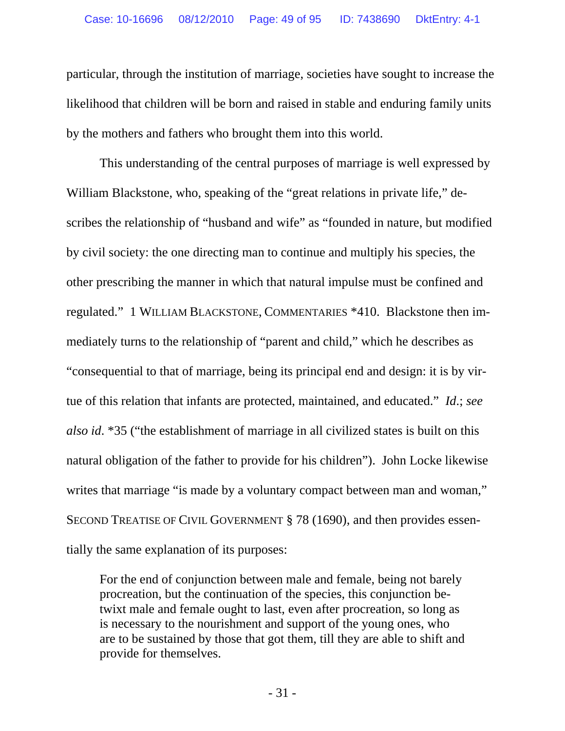particular, through the institution of marriage, societies have sought to increase the likelihood that children will be born and raised in stable and enduring family units by the mothers and fathers who brought them into this world.

This understanding of the central purposes of marriage is well expressed by William Blackstone, who, speaking of the "great relations in private life," describes the relationship of "husband and wife" as "founded in nature, but modified by civil society: the one directing man to continue and multiply his species, the other prescribing the manner in which that natural impulse must be confined and regulated." 1 WILLIAM BLACKSTONE, COMMENTARIES \*410. Blackstone then immediately turns to the relationship of "parent and child," which he describes as "consequential to that of marriage, being its principal end and design: it is by virtue of this relation that infants are protected, maintained, and educated." *Id*.; *see also id*. \*35 ("the establishment of marriage in all civilized states is built on this natural obligation of the father to provide for his children"). John Locke likewise writes that marriage "is made by a voluntary compact between man and woman," SECOND TREATISE OF CIVIL GOVERNMENT § 78 (1690), and then provides essentially the same explanation of its purposes:

For the end of conjunction between male and female, being not barely procreation, but the continuation of the species, this conjunction betwixt male and female ought to last, even after procreation, so long as is necessary to the nourishment and support of the young ones, who are to be sustained by those that got them, till they are able to shift and provide for themselves.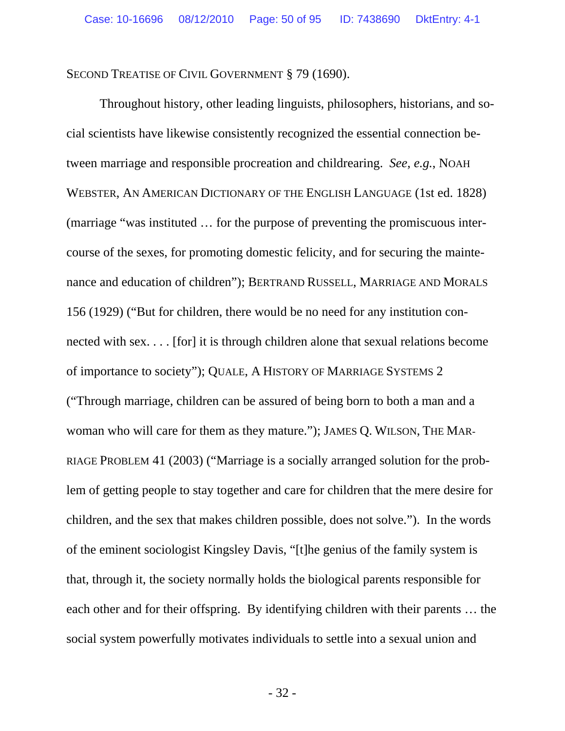SECOND TREATISE OF CIVIL GOVERNMENT § 79 (1690).

 Throughout history, other leading linguists, philosophers, historians, and social scientists have likewise consistently recognized the essential connection between marriage and responsible procreation and childrearing. *See, e.g.*, NOAH WEBSTER, AN AMERICAN DICTIONARY OF THE ENGLISH LANGUAGE (1st ed. 1828) (marriage "was instituted … for the purpose of preventing the promiscuous intercourse of the sexes, for promoting domestic felicity, and for securing the maintenance and education of children"); BERTRAND RUSSELL, MARRIAGE AND MORALS 156 (1929) ("But for children, there would be no need for any institution connected with sex. . . . [for] it is through children alone that sexual relations become of importance to society"); QUALE, A HISTORY OF MARRIAGE SYSTEMS 2 ("Through marriage, children can be assured of being born to both a man and a woman who will care for them as they mature."); JAMES Q. WILSON, THE MAR-RIAGE PROBLEM 41 (2003) ("Marriage is a socially arranged solution for the problem of getting people to stay together and care for children that the mere desire for children, and the sex that makes children possible, does not solve."). In the words of the eminent sociologist Kingsley Davis, "[t]he genius of the family system is that, through it, the society normally holds the biological parents responsible for each other and for their offspring. By identifying children with their parents … the social system powerfully motivates individuals to settle into a sexual union and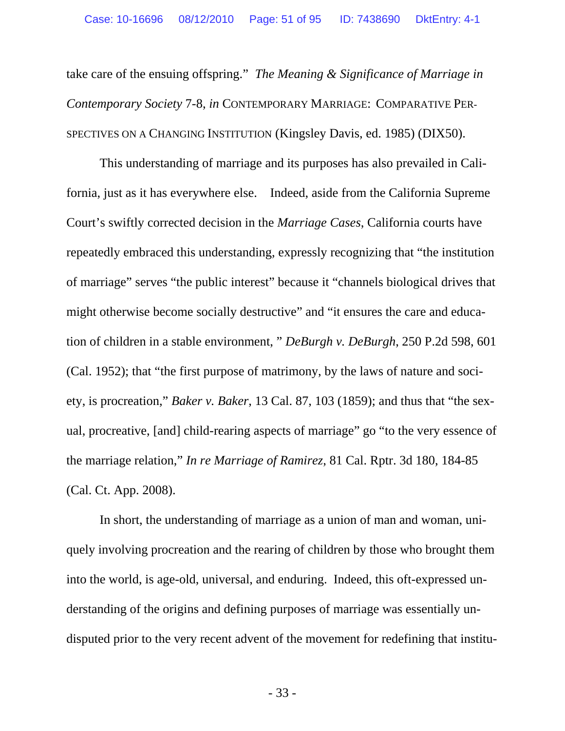take care of the ensuing offspring." *The Meaning & Significance of Marriage in Contemporary Society* 7-8, *in* CONTEMPORARY MARRIAGE: COMPARATIVE PER-SPECTIVES ON A CHANGING INSTITUTION (Kingsley Davis, ed. 1985) (DIX50).

 This understanding of marriage and its purposes has also prevailed in California, just as it has everywhere else. Indeed, aside from the California Supreme Court's swiftly corrected decision in the *Marriage Cases*, California courts have repeatedly embraced this understanding, expressly recognizing that "the institution of marriage" serves "the public interest" because it "channels biological drives that might otherwise become socially destructive" and "it ensures the care and education of children in a stable environment, " *DeBurgh v. DeBurgh*, 250 P.2d 598, 601 (Cal. 1952); that "the first purpose of matrimony, by the laws of nature and society, is procreation," *Baker v. Baker*, 13 Cal. 87, 103 (1859); and thus that "the sexual, procreative, [and] child-rearing aspects of marriage" go "to the very essence of the marriage relation," *In re Marriage of Ramirez*, 81 Cal. Rptr. 3d 180, 184-85 (Cal. Ct. App. 2008).

 In short, the understanding of marriage as a union of man and woman, uniquely involving procreation and the rearing of children by those who brought them into the world, is age-old, universal, and enduring. Indeed, this oft-expressed understanding of the origins and defining purposes of marriage was essentially undisputed prior to the very recent advent of the movement for redefining that institu-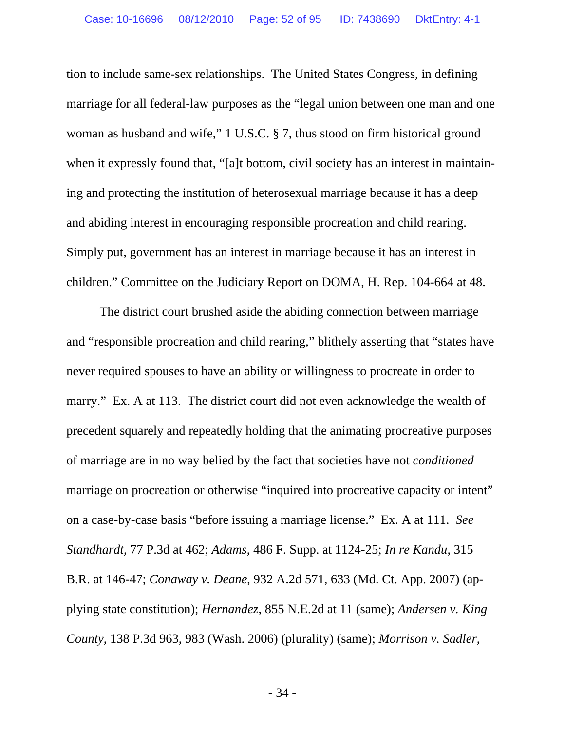tion to include same-sex relationships. The United States Congress, in defining marriage for all federal-law purposes as the "legal union between one man and one woman as husband and wife," 1 U.S.C. § 7, thus stood on firm historical ground when it expressly found that, "[a]t bottom, civil society has an interest in maintaining and protecting the institution of heterosexual marriage because it has a deep and abiding interest in encouraging responsible procreation and child rearing. Simply put, government has an interest in marriage because it has an interest in children." Committee on the Judiciary Report on DOMA, H. Rep. 104-664 at 48.

 The district court brushed aside the abiding connection between marriage and "responsible procreation and child rearing," blithely asserting that "states have never required spouses to have an ability or willingness to procreate in order to marry." Ex. A at 113. The district court did not even acknowledge the wealth of precedent squarely and repeatedly holding that the animating procreative purposes of marriage are in no way belied by the fact that societies have not *conditioned*  marriage on procreation or otherwise "inquired into procreative capacity or intent" on a case-by-case basis "before issuing a marriage license." Ex. A at 111. *See Standhardt*, 77 P.3d at 462; *Adams*, 486 F. Supp. at 1124-25; *In re Kandu*, 315 B.R. at 146-47; *Conaway v. Deane*, 932 A.2d 571, 633 (Md. Ct. App. 2007) (applying state constitution); *Hernandez*, 855 N.E.2d at 11 (same); *Andersen v. King County*, 138 P.3d 963, 983 (Wash. 2006) (plurality) (same); *Morrison v. Sadler*,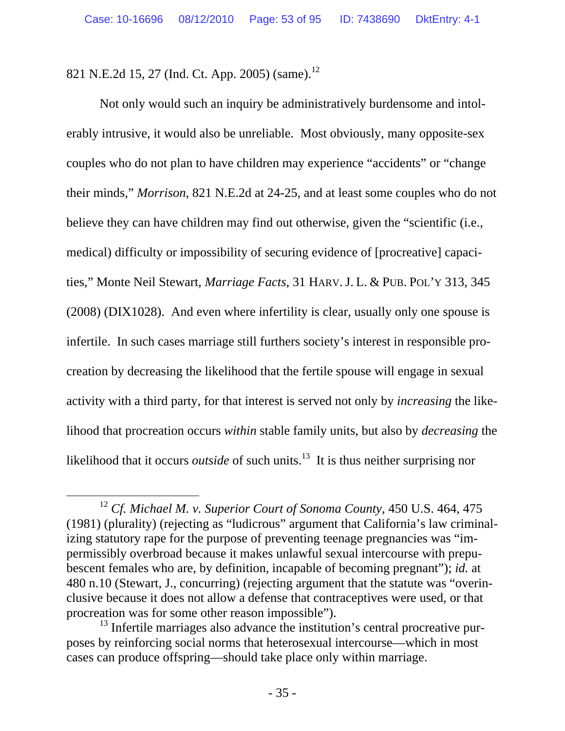821 N.E.2d 15, 27 (Ind. Ct. App. 2005) (same).<sup>12</sup>

Not only would such an inquiry be administratively burdensome and intolerably intrusive, it would also be unreliable. Most obviously, many opposite-sex couples who do not plan to have children may experience "accidents" or "change their minds," *Morrison*, 821 N.E.2d at 24-25, and at least some couples who do not believe they can have children may find out otherwise, given the "scientific (i.e., medical) difficulty or impossibility of securing evidence of [procreative] capacities," Monte Neil Stewart, *Marriage Facts*, 31 HARV. J. L. & PUB. POL'Y 313, 345 (2008) (DIX1028). And even where infertility is clear, usually only one spouse is infertile. In such cases marriage still furthers society's interest in responsible procreation by decreasing the likelihood that the fertile spouse will engage in sexual activity with a third party, for that interest is served not only by *increasing* the likelihood that procreation occurs *within* stable family units, but also by *decreasing* the likelihood that it occurs *outside* of such units.<sup>13</sup> It is thus neither surprising nor

 <sup>12</sup> *Cf. Michael M. v. Superior Court of Sonoma County*, 450 U.S. 464, 475 (1981) (plurality) (rejecting as "ludicrous" argument that California's law criminalizing statutory rape for the purpose of preventing teenage pregnancies was "impermissibly overbroad because it makes unlawful sexual intercourse with prepubescent females who are, by definition, incapable of becoming pregnant"); *id.* at 480 n.10 (Stewart, J., concurring) (rejecting argument that the statute was "overinclusive because it does not allow a defense that contraceptives were used, or that procreation was for some other reason impossible").

 $13$  Infertile marriages also advance the institution's central procreative purposes by reinforcing social norms that heterosexual intercourse—which in most cases can produce offspring—should take place only within marriage.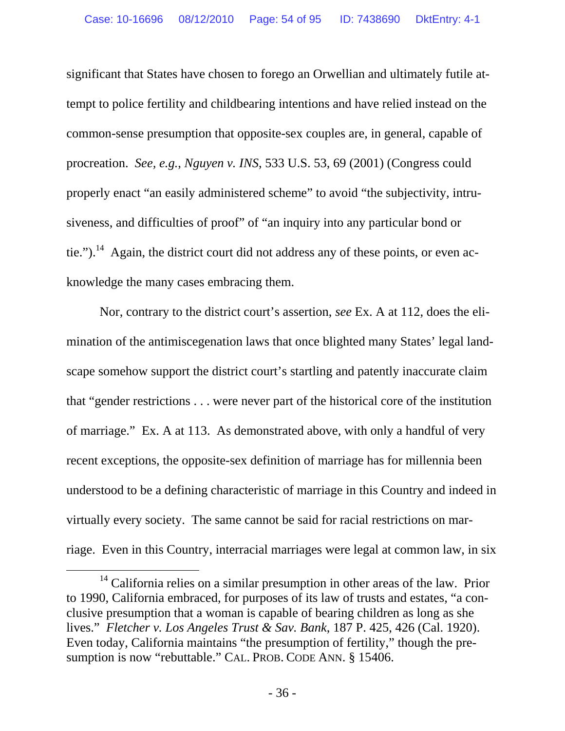significant that States have chosen to forego an Orwellian and ultimately futile attempt to police fertility and childbearing intentions and have relied instead on the common-sense presumption that opposite-sex couples are, in general, capable of procreation. *See, e.g.*, *Nguyen v. INS*, 533 U.S. 53, 69 (2001) (Congress could properly enact "an easily administered scheme" to avoid "the subjectivity, intrusiveness, and difficulties of proof" of "an inquiry into any particular bond or tie.").<sup>14</sup> Again, the district court did not address any of these points, or even acknowledge the many cases embracing them.

Nor, contrary to the district court's assertion, *see* Ex. A at 112, does the elimination of the antimiscegenation laws that once blighted many States' legal landscape somehow support the district court's startling and patently inaccurate claim that "gender restrictions . . . were never part of the historical core of the institution of marriage." Ex. A at 113. As demonstrated above, with only a handful of very recent exceptions, the opposite-sex definition of marriage has for millennia been understood to be a defining characteristic of marriage in this Country and indeed in virtually every society. The same cannot be said for racial restrictions on marriage. Even in this Country, interracial marriages were legal at common law, in six

<sup>&</sup>lt;sup>14</sup> California relies on a similar presumption in other areas of the law. Prior to 1990, California embraced, for purposes of its law of trusts and estates, "a conclusive presumption that a woman is capable of bearing children as long as she lives." *Fletcher v. Los Angeles Trust & Sav. Bank*, 187 P. 425, 426 (Cal. 1920). Even today, California maintains "the presumption of fertility," though the presumption is now "rebuttable." CAL. PROB. CODE ANN. § 15406.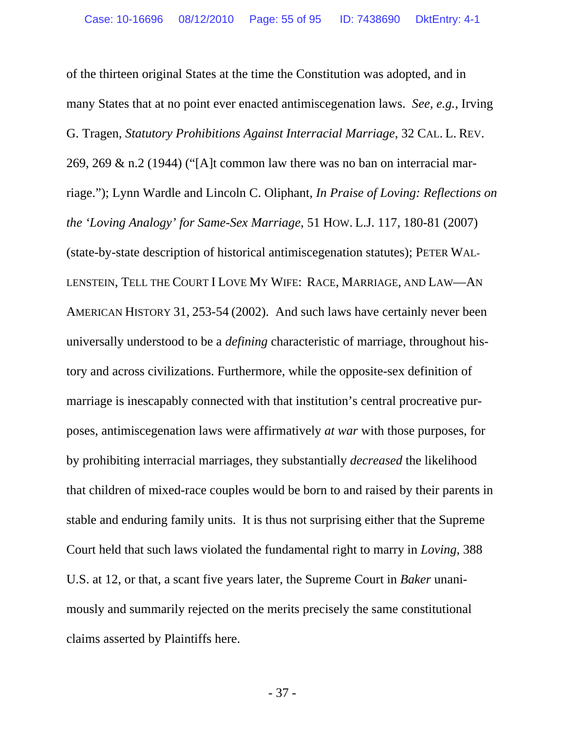of the thirteen original States at the time the Constitution was adopted, and in many States that at no point ever enacted antimiscegenation laws. *See, e.g.*, Irving G. Tragen, *Statutory Prohibitions Against Interracial Marriage*, 32 CAL. L. REV. 269, 269  $\&$  n.2 (1944) ("[A]t common law there was no ban on interracial marriage."); Lynn Wardle and Lincoln C. Oliphant, *In Praise of Loving: Reflections on the 'Loving Analogy' for Same-Sex Marriage*, 51 HOW. L.J. 117, 180-81 (2007) (state-by-state description of historical antimiscegenation statutes); PETER WAL-LENSTEIN, TELL THE COURT I LOVE MY WIFE: RACE, MARRIAGE, AND LAW—AN AMERICAN HISTORY 31, 253-54 (2002). And such laws have certainly never been universally understood to be a *defining* characteristic of marriage, throughout history and across civilizations. Furthermore, while the opposite-sex definition of marriage is inescapably connected with that institution's central procreative purposes, antimiscegenation laws were affirmatively *at war* with those purposes, for by prohibiting interracial marriages, they substantially *decreased* the likelihood that children of mixed-race couples would be born to and raised by their parents in stable and enduring family units. It is thus not surprising either that the Supreme Court held that such laws violated the fundamental right to marry in *Loving*, 388 U.S. at 12, or that, a scant five years later, the Supreme Court in *Baker* unanimously and summarily rejected on the merits precisely the same constitutional claims asserted by Plaintiffs here.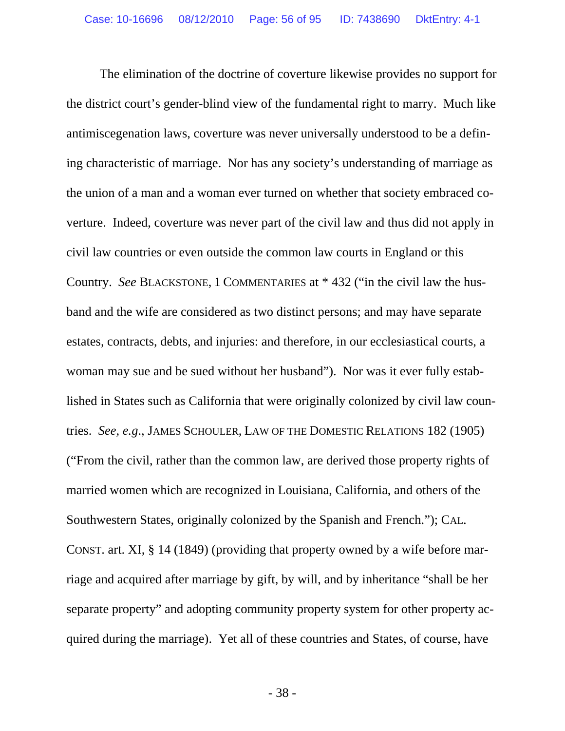The elimination of the doctrine of coverture likewise provides no support for the district court's gender-blind view of the fundamental right to marry. Much like antimiscegenation laws, coverture was never universally understood to be a defining characteristic of marriage. Nor has any society's understanding of marriage as the union of a man and a woman ever turned on whether that society embraced coverture. Indeed, coverture was never part of the civil law and thus did not apply in civil law countries or even outside the common law courts in England or this Country. *See* BLACKSTONE, 1 COMMENTARIES at \* 432 ("in the civil law the husband and the wife are considered as two distinct persons; and may have separate estates, contracts, debts, and injuries: and therefore, in our ecclesiastical courts, a woman may sue and be sued without her husband"). Nor was it ever fully established in States such as California that were originally colonized by civil law countries. *See, e.g*., JAMES SCHOULER, LAW OF THE DOMESTIC RELATIONS 182 (1905) ("From the civil, rather than the common law, are derived those property rights of married women which are recognized in Louisiana, California, and others of the Southwestern States, originally colonized by the Spanish and French."); CAL. CONST. art. XI, § 14 (1849) (providing that property owned by a wife before marriage and acquired after marriage by gift, by will, and by inheritance "shall be her separate property" and adopting community property system for other property acquired during the marriage). Yet all of these countries and States, of course, have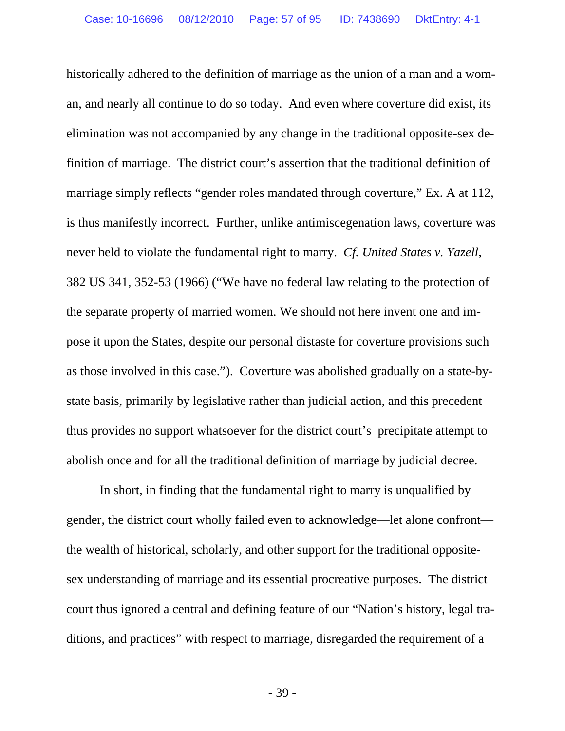historically adhered to the definition of marriage as the union of a man and a woman, and nearly all continue to do so today. And even where coverture did exist, its elimination was not accompanied by any change in the traditional opposite-sex definition of marriage. The district court's assertion that the traditional definition of marriage simply reflects "gender roles mandated through coverture," Ex. A at 112, is thus manifestly incorrect. Further, unlike antimiscegenation laws, coverture was never held to violate the fundamental right to marry. *Cf. United States v. Yazell*, 382 US 341, 352-53 (1966) ("We have no federal law relating to the protection of the separate property of married women. We should not here invent one and impose it upon the States, despite our personal distaste for coverture provisions such as those involved in this case."). Coverture was abolished gradually on a state-bystate basis, primarily by legislative rather than judicial action, and this precedent thus provides no support whatsoever for the district court's precipitate attempt to abolish once and for all the traditional definition of marriage by judicial decree.

 In short, in finding that the fundamental right to marry is unqualified by gender, the district court wholly failed even to acknowledge—let alone confront the wealth of historical, scholarly, and other support for the traditional oppositesex understanding of marriage and its essential procreative purposes. The district court thus ignored a central and defining feature of our "Nation's history, legal traditions, and practices" with respect to marriage, disregarded the requirement of a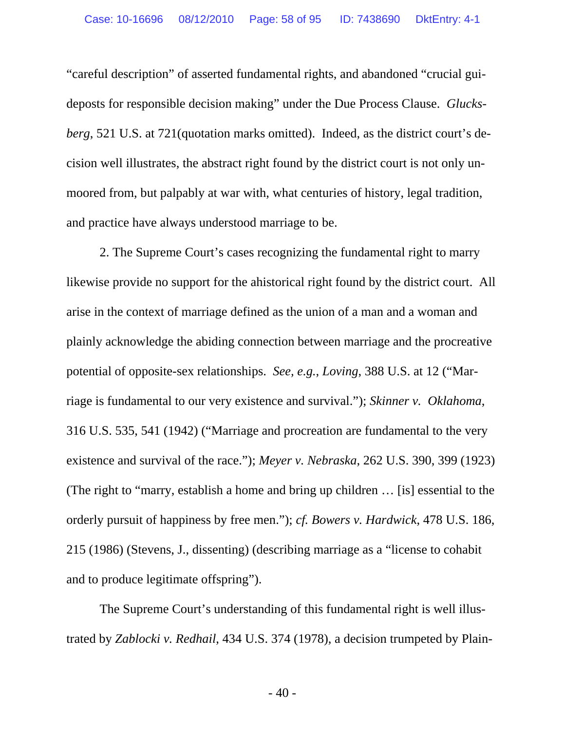"careful description" of asserted fundamental rights, and abandoned "crucial guideposts for responsible decision making" under the Due Process Clause. *Glucksberg*, 521 U.S. at 721(quotation marks omitted). Indeed, as the district court's decision well illustrates, the abstract right found by the district court is not only unmoored from, but palpably at war with, what centuries of history, legal tradition, and practice have always understood marriage to be.

2. The Supreme Court's cases recognizing the fundamental right to marry likewise provide no support for the ahistorical right found by the district court. All arise in the context of marriage defined as the union of a man and a woman and plainly acknowledge the abiding connection between marriage and the procreative potential of opposite-sex relationships. *See, e.g.*, *Loving*, 388 U.S. at 12 ("Marriage is fundamental to our very existence and survival."); *Skinner v. Oklahoma*, 316 U.S. 535, 541 (1942) ("Marriage and procreation are fundamental to the very existence and survival of the race."); *Meyer v. Nebraska*, 262 U.S. 390, 399 (1923) (The right to "marry, establish a home and bring up children … [is] essential to the orderly pursuit of happiness by free men."); *cf. Bowers v. Hardwick*, 478 U.S. 186, 215 (1986) (Stevens, J., dissenting) (describing marriage as a "license to cohabit and to produce legitimate offspring").

The Supreme Court's understanding of this fundamental right is well illustrated by *Zablocki v. Redhail*, 434 U.S. 374 (1978), a decision trumpeted by Plain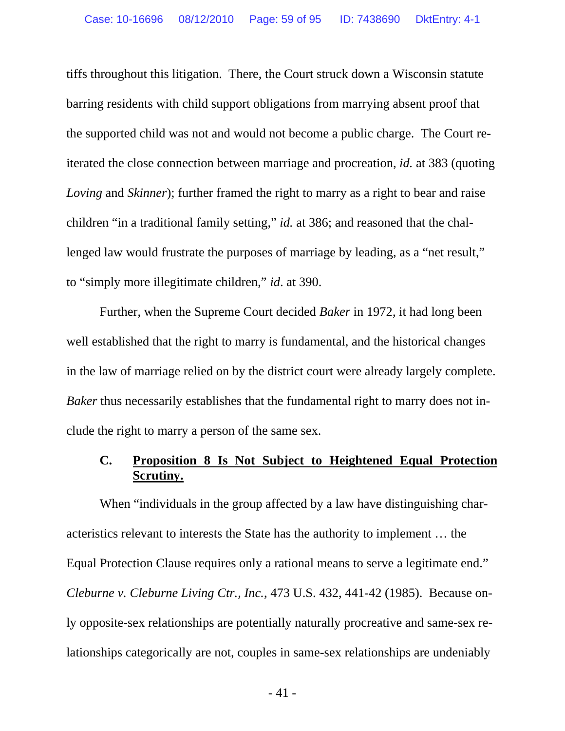tiffs throughout this litigation. There, the Court struck down a Wisconsin statute barring residents with child support obligations from marrying absent proof that the supported child was not and would not become a public charge. The Court reiterated the close connection between marriage and procreation, *id.* at 383 (quoting *Loving* and *Skinner*); further framed the right to marry as a right to bear and raise children "in a traditional family setting," *id.* at 386; and reasoned that the challenged law would frustrate the purposes of marriage by leading, as a "net result," to "simply more illegitimate children," *id*. at 390.

Further, when the Supreme Court decided *Baker* in 1972, it had long been well established that the right to marry is fundamental, and the historical changes in the law of marriage relied on by the district court were already largely complete. *Baker* thus necessarily establishes that the fundamental right to marry does not include the right to marry a person of the same sex.

## **C. Proposition 8 Is Not Subject to Heightened Equal Protection Scrutiny.**

When "individuals in the group affected by a law have distinguishing characteristics relevant to interests the State has the authority to implement … the Equal Protection Clause requires only a rational means to serve a legitimate end." *Cleburne v. Cleburne Living Ctr., Inc.*, 473 U.S. 432, 441-42 (1985). Because only opposite-sex relationships are potentially naturally procreative and same-sex relationships categorically are not, couples in same-sex relationships are undeniably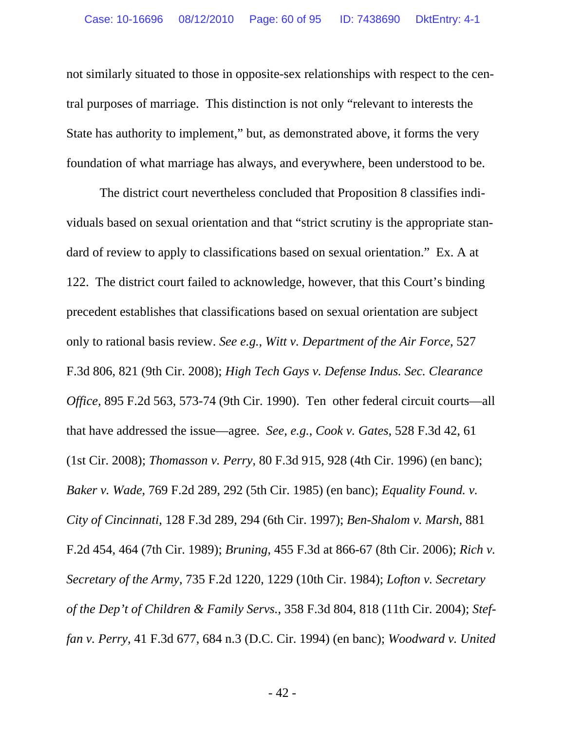not similarly situated to those in opposite-sex relationships with respect to the central purposes of marriage. This distinction is not only "relevant to interests the State has authority to implement," but, as demonstrated above, it forms the very foundation of what marriage has always, and everywhere, been understood to be.

 The district court nevertheless concluded that Proposition 8 classifies individuals based on sexual orientation and that "strict scrutiny is the appropriate standard of review to apply to classifications based on sexual orientation." Ex. A at 122. The district court failed to acknowledge, however, that this Court's binding precedent establishes that classifications based on sexual orientation are subject only to rational basis review. *See e.g.*, *Witt v. Department of the Air Force*, 527 F.3d 806, 821 (9th Cir. 2008); *High Tech Gays v. Defense Indus. Sec. Clearance Office*, 895 F.2d 563, 573-74 (9th Cir. 1990). Ten other federal circuit courts—all that have addressed the issue—agree. *See, e.g.*, *Cook v. Gates*, 528 F.3d 42, 61 (1st Cir. 2008); *Thomasson v. Perry*, 80 F.3d 915, 928 (4th Cir. 1996) (en banc); *Baker v. Wade*, 769 F.2d 289, 292 (5th Cir. 1985) (en banc); *Equality Found. v. City of Cincinnati*, 128 F.3d 289, 294 (6th Cir. 1997); *Ben-Shalom v. Marsh*, 881 F.2d 454, 464 (7th Cir. 1989); *Bruning*, 455 F.3d at 866-67 (8th Cir. 2006); *Rich v. Secretary of the Army*, 735 F.2d 1220, 1229 (10th Cir. 1984); *Lofton v. Secretary of the Dep't of Children & Family Servs.*, 358 F.3d 804, 818 (11th Cir. 2004); *Steffan v. Perry*, 41 F.3d 677, 684 n.3 (D.C. Cir. 1994) (en banc); *Woodward v. United*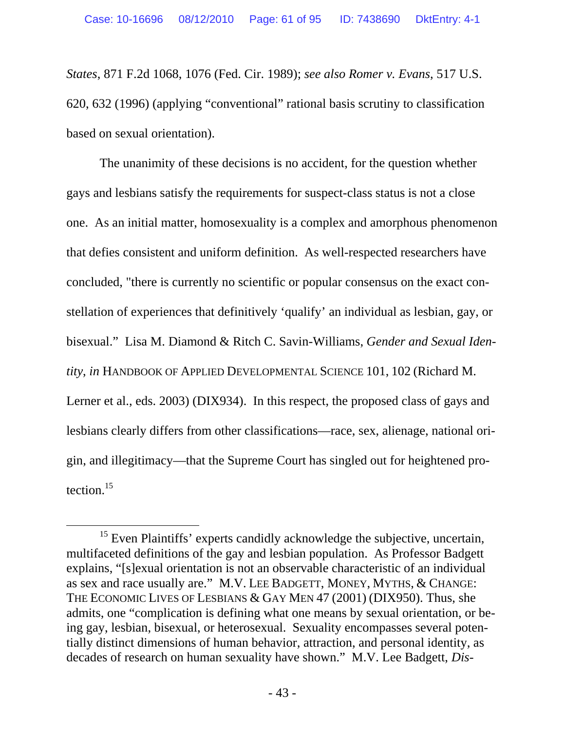*States*, 871 F.2d 1068, 1076 (Fed. Cir. 1989); *see also Romer v. Evans*, 517 U.S. 620, 632 (1996) (applying "conventional" rational basis scrutiny to classification based on sexual orientation).

The unanimity of these decisions is no accident, for the question whether gays and lesbians satisfy the requirements for suspect-class status is not a close one. As an initial matter, homosexuality is a complex and amorphous phenomenon that defies consistent and uniform definition. As well-respected researchers have concluded, "there is currently no scientific or popular consensus on the exact constellation of experiences that definitively 'qualify' an individual as lesbian, gay, or bisexual." Lisa M. Diamond & Ritch C. Savin-Williams, *Gender and Sexual Identity*, *in* HANDBOOK OF APPLIED DEVELOPMENTAL SCIENCE 101, 102 (Richard M. Lerner et al., eds. 2003) (DIX934). In this respect, the proposed class of gays and lesbians clearly differs from other classifications—race, sex, alienage, national origin, and illegitimacy—that the Supreme Court has singled out for heightened protection. $15$ 

<sup>&</sup>lt;sup>15</sup> Even Plaintiffs' experts candidly acknowledge the subjective, uncertain, multifaceted definitions of the gay and lesbian population. As Professor Badgett explains, "[s]exual orientation is not an observable characteristic of an individual as sex and race usually are." M.V. LEE BADGETT, MONEY, MYTHS, & CHANGE: THE ECONOMIC LIVES OF LESBIANS & GAY MEN 47 (2001) (DIX950). Thus, she admits, one "complication is defining what one means by sexual orientation, or being gay, lesbian, bisexual, or heterosexual. Sexuality encompasses several potentially distinct dimensions of human behavior, attraction, and personal identity, as decades of research on human sexuality have shown." M.V. Lee Badgett, *Dis-*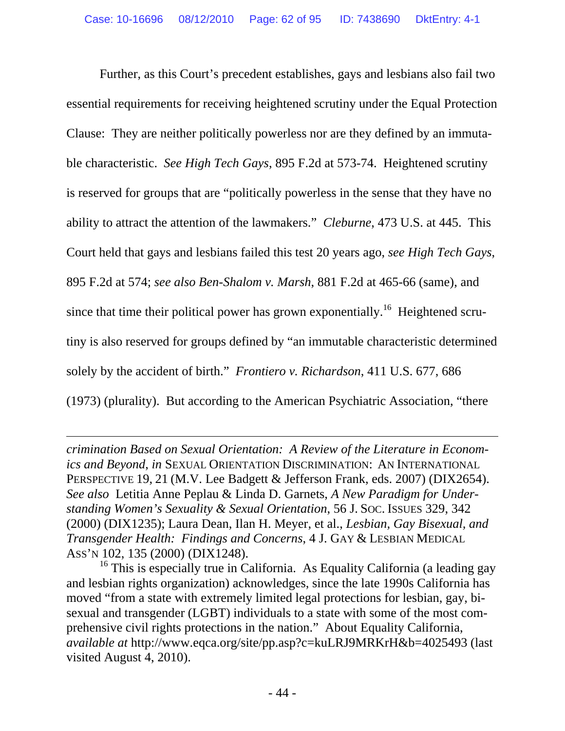Further, as this Court's precedent establishes, gays and lesbians also fail two essential requirements for receiving heightened scrutiny under the Equal Protection Clause: They are neither politically powerless nor are they defined by an immutable characteristic. *See High Tech Gays*, 895 F.2d at 573-74. Heightened scrutiny is reserved for groups that are "politically powerless in the sense that they have no ability to attract the attention of the lawmakers." *Cleburne*, 473 U.S. at 445. This Court held that gays and lesbians failed this test 20 years ago, *see High Tech Gays*, 895 F.2d at 574; *see also Ben-Shalom v. Marsh*, 881 F.2d at 465-66 (same), and since that time their political power has grown exponentially.<sup>16</sup> Heightened scrutiny is also reserved for groups defined by "an immutable characteristic determined solely by the accident of birth." *Frontiero v. Richardson*, 411 U.S. 677, 686 (1973) (plurality). But according to the American Psychiatric Association, "there

*crimination Based on Sexual Orientation: A Review of the Literature in Economics and Beyond*, *in* SEXUAL ORIENTATION DISCRIMINATION: AN INTERNATIONAL PERSPECTIVE 19, 21 (M.V. Lee Badgett & Jefferson Frank, eds. 2007) (DIX2654). *See also* Letitia Anne Peplau & Linda D. Garnets, *A New Paradigm for Understanding Women's Sexuality & Sexual Orientation*, 56 J. SOC. ISSUES 329, 342 (2000) (DIX1235); Laura Dean, Ilan H. Meyer, et al., *Lesbian, Gay Bisexual, and Transgender Health: Findings and Concerns*, 4 J. GAY & LESBIAN MEDICAL ASS'N 102, 135 (2000) (DIX1248).

 $\overline{a}$ 

<sup>16</sup> This is especially true in California. As Equality California (a leading gay and lesbian rights organization) acknowledges, since the late 1990s California has moved "from a state with extremely limited legal protections for lesbian, gay, bisexual and transgender (LGBT) individuals to a state with some of the most comprehensive civil rights protections in the nation." About Equality California, *available at* http://www.eqca.org/site/pp.asp?c=kuLRJ9MRKrH&b=4025493 (last visited August 4, 2010).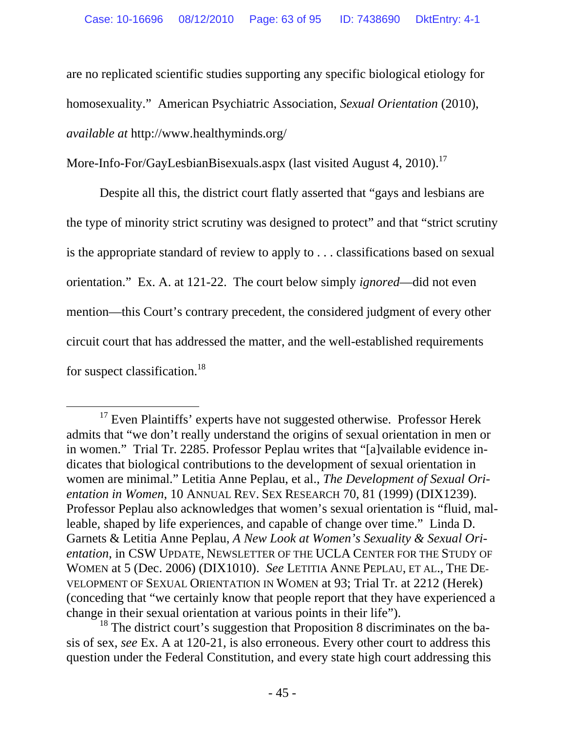are no replicated scientific studies supporting any specific biological etiology for homosexuality." American Psychiatric Association, *Sexual Orientation* (2010), *available at* http://www.healthyminds.org/

More-Info-For/GayLesbianBisexuals.aspx (last visited August 4, 2010).<sup>17</sup>

 Despite all this, the district court flatly asserted that "gays and lesbians are the type of minority strict scrutiny was designed to protect" and that "strict scrutiny is the appropriate standard of review to apply to . . . classifications based on sexual orientation." Ex. A. at 121-22. The court below simply *ignored*—did not even mention—this Court's contrary precedent, the considered judgment of every other circuit court that has addressed the matter, and the well-established requirements for suspect classification.<sup>18</sup>

<sup>&</sup>lt;sup>17</sup> Even Plaintiffs' experts have not suggested otherwise. Professor Herek admits that "we don't really understand the origins of sexual orientation in men or in women." Trial Tr. 2285. Professor Peplau writes that "[a]vailable evidence indicates that biological contributions to the development of sexual orientation in women are minimal." Letitia Anne Peplau, et al., *The Development of Sexual Orientation in Women*, 10 ANNUAL REV. SEX RESEARCH 70, 81 (1999) (DIX1239). Professor Peplau also acknowledges that women's sexual orientation is "fluid, malleable, shaped by life experiences, and capable of change over time." Linda D. Garnets & Letitia Anne Peplau, *A New Look at Women's Sexuality & Sexual Orientation*, in CSW UPDATE, NEWSLETTER OF THE UCLA CENTER FOR THE STUDY OF WOMEN at 5 (Dec. 2006) (DIX1010). *See* LETITIA ANNE PEPLAU, ET AL., THE DE-VELOPMENT OF SEXUAL ORIENTATION IN WOMEN at 93; Trial Tr. at 2212 (Herek) (conceding that "we certainly know that people report that they have experienced a change in their sexual orientation at various points in their life").

 $18$  The district court's suggestion that Proposition 8 discriminates on the basis of sex, *see* Ex. A at 120-21, is also erroneous. Every other court to address this question under the Federal Constitution, and every state high court addressing this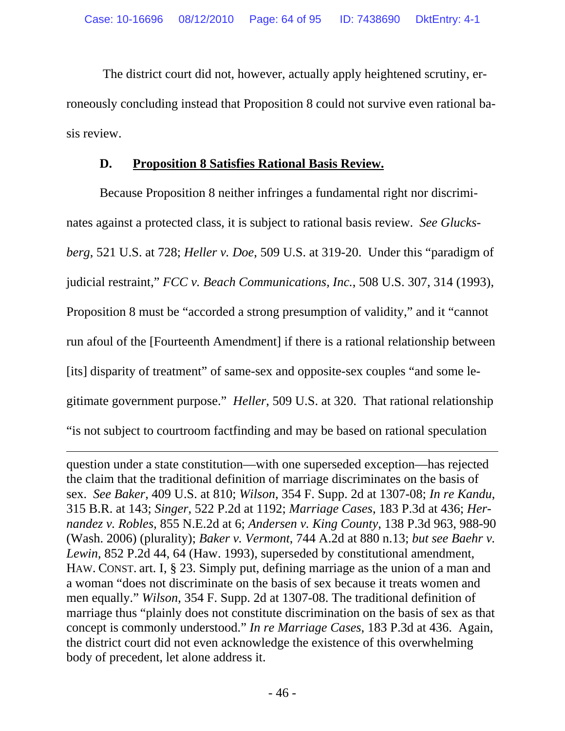The district court did not, however, actually apply heightened scrutiny, erroneously concluding instead that Proposition 8 could not survive even rational basis review.

# **D. Proposition 8 Satisfies Rational Basis Review.**

 Because Proposition 8 neither infringes a fundamental right nor discriminates against a protected class, it is subject to rational basis review. *See Glucksberg*, 521 U.S. at 728; *Heller v. Doe*, 509 U.S. at 319-20. Under this "paradigm of judicial restraint," *FCC v. Beach Communications, Inc.*, 508 U.S. 307, 314 (1993), Proposition 8 must be "accorded a strong presumption of validity," and it "cannot run afoul of the [Fourteenth Amendment] if there is a rational relationship between [its] disparity of treatment" of same-sex and opposite-sex couples "and some legitimate government purpose." *Heller*, 509 U.S. at 320. That rational relationship "is not subject to courtroom factfinding and may be based on rational speculation

 $\overline{a}$ question under a state constitution—with one superseded exception—has rejected the claim that the traditional definition of marriage discriminates on the basis of sex. *See Baker*, 409 U.S. at 810; *Wilson*, 354 F. Supp. 2d at 1307-08; *In re Kandu*, 315 B.R. at 143; *Singer*, 522 P.2d at 1192; *Marriage Cases*, 183 P.3d at 436; *Hernandez v. Robles*, 855 N.E.2d at 6; *Andersen v. King County*, 138 P.3d 963, 988-90 (Wash. 2006) (plurality); *Baker v. Vermont*, 744 A.2d at 880 n.13; *but see Baehr v. Lewin*, 852 P.2d 44, 64 (Haw. 1993), superseded by constitutional amendment, HAW. CONST. art. I, § 23. Simply put, defining marriage as the union of a man and a woman "does not discriminate on the basis of sex because it treats women and men equally." *Wilson*, 354 F. Supp. 2d at 1307-08. The traditional definition of marriage thus "plainly does not constitute discrimination on the basis of sex as that concept is commonly understood." *In re Marriage Cases*, 183 P.3d at 436. Again, the district court did not even acknowledge the existence of this overwhelming body of precedent, let alone address it.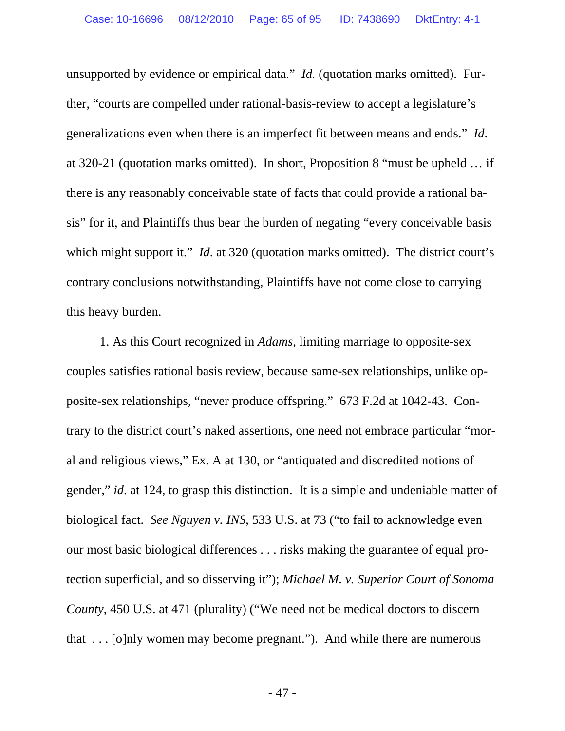unsupported by evidence or empirical data." *Id.* (quotation marks omitted). Further, "courts are compelled under rational-basis-review to accept a legislature's generalizations even when there is an imperfect fit between means and ends." *Id*. at 320-21 (quotation marks omitted). In short, Proposition 8 "must be upheld … if there is any reasonably conceivable state of facts that could provide a rational basis" for it, and Plaintiffs thus bear the burden of negating "every conceivable basis which might support it." *Id.* at 320 (quotation marks omitted). The district court's contrary conclusions notwithstanding, Plaintiffs have not come close to carrying this heavy burden.

 1. As this Court recognized in *Adams*, limiting marriage to opposite-sex couples satisfies rational basis review, because same-sex relationships, unlike opposite-sex relationships, "never produce offspring." 673 F.2d at 1042-43. Contrary to the district court's naked assertions, one need not embrace particular "moral and religious views," Ex. A at 130, or "antiquated and discredited notions of gender," *id*. at 124, to grasp this distinction. It is a simple and undeniable matter of biological fact. *See Nguyen v. INS*, 533 U.S. at 73 ("to fail to acknowledge even our most basic biological differences . . . risks making the guarantee of equal protection superficial, and so disserving it"); *Michael M. v. Superior Court of Sonoma County*, 450 U.S. at 471 (plurality) ("We need not be medical doctors to discern that . . . [o]nly women may become pregnant."). And while there are numerous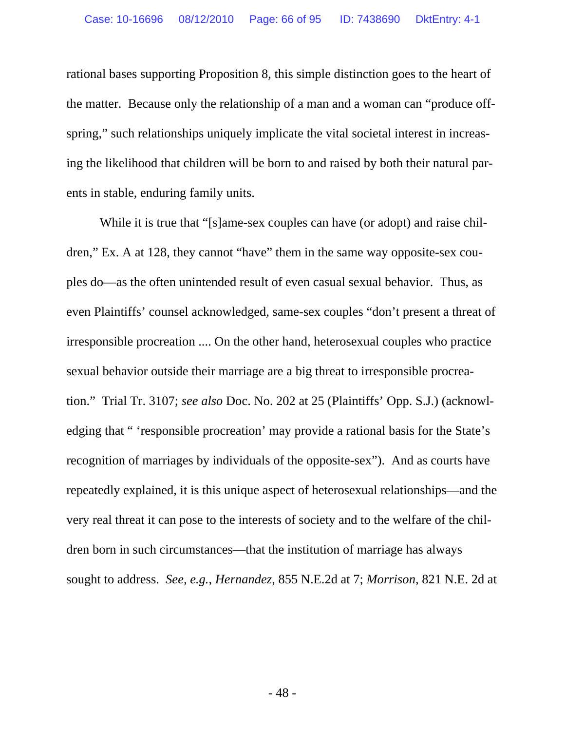rational bases supporting Proposition 8, this simple distinction goes to the heart of the matter. Because only the relationship of a man and a woman can "produce offspring," such relationships uniquely implicate the vital societal interest in increasing the likelihood that children will be born to and raised by both their natural parents in stable, enduring family units.

 While it is true that "[s]ame-sex couples can have (or adopt) and raise children," Ex. A at 128, they cannot "have" them in the same way opposite-sex couples do—as the often unintended result of even casual sexual behavior. Thus, as even Plaintiffs' counsel acknowledged, same-sex couples "don't present a threat of irresponsible procreation .... On the other hand, heterosexual couples who practice sexual behavior outside their marriage are a big threat to irresponsible procreation." Trial Tr. 3107; *see also* Doc. No. 202 at 25 (Plaintiffs' Opp. S.J.) (acknowledging that " 'responsible procreation' may provide a rational basis for the State's recognition of marriages by individuals of the opposite-sex"). And as courts have repeatedly explained, it is this unique aspect of heterosexual relationships—and the very real threat it can pose to the interests of society and to the welfare of the children born in such circumstances—that the institution of marriage has always sought to address. *See, e.g.*, *Hernandez*, 855 N.E.2d at 7; *Morrison*, 821 N.E. 2d at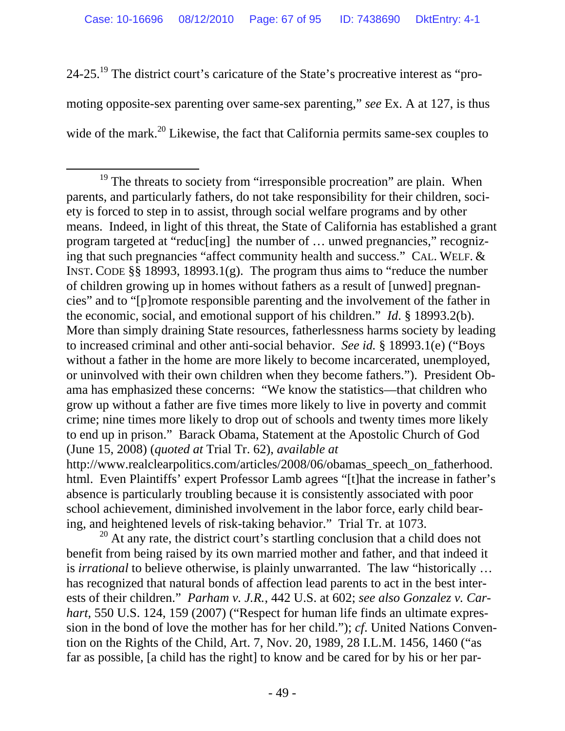24-25.19 The district court's caricature of the State's procreative interest as "promoting opposite-sex parenting over same-sex parenting," *see* Ex. A at 127, is thus wide of the mark.<sup>20</sup> Likewise, the fact that California permits same-sex couples to

school achievement, diminished involvement in the labor force, early child bearing, and heightened levels of risk-taking behavior." Trial Tr. at 1073.

 $20$  At any rate, the district court's startling conclusion that a child does not benefit from being raised by its own married mother and father, and that indeed it is *irrational* to believe otherwise, is plainly unwarranted. The law "historically … has recognized that natural bonds of affection lead parents to act in the best interests of their children." *Parham v. J.R.*, 442 U.S. at 602; *see also Gonzalez v. Carhart*, 550 U.S. 124, 159 (2007) ("Respect for human life finds an ultimate expression in the bond of love the mother has for her child."); *cf*. United Nations Convention on the Rights of the Child, Art. 7, Nov. 20, 1989, 28 I.L.M. 1456, 1460 ("as far as possible, [a child has the right] to know and be cared for by his or her par-

<sup>&</sup>lt;sup>19</sup> The threats to society from "irresponsible procreation" are plain. When parents, and particularly fathers, do not take responsibility for their children, society is forced to step in to assist, through social welfare programs and by other means. Indeed, in light of this threat, the State of California has established a grant program targeted at "reduc[ing] the number of … unwed pregnancies," recognizing that such pregnancies "affect community health and success." CAL. WELF. & INST. CODE §§ 18993, 18993.1(g). The program thus aims to "reduce the number of children growing up in homes without fathers as a result of [unwed] pregnancies" and to "[p]romote responsible parenting and the involvement of the father in the economic, social, and emotional support of his children." *Id*. § 18993.2(b). More than simply draining State resources, fatherlessness harms society by leading to increased criminal and other anti-social behavior. *See id.* § 18993.1(e) ("Boys without a father in the home are more likely to become incarcerated, unemployed, or uninvolved with their own children when they become fathers."). President Obama has emphasized these concerns: "We know the statistics—that children who grow up without a father are five times more likely to live in poverty and commit crime; nine times more likely to drop out of schools and twenty times more likely to end up in prison." Barack Obama, Statement at the Apostolic Church of God (June 15, 2008) (*quoted at* Trial Tr. 62), *available at*  http://www.realclearpolitics.com/articles/2008/06/obamas\_speech\_on\_fatherhood. html. Even Plaintiffs' expert Professor Lamb agrees "[t]hat the increase in father's absence is particularly troubling because it is consistently associated with poor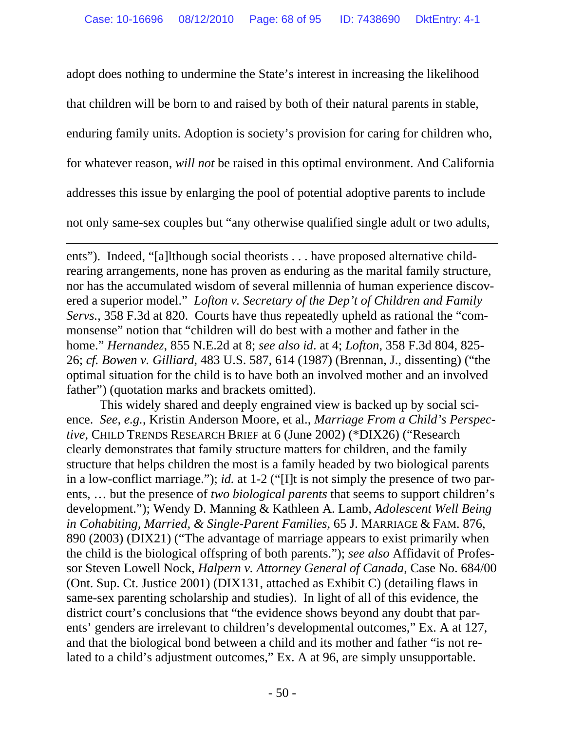adopt does nothing to undermine the State's interest in increasing the likelihood

that children will be born to and raised by both of their natural parents in stable,

enduring family units. Adoption is society's provision for caring for children who,

for whatever reason, *will not* be raised in this optimal environment. And California

addresses this issue by enlarging the pool of potential adoptive parents to include

not only same-sex couples but "any otherwise qualified single adult or two adults,

 $\overline{a}$ 

ents"). Indeed, "[a]lthough social theorists . . . have proposed alternative childrearing arrangements, none has proven as enduring as the marital family structure, nor has the accumulated wisdom of several millennia of human experience discovered a superior model." *Lofton v. Secretary of the Dep't of Children and Family Servs.*, 358 F.3d at 820. Courts have thus repeatedly upheld as rational the "commonsense" notion that "children will do best with a mother and father in the home." *Hernandez*, 855 N.E.2d at 8; *see also id*. at 4; *Lofton*, 358 F.3d 804, 825- 26; *cf. Bowen v. Gilliard*, 483 U.S. 587, 614 (1987) (Brennan, J., dissenting) ("the optimal situation for the child is to have both an involved mother and an involved father") (quotation marks and brackets omitted).

 This widely shared and deeply engrained view is backed up by social science. *See, e.g.*, Kristin Anderson Moore, et al., *Marriage From a Child's Perspective*, CHILD TRENDS RESEARCH BRIEF at 6 (June 2002) (\*DIX26) ("Research clearly demonstrates that family structure matters for children, and the family structure that helps children the most is a family headed by two biological parents in a low-conflict marriage."); *id.* at 1-2 ("[I]t is not simply the presence of two parents, … but the presence of *two biological parents* that seems to support children's development."); Wendy D. Manning & Kathleen A. Lamb, *Adolescent Well Being in Cohabiting, Married, & Single-Parent Families*, 65 J. MARRIAGE & FAM. 876, 890 (2003) (DIX21) ("The advantage of marriage appears to exist primarily when the child is the biological offspring of both parents."); *see also* Affidavit of Professor Steven Lowell Nock, *Halpern v. Attorney General of Canada*, Case No. 684/00 (Ont. Sup. Ct. Justice 2001) (DIX131, attached as Exhibit C) (detailing flaws in same-sex parenting scholarship and studies). In light of all of this evidence, the district court's conclusions that "the evidence shows beyond any doubt that parents' genders are irrelevant to children's developmental outcomes," Ex. A at 127, and that the biological bond between a child and its mother and father "is not related to a child's adjustment outcomes," Ex. A at 96, are simply unsupportable.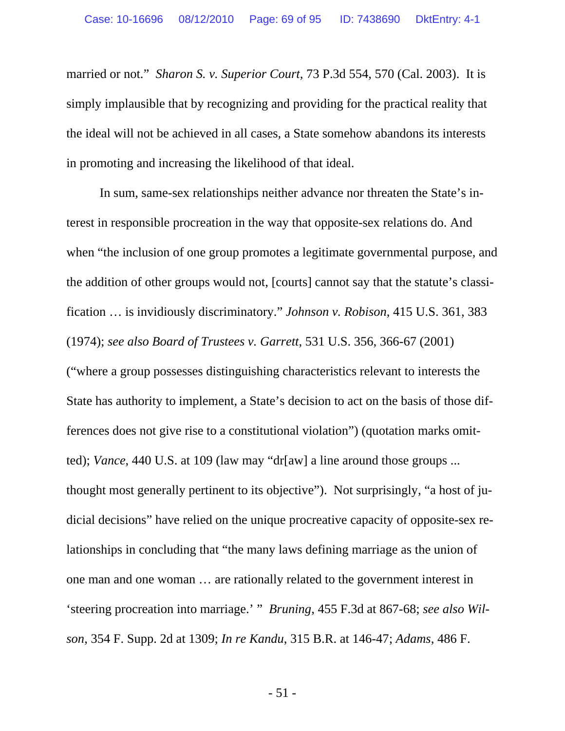married or not." *Sharon S. v. Superior Court*, 73 P.3d 554, 570 (Cal. 2003). It is simply implausible that by recognizing and providing for the practical reality that the ideal will not be achieved in all cases, a State somehow abandons its interests in promoting and increasing the likelihood of that ideal.

 In sum, same-sex relationships neither advance nor threaten the State's interest in responsible procreation in the way that opposite-sex relations do. And when "the inclusion of one group promotes a legitimate governmental purpose, and the addition of other groups would not, [courts] cannot say that the statute's classification … is invidiously discriminatory." *Johnson v. Robison*, 415 U.S. 361, 383 (1974); *see also Board of Trustees v. Garrett*, 531 U.S. 356, 366-67 (2001) ("where a group possesses distinguishing characteristics relevant to interests the State has authority to implement, a State's decision to act on the basis of those differences does not give rise to a constitutional violation") (quotation marks omitted); *Vance*, 440 U.S. at 109 (law may "dr[aw] a line around those groups ... thought most generally pertinent to its objective"). Not surprisingly, "a host of judicial decisions" have relied on the unique procreative capacity of opposite-sex relationships in concluding that "the many laws defining marriage as the union of one man and one woman … are rationally related to the government interest in 'steering procreation into marriage.' " *Bruning*, 455 F.3d at 867-68; *see also Wilson*, 354 F. Supp. 2d at 1309; *In re Kandu*, 315 B.R. at 146-47; *Adams*, 486 F.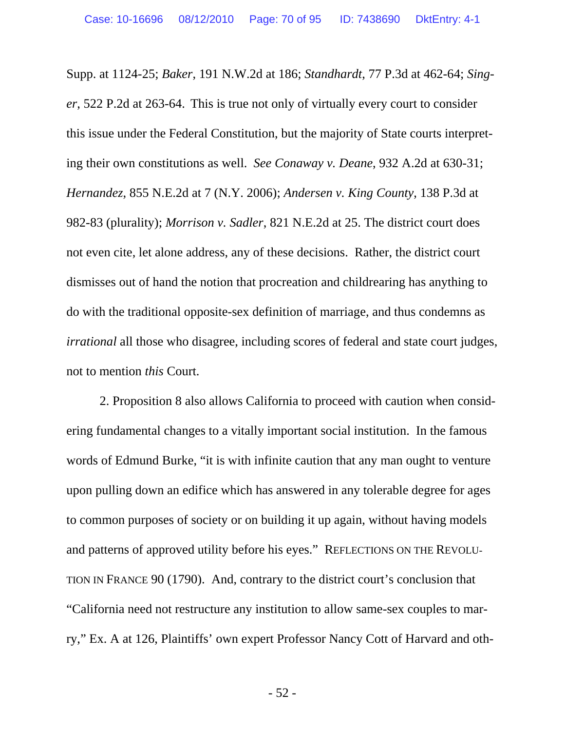Supp. at 1124-25; *Baker*, 191 N.W.2d at 186; *Standhardt*, 77 P.3d at 462-64; *Singer*, 522 P.2d at 263-64. This is true not only of virtually every court to consider this issue under the Federal Constitution, but the majority of State courts interpreting their own constitutions as well. *See Conaway v. Deane*, 932 A.2d at 630-31; *Hernandez*, 855 N.E.2d at 7 (N.Y. 2006); *Andersen v. King County*, 138 P.3d at 982-83 (plurality); *Morrison v. Sadler*, 821 N.E.2d at 25. The district court does not even cite, let alone address, any of these decisions. Rather, the district court dismisses out of hand the notion that procreation and childrearing has anything to do with the traditional opposite-sex definition of marriage, and thus condemns as *irrational* all those who disagree, including scores of federal and state court judges, not to mention *this* Court.

 2. Proposition 8 also allows California to proceed with caution when considering fundamental changes to a vitally important social institution. In the famous words of Edmund Burke, "it is with infinite caution that any man ought to venture upon pulling down an edifice which has answered in any tolerable degree for ages to common purposes of society or on building it up again, without having models and patterns of approved utility before his eyes." REFLECTIONS ON THE REVOLU-TION IN FRANCE 90 (1790). And, contrary to the district court's conclusion that "California need not restructure any institution to allow same-sex couples to marry," Ex. A at 126, Plaintiffs' own expert Professor Nancy Cott of Harvard and oth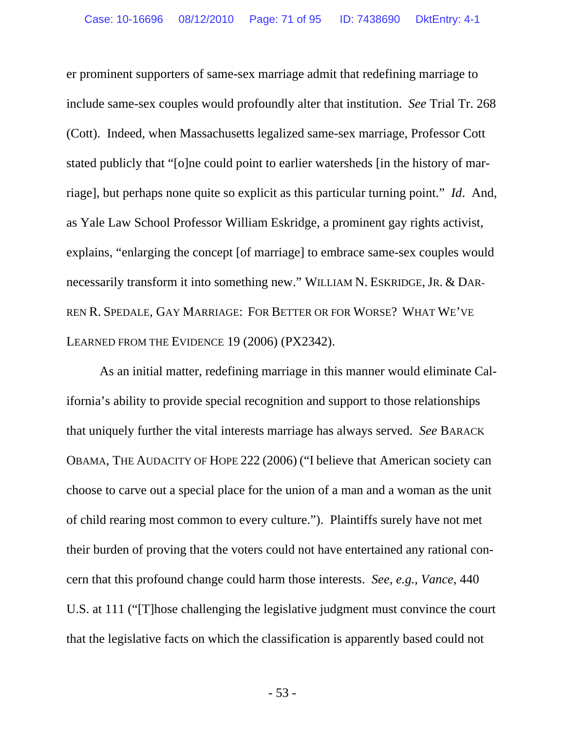er prominent supporters of same-sex marriage admit that redefining marriage to include same-sex couples would profoundly alter that institution. *See* Trial Tr. 268 (Cott). Indeed, when Massachusetts legalized same-sex marriage, Professor Cott stated publicly that "[o]ne could point to earlier watersheds [in the history of marriage], but perhaps none quite so explicit as this particular turning point." *Id*. And, as Yale Law School Professor William Eskridge, a prominent gay rights activist, explains, "enlarging the concept [of marriage] to embrace same-sex couples would necessarily transform it into something new." WILLIAM N. ESKRIDGE, JR. & DAR-REN R. SPEDALE, GAY MARRIAGE: FOR BETTER OR FOR WORSE? WHAT WE'VE LEARNED FROM THE EVIDENCE 19 (2006) (PX2342).

 As an initial matter, redefining marriage in this manner would eliminate California's ability to provide special recognition and support to those relationships that uniquely further the vital interests marriage has always served. *See* BARACK OBAMA, THE AUDACITY OF HOPE 222 (2006) ("I believe that American society can choose to carve out a special place for the union of a man and a woman as the unit of child rearing most common to every culture."). Plaintiffs surely have not met their burden of proving that the voters could not have entertained any rational concern that this profound change could harm those interests. *See, e.g., Vance*, 440 U.S. at 111 ("[T]hose challenging the legislative judgment must convince the court that the legislative facts on which the classification is apparently based could not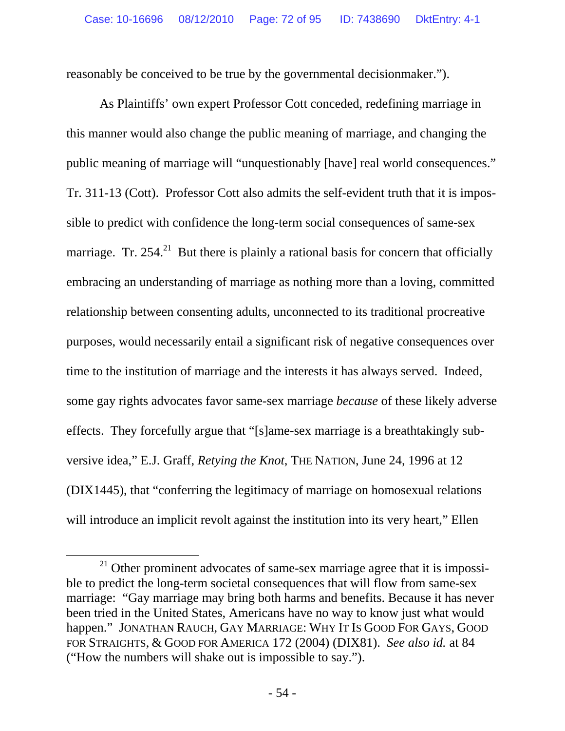reasonably be conceived to be true by the governmental decisionmaker.").

 As Plaintiffs' own expert Professor Cott conceded, redefining marriage in this manner would also change the public meaning of marriage, and changing the public meaning of marriage will "unquestionably [have] real world consequences." Tr. 311-13 (Cott). Professor Cott also admits the self-evident truth that it is impossible to predict with confidence the long-term social consequences of same-sex marriage. Tr.  $254<sup>21</sup>$  But there is plainly a rational basis for concern that officially embracing an understanding of marriage as nothing more than a loving, committed relationship between consenting adults, unconnected to its traditional procreative purposes, would necessarily entail a significant risk of negative consequences over time to the institution of marriage and the interests it has always served. Indeed, some gay rights advocates favor same-sex marriage *because* of these likely adverse effects. They forcefully argue that "[s]ame-sex marriage is a breathtakingly subversive idea," E.J. Graff, *Retying the Knot*, THE NATION, June 24, 1996 at 12 (DIX1445), that "conferring the legitimacy of marriage on homosexual relations will introduce an implicit revolt against the institution into its very heart," Ellen

 $21$  Other prominent advocates of same-sex marriage agree that it is impossible to predict the long-term societal consequences that will flow from same-sex marriage: "Gay marriage may bring both harms and benefits. Because it has never been tried in the United States, Americans have no way to know just what would happen." JONATHAN RAUCH, GAY MARRIAGE: WHY IT IS GOOD FOR GAYS, GOOD FOR STRAIGHTS, & GOOD FOR AMERICA 172 (2004) (DIX81). *See also id.* at 84 ("How the numbers will shake out is impossible to say.").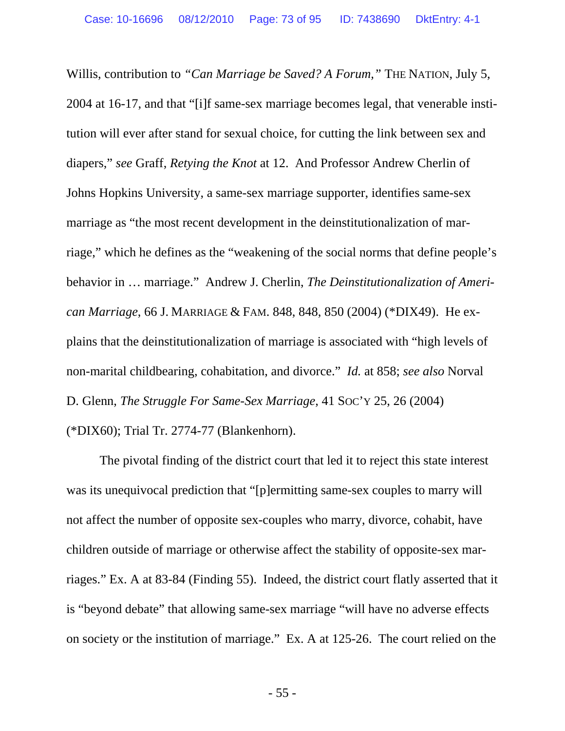Willis, contribution to *"Can Marriage be Saved? A Forum,"* THE NATION, July 5, 2004 at 16-17, and that "[i]f same-sex marriage becomes legal, that venerable institution will ever after stand for sexual choice, for cutting the link between sex and diapers," *see* Graff, *Retying the Knot* at 12. And Professor Andrew Cherlin of Johns Hopkins University, a same-sex marriage supporter, identifies same-sex marriage as "the most recent development in the deinstitutionalization of marriage," which he defines as the "weakening of the social norms that define people's behavior in … marriage." Andrew J. Cherlin, *The Deinstitutionalization of American Marriage*, 66 J. MARRIAGE & FAM. 848, 848, 850 (2004) (\*DIX49). He explains that the deinstitutionalization of marriage is associated with "high levels of non-marital childbearing, cohabitation, and divorce." *Id.* at 858; *see also* Norval D. Glenn, *The Struggle For Same-Sex Marriage*, 41 SOC'Y 25, 26 (2004) (\*DIX60); Trial Tr. 2774-77 (Blankenhorn).

 The pivotal finding of the district court that led it to reject this state interest was its unequivocal prediction that "[p]ermitting same-sex couples to marry will not affect the number of opposite sex-couples who marry, divorce, cohabit, have children outside of marriage or otherwise affect the stability of opposite-sex marriages." Ex. A at 83-84 (Finding 55). Indeed, the district court flatly asserted that it is "beyond debate" that allowing same-sex marriage "will have no adverse effects on society or the institution of marriage." Ex. A at 125-26. The court relied on the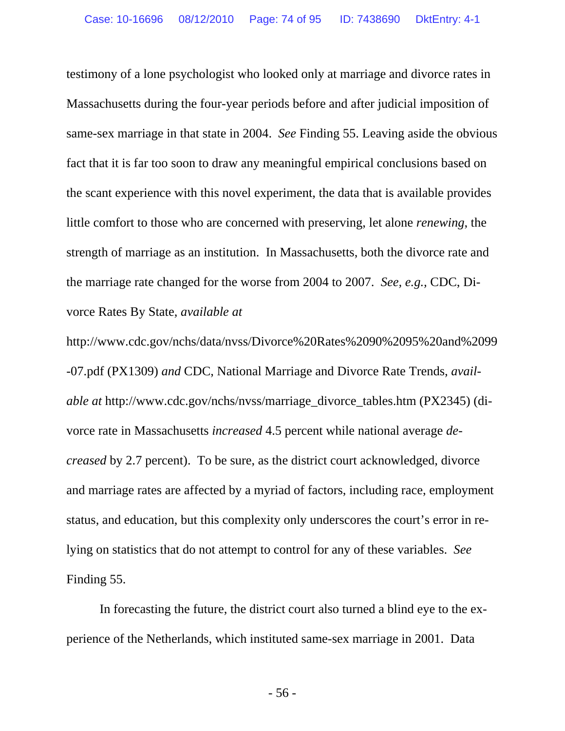testimony of a lone psychologist who looked only at marriage and divorce rates in Massachusetts during the four-year periods before and after judicial imposition of same-sex marriage in that state in 2004. *See* Finding 55. Leaving aside the obvious fact that it is far too soon to draw any meaningful empirical conclusions based on the scant experience with this novel experiment, the data that is available provides little comfort to those who are concerned with preserving, let alone *renewing*, the strength of marriage as an institution. In Massachusetts, both the divorce rate and the marriage rate changed for the worse from 2004 to 2007. *See, e.g.,* CDC, Divorce Rates By State, *available at* 

http://www.cdc.gov/nchs/data/nvss/Divorce%20Rates%2090%2095%20and%2099 -07.pdf (PX1309) *and* CDC, National Marriage and Divorce Rate Trends, *available at http://www.cdc.gov/nchs/nvss/marriage\_divorce\_tables.htm (PX2345) (di*vorce rate in Massachusetts *increased* 4.5 percent while national average *decreased* by 2.7 percent). To be sure, as the district court acknowledged, divorce and marriage rates are affected by a myriad of factors, including race, employment status, and education, but this complexity only underscores the court's error in relying on statistics that do not attempt to control for any of these variables. *See* Finding 55.

 In forecasting the future, the district court also turned a blind eye to the experience of the Netherlands, which instituted same-sex marriage in 2001. Data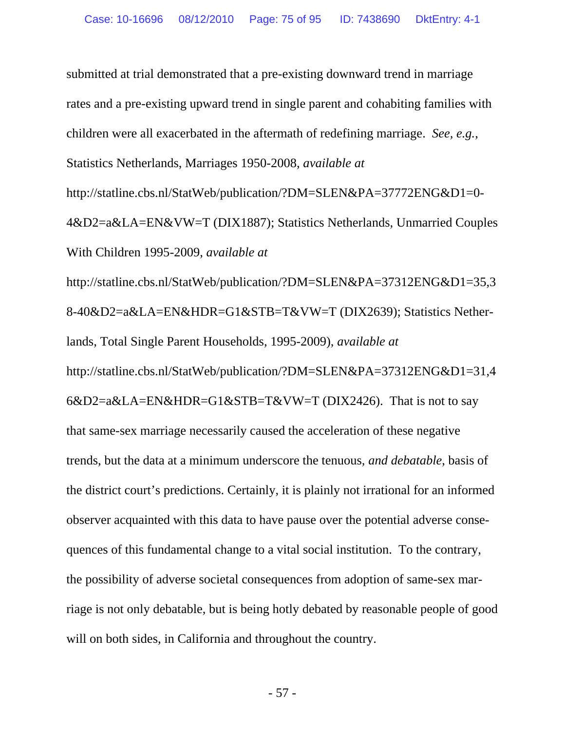submitted at trial demonstrated that a pre-existing downward trend in marriage rates and a pre-existing upward trend in single parent and cohabiting families with children were all exacerbated in the aftermath of redefining marriage. *See, e.g.*, Statistics Netherlands, Marriages 1950-2008, *available at* http://statline.cbs.nl/StatWeb/publication/?DM=SLEN&PA=37772ENG&D1=0- 4&D2=a&LA=EN&VW=T (DIX1887); Statistics Netherlands, Unmarried Couples With Children 1995-2009, *available at* 

http://statline.cbs.nl/StatWeb/publication/?DM=SLEN&PA=37312ENG&D1=35,3 8-40&D2=a&LA=EN&HDR=G1&STB=T&VW=T (DIX2639); Statistics Netherlands, Total Single Parent Households, 1995-2009), *available at*  http://statline.cbs.nl/StatWeb/publication/?DM=SLEN&PA=37312ENG&D1=31,4  $6&D2=a&LA=EN&HDR=G1&STB=T&VW=T$  (DIX2426). That is not to say that same-sex marriage necessarily caused the acceleration of these negative trends, but the data at a minimum underscore the tenuous, *and debatable*, basis of the district court's predictions. Certainly, it is plainly not irrational for an informed observer acquainted with this data to have pause over the potential adverse consequences of this fundamental change to a vital social institution. To the contrary, the possibility of adverse societal consequences from adoption of same-sex marriage is not only debatable, but is being hotly debated by reasonable people of good will on both sides, in California and throughout the country.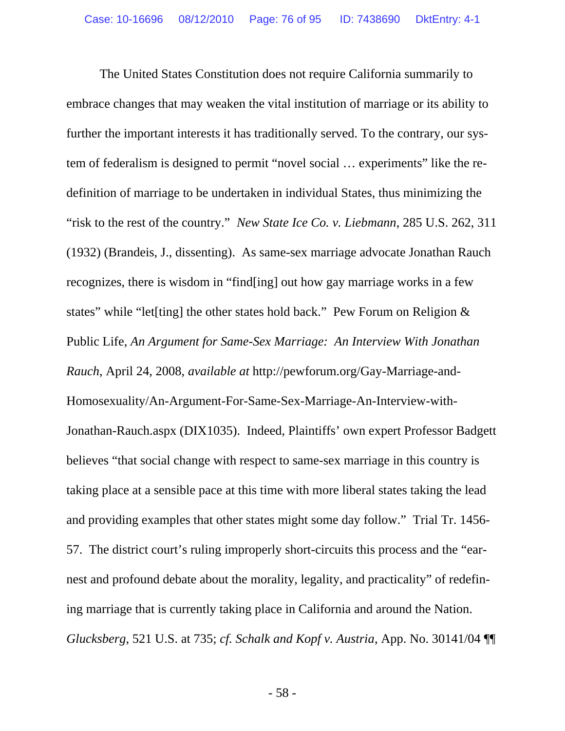The United States Constitution does not require California summarily to embrace changes that may weaken the vital institution of marriage or its ability to further the important interests it has traditionally served. To the contrary, our system of federalism is designed to permit "novel social … experiments" like the redefinition of marriage to be undertaken in individual States, thus minimizing the "risk to the rest of the country." *New State Ice Co. v. Liebmann*, 285 U.S. 262, 311 (1932) (Brandeis, J., dissenting). As same-sex marriage advocate Jonathan Rauch recognizes, there is wisdom in "find[ing] out how gay marriage works in a few states" while "let[ting] the other states hold back." Pew Forum on Religion & Public Life, *An Argument for Same-Sex Marriage: An Interview With Jonathan Rauch*, April 24, 2008, *available at* http://pewforum.org/Gay-Marriage-and-Homosexuality/An-Argument-For-Same-Sex-Marriage-An-Interview-with-Jonathan-Rauch.aspx (DIX1035). Indeed, Plaintiffs' own expert Professor Badgett believes "that social change with respect to same-sex marriage in this country is taking place at a sensible pace at this time with more liberal states taking the lead and providing examples that other states might some day follow." Trial Tr. 1456- 57. The district court's ruling improperly short-circuits this process and the "earnest and profound debate about the morality, legality, and practicality" of redefining marriage that is currently taking place in California and around the Nation. *Glucksberg*, 521 U.S. at 735; *cf. Schalk and Kopf v. Austria*, App. No. 30141/04 ¶¶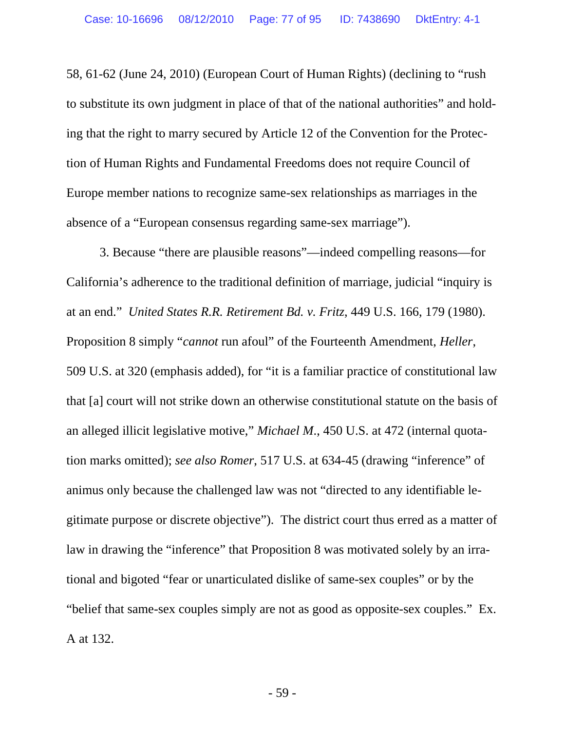58, 61-62 (June 24, 2010) (European Court of Human Rights) (declining to "rush to substitute its own judgment in place of that of the national authorities" and holding that the right to marry secured by Article 12 of the Convention for the Protection of Human Rights and Fundamental Freedoms does not require Council of Europe member nations to recognize same-sex relationships as marriages in the absence of a "European consensus regarding same-sex marriage").

 3. Because "there are plausible reasons"—indeed compelling reasons—for California's adherence to the traditional definition of marriage, judicial "inquiry is at an end." *United States R.R. Retirement Bd. v. Fritz*, 449 U.S. 166, 179 (1980). Proposition 8 simply "*cannot* run afoul" of the Fourteenth Amendment, *Heller*, 509 U.S. at 320 (emphasis added), for "it is a familiar practice of constitutional law that [a] court will not strike down an otherwise constitutional statute on the basis of an alleged illicit legislative motive," *Michael M*., 450 U.S. at 472 (internal quotation marks omitted); *see also Romer*, 517 U.S. at 634-45 (drawing "inference" of animus only because the challenged law was not "directed to any identifiable legitimate purpose or discrete objective"). The district court thus erred as a matter of law in drawing the "inference" that Proposition 8 was motivated solely by an irrational and bigoted "fear or unarticulated dislike of same-sex couples" or by the "belief that same-sex couples simply are not as good as opposite-sex couples." Ex. A at 132.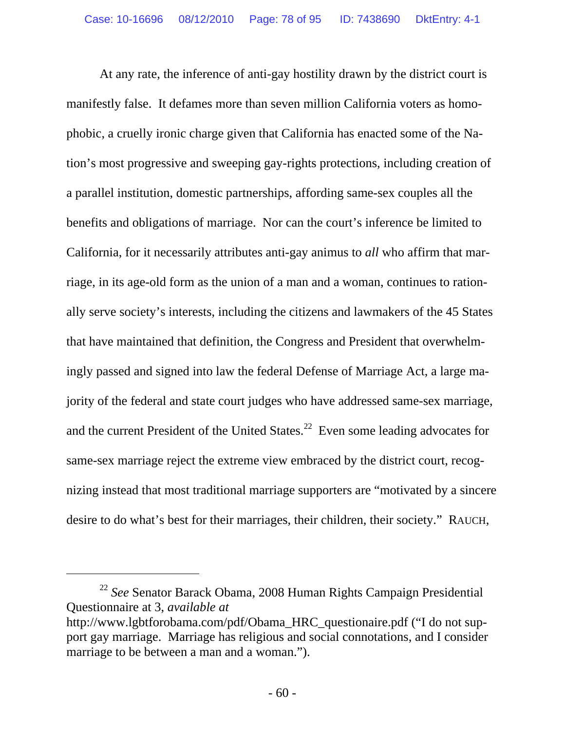At any rate, the inference of anti-gay hostility drawn by the district court is manifestly false. It defames more than seven million California voters as homophobic, a cruelly ironic charge given that California has enacted some of the Nation's most progressive and sweeping gay-rights protections, including creation of a parallel institution, domestic partnerships, affording same-sex couples all the benefits and obligations of marriage. Nor can the court's inference be limited to California, for it necessarily attributes anti-gay animus to *all* who affirm that marriage, in its age-old form as the union of a man and a woman, continues to rationally serve society's interests, including the citizens and lawmakers of the 45 States that have maintained that definition, the Congress and President that overwhelmingly passed and signed into law the federal Defense of Marriage Act, a large majority of the federal and state court judges who have addressed same-sex marriage, and the current President of the United States.<sup>22</sup> Even some leading advocates for same-sex marriage reject the extreme view embraced by the district court, recognizing instead that most traditional marriage supporters are "motivated by a sincere desire to do what's best for their marriages, their children, their society." RAUCH,

 $\overline{a}$ 

<sup>22</sup> *See* Senator Barack Obama, 2008 Human Rights Campaign Presidential Questionnaire at 3, *available at* http://www.lgbtforobama.com/pdf/Obama\_HRC\_questionaire.pdf ("I do not support gay marriage. Marriage has religious and social connotations, and I consider marriage to be between a man and a woman.").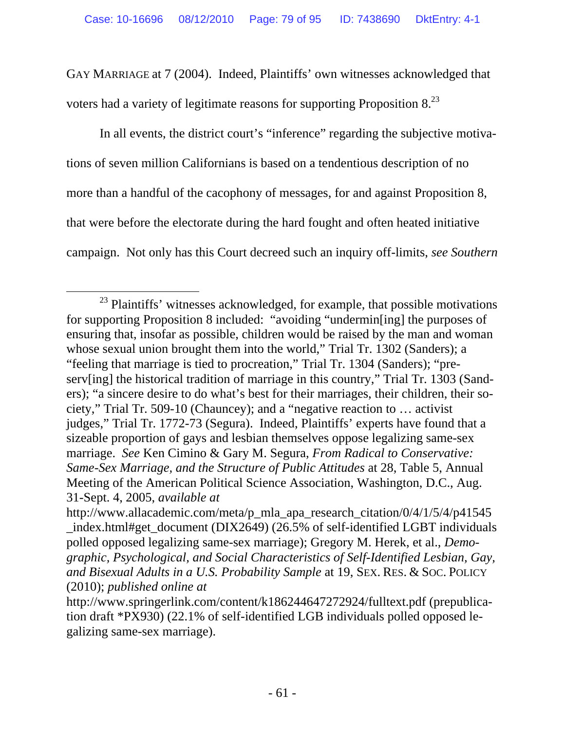GAY MARRIAGE at 7 (2004). Indeed, Plaintiffs' own witnesses acknowledged that voters had a variety of legitimate reasons for supporting Proposition  $8^{23}$ .

 In all events, the district court's "inference" regarding the subjective motivations of seven million Californians is based on a tendentious description of no more than a handful of the cacophony of messages, for and against Proposition 8, that were before the electorate during the hard fought and often heated initiative campaign. Not only has this Court decreed such an inquiry off-limits, *see Southern* 

<sup>&</sup>lt;sup>23</sup> Plaintiffs' witnesses acknowledged, for example, that possible motivations for supporting Proposition 8 included: "avoiding "undermin[ing] the purposes of ensuring that, insofar as possible, children would be raised by the man and woman whose sexual union brought them into the world," Trial Tr. 1302 (Sanders); a "feeling that marriage is tied to procreation," Trial Tr. 1304 (Sanders); "preserv[ing] the historical tradition of marriage in this country," Trial Tr. 1303 (Sanders); "a sincere desire to do what's best for their marriages, their children, their society," Trial Tr. 509-10 (Chauncey); and a "negative reaction to … activist judges," Trial Tr. 1772-73 (Segura). Indeed, Plaintiffs' experts have found that a sizeable proportion of gays and lesbian themselves oppose legalizing same-sex marriage. *See* Ken Cimino & Gary M. Segura, *From Radical to Conservative: Same-Sex Marriage, and the Structure of Public Attitudes* at 28, Table 5, Annual Meeting of the American Political Science Association, Washington, D.C., Aug. 31-Sept. 4, 2005, *available at*

http://www.allacademic.com/meta/p\_mla\_apa\_research\_citation/0/4/1/5/4/p41545 \_index.html#get\_document (DIX2649) (26.5% of self-identified LGBT individuals polled opposed legalizing same-sex marriage); Gregory M. Herek, et al., *Demographic, Psychological, and Social Characteristics of Self-Identified Lesbian, Gay, and Bisexual Adults in a U.S. Probability Sample* at 19, SEX. RES. & SOC. POLICY (2010); *published online at* 

http://www.springerlink.com/content/k186244647272924/fulltext.pdf (prepublication draft \*PX930) (22.1% of self-identified LGB individuals polled opposed legalizing same-sex marriage).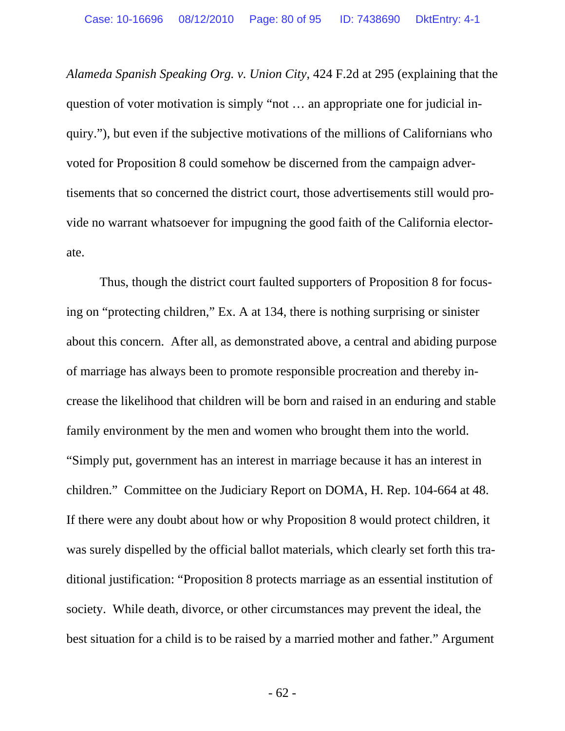*Alameda Spanish Speaking Org. v. Union City*, 424 F.2d at 295 (explaining that the question of voter motivation is simply "not … an appropriate one for judicial inquiry."), but even if the subjective motivations of the millions of Californians who voted for Proposition 8 could somehow be discerned from the campaign advertisements that so concerned the district court, those advertisements still would provide no warrant whatsoever for impugning the good faith of the California electorate.

 Thus, though the district court faulted supporters of Proposition 8 for focusing on "protecting children," Ex. A at 134, there is nothing surprising or sinister about this concern. After all, as demonstrated above, a central and abiding purpose of marriage has always been to promote responsible procreation and thereby increase the likelihood that children will be born and raised in an enduring and stable family environment by the men and women who brought them into the world. "Simply put, government has an interest in marriage because it has an interest in children." Committee on the Judiciary Report on DOMA, H. Rep. 104-664 at 48. If there were any doubt about how or why Proposition 8 would protect children, it was surely dispelled by the official ballot materials, which clearly set forth this traditional justification: "Proposition 8 protects marriage as an essential institution of society. While death, divorce, or other circumstances may prevent the ideal, the best situation for a child is to be raised by a married mother and father." Argument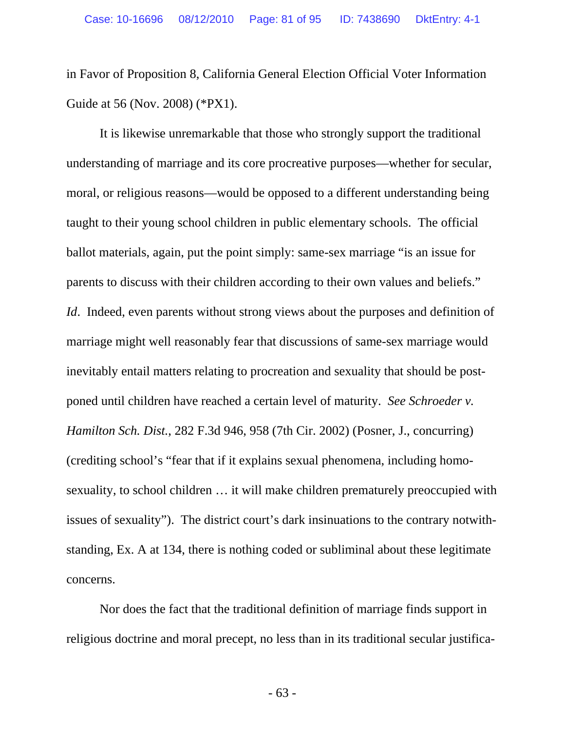in Favor of Proposition 8, California General Election Official Voter Information Guide at 56 (Nov. 2008) (\*PX1).

 It is likewise unremarkable that those who strongly support the traditional understanding of marriage and its core procreative purposes—whether for secular, moral, or religious reasons—would be opposed to a different understanding being taught to their young school children in public elementary schools. The official ballot materials, again, put the point simply: same-sex marriage "is an issue for parents to discuss with their children according to their own values and beliefs." *Id*. Indeed, even parents without strong views about the purposes and definition of marriage might well reasonably fear that discussions of same-sex marriage would inevitably entail matters relating to procreation and sexuality that should be postponed until children have reached a certain level of maturity. *See Schroeder v. Hamilton Sch. Dist.*, 282 F.3d 946, 958 (7th Cir. 2002) (Posner, J., concurring) (crediting school's "fear that if it explains sexual phenomena, including homosexuality, to school children … it will make children prematurely preoccupied with issues of sexuality"). The district court's dark insinuations to the contrary notwithstanding, Ex. A at 134, there is nothing coded or subliminal about these legitimate concerns.

 Nor does the fact that the traditional definition of marriage finds support in religious doctrine and moral precept, no less than in its traditional secular justifica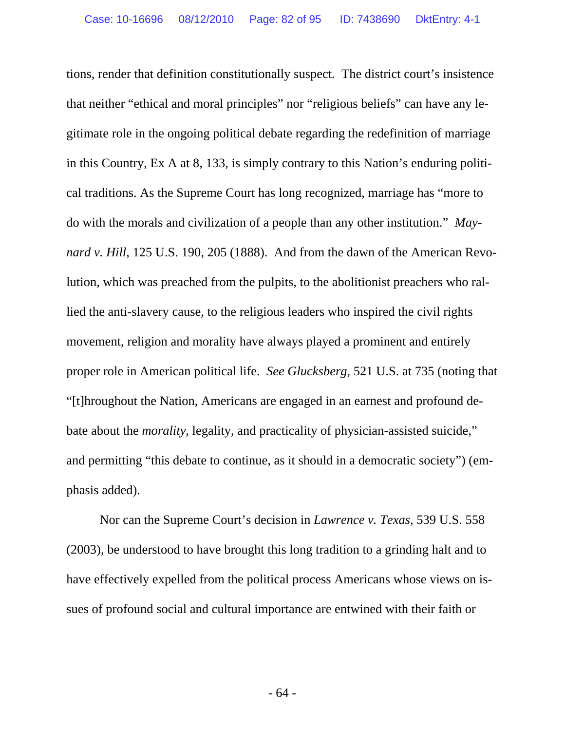tions, render that definition constitutionally suspect. The district court's insistence that neither "ethical and moral principles" nor "religious beliefs" can have any legitimate role in the ongoing political debate regarding the redefinition of marriage in this Country, Ex A at 8, 133, is simply contrary to this Nation's enduring political traditions. As the Supreme Court has long recognized, marriage has "more to do with the morals and civilization of a people than any other institution." *Maynard v. Hill*, 125 U.S. 190, 205 (1888). And from the dawn of the American Revolution, which was preached from the pulpits, to the abolitionist preachers who rallied the anti-slavery cause, to the religious leaders who inspired the civil rights movement, religion and morality have always played a prominent and entirely proper role in American political life. *See Glucksberg*, 521 U.S. at 735 (noting that "[t]hroughout the Nation, Americans are engaged in an earnest and profound debate about the *morality*, legality, and practicality of physician-assisted suicide," and permitting "this debate to continue, as it should in a democratic society") (emphasis added).

 Nor can the Supreme Court's decision in *Lawrence v. Texas*, 539 U.S. 558 (2003), be understood to have brought this long tradition to a grinding halt and to have effectively expelled from the political process Americans whose views on issues of profound social and cultural importance are entwined with their faith or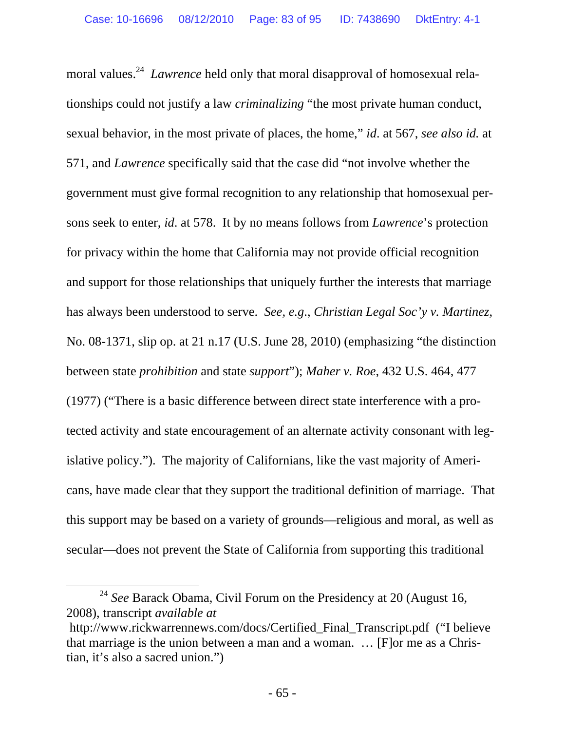moral values.<sup>24</sup> *Lawrence* held only that moral disapproval of homosexual relationships could not justify a law *criminalizing* "the most private human conduct, sexual behavior, in the most private of places, the home," *id*. at 567, *see also id.* at 571, and *Lawrence* specifically said that the case did "not involve whether the government must give formal recognition to any relationship that homosexual persons seek to enter, *id*. at 578. It by no means follows from *Lawrence*'s protection for privacy within the home that California may not provide official recognition and support for those relationships that uniquely further the interests that marriage has always been understood to serve. *See, e.g*., *Christian Legal Soc'y v. Martinez*, No. 08-1371, slip op. at 21 n.17 (U.S. June 28, 2010) (emphasizing "the distinction between state *prohibition* and state *support*"); *Maher v. Roe*, 432 U.S. 464, 477 (1977) ("There is a basic difference between direct state interference with a protected activity and state encouragement of an alternate activity consonant with legislative policy."). The majority of Californians, like the vast majority of Americans, have made clear that they support the traditional definition of marriage. That this support may be based on a variety of grounds—religious and moral, as well as secular—does not prevent the State of California from supporting this traditional

 <sup>24</sup> *See* Barack Obama, Civil Forum on the Presidency at 20 (August 16, 2008), transcript *available at* 

http://www.rickwarrennews.com/docs/Certified\_Final\_Transcript.pdf ("I believe that marriage is the union between a man and a woman. … [F]or me as a Christian, it's also a sacred union.")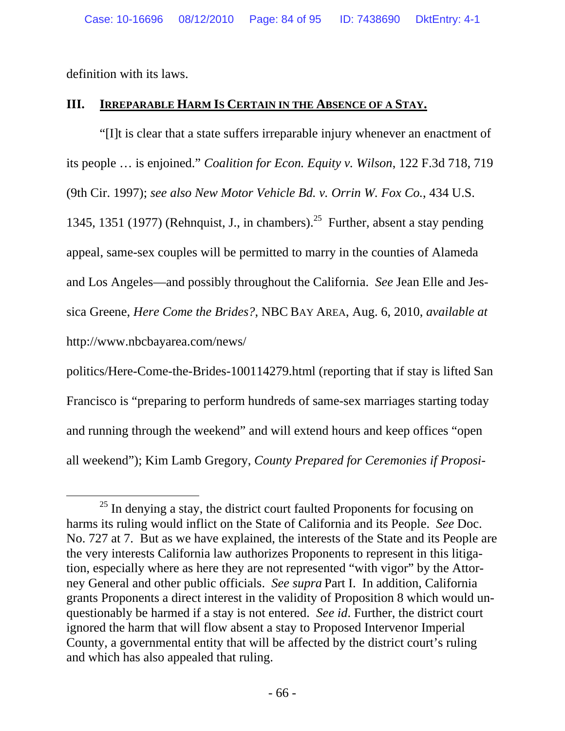definition with its laws.

### **III. IRREPARABLE HARM IS CERTAIN IN THE ABSENCE OF A STAY.**

 "[I]t is clear that a state suffers irreparable injury whenever an enactment of its people … is enjoined." *Coalition for Econ. Equity v. Wilson*, 122 F.3d 718, 719 (9th Cir. 1997); *see also New Motor Vehicle Bd. v. Orrin W. Fox Co.*, 434 U.S. 1345, 1351 (1977) (Rehnquist, J., in chambers).<sup>25</sup> Further, absent a stay pending appeal, same-sex couples will be permitted to marry in the counties of Alameda and Los Angeles—and possibly throughout the California. *See* Jean Elle and Jessica Greene, *Here Come the Brides?*, NBC BAY AREA, Aug. 6, 2010, *available at*  http://www.nbcbayarea.com/news/

politics/Here-Come-the-Brides-100114279.html (reporting that if stay is lifted San Francisco is "preparing to perform hundreds of same-sex marriages starting today and running through the weekend" and will extend hours and keep offices "open all weekend"); Kim Lamb Gregory, *County Prepared for Ceremonies if Proposi-*

 $25$  In denying a stay, the district court faulted Proponents for focusing on harms its ruling would inflict on the State of California and its People. *See* Doc. No. 727 at 7. But as we have explained, the interests of the State and its People are the very interests California law authorizes Proponents to represent in this litigation, especially where as here they are not represented "with vigor" by the Attorney General and other public officials. *See supra* Part I. In addition, California grants Proponents a direct interest in the validity of Proposition 8 which would unquestionably be harmed if a stay is not entered. *See id*. Further, the district court ignored the harm that will flow absent a stay to Proposed Intervenor Imperial County, a governmental entity that will be affected by the district court's ruling and which has also appealed that ruling.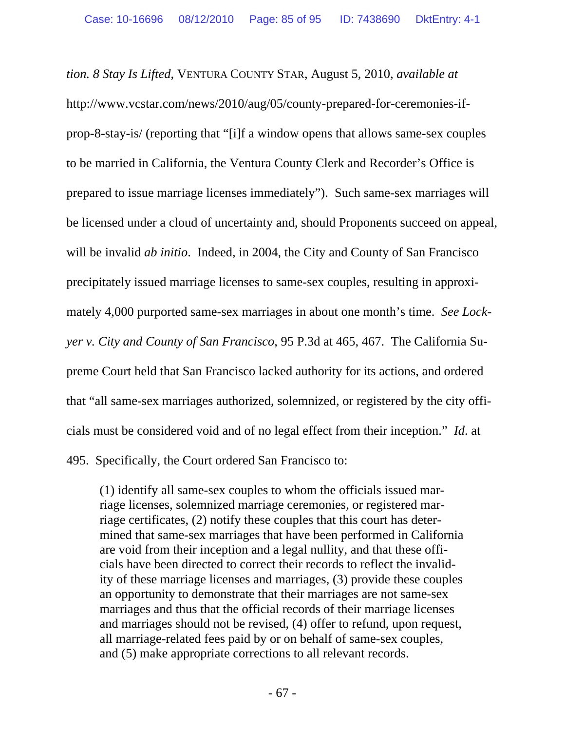*tion. 8 Stay Is Lifted*, VENTURA COUNTY STAR, August 5, 2010, *available at* http://www.vcstar.com/news/2010/aug/05/county-prepared-for-ceremonies-ifprop-8-stay-is/ (reporting that "[i]f a window opens that allows same-sex couples to be married in California, the Ventura County Clerk and Recorder's Office is prepared to issue marriage licenses immediately"). Such same-sex marriages will be licensed under a cloud of uncertainty and, should Proponents succeed on appeal, will be invalid *ab initio*. Indeed, in 2004, the City and County of San Francisco precipitately issued marriage licenses to same-sex couples, resulting in approximately 4,000 purported same-sex marriages in about one month's time. *See Lockyer v. City and County of San Francisco*, 95 P.3d at 465, 467. The California Supreme Court held that San Francisco lacked authority for its actions, and ordered that "all same-sex marriages authorized, solemnized, or registered by the city officials must be considered void and of no legal effect from their inception." *Id*. at 495. Specifically, the Court ordered San Francisco to:

(1) identify all same-sex couples to whom the officials issued marriage licenses, solemnized marriage ceremonies, or registered marriage certificates, (2) notify these couples that this court has determined that same-sex marriages that have been performed in California are void from their inception and a legal nullity, and that these officials have been directed to correct their records to reflect the invalidity of these marriage licenses and marriages, (3) provide these couples an opportunity to demonstrate that their marriages are not same-sex marriages and thus that the official records of their marriage licenses and marriages should not be revised, (4) offer to refund, upon request, all marriage-related fees paid by or on behalf of same-sex couples, and (5) make appropriate corrections to all relevant records.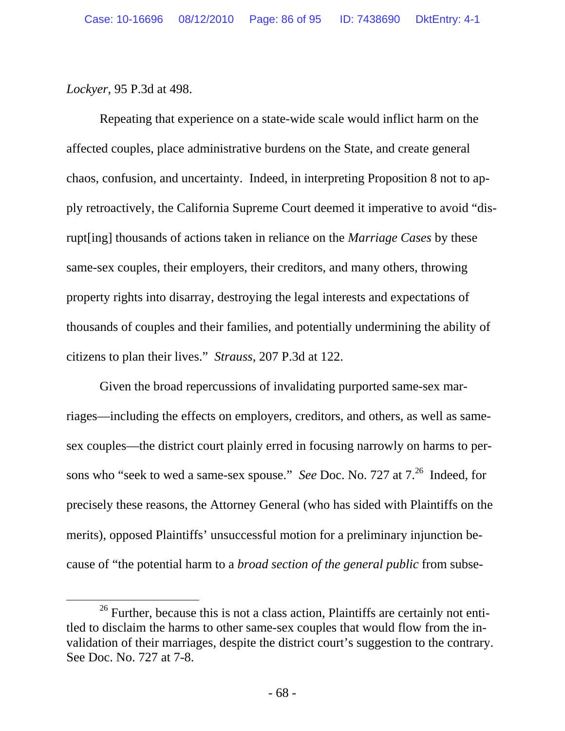*Lockyer*, 95 P.3d at 498.

 Repeating that experience on a state-wide scale would inflict harm on the affected couples, place administrative burdens on the State, and create general chaos, confusion, and uncertainty. Indeed, in interpreting Proposition 8 not to apply retroactively, the California Supreme Court deemed it imperative to avoid "disrupt[ing] thousands of actions taken in reliance on the *Marriage Cases* by these same-sex couples, their employers, their creditors, and many others, throwing property rights into disarray, destroying the legal interests and expectations of thousands of couples and their families, and potentially undermining the ability of citizens to plan their lives." *Strauss*, 207 P.3d at 122.

 Given the broad repercussions of invalidating purported same-sex marriages—including the effects on employers, creditors, and others, as well as samesex couples—the district court plainly erred in focusing narrowly on harms to persons who "seek to wed a same-sex spouse." *See* Doc. No. 727 at 7.<sup>26</sup> Indeed, for precisely these reasons, the Attorney General (who has sided with Plaintiffs on the merits), opposed Plaintiffs' unsuccessful motion for a preliminary injunction because of "the potential harm to a *broad section of the general public* from subse-

 $26$  Further, because this is not a class action, Plaintiffs are certainly not entitled to disclaim the harms to other same-sex couples that would flow from the invalidation of their marriages, despite the district court's suggestion to the contrary. See Doc. No. 727 at 7-8.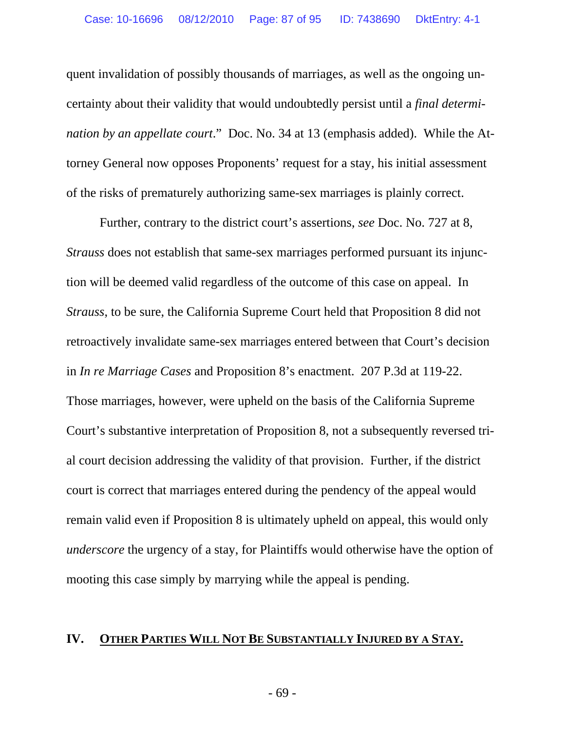quent invalidation of possibly thousands of marriages, as well as the ongoing uncertainty about their validity that would undoubtedly persist until a *final determination by an appellate court*." Doc. No. 34 at 13 (emphasis added). While the Attorney General now opposes Proponents' request for a stay, his initial assessment of the risks of prematurely authorizing same-sex marriages is plainly correct.

 Further, contrary to the district court's assertions, *see* Doc. No. 727 at 8, *Strauss* does not establish that same-sex marriages performed pursuant its injunction will be deemed valid regardless of the outcome of this case on appeal. In *Strauss*, to be sure, the California Supreme Court held that Proposition 8 did not retroactively invalidate same-sex marriages entered between that Court's decision in *In re Marriage Cases* and Proposition 8's enactment. 207 P.3d at 119-22. Those marriages, however, were upheld on the basis of the California Supreme Court's substantive interpretation of Proposition 8, not a subsequently reversed trial court decision addressing the validity of that provision. Further, if the district court is correct that marriages entered during the pendency of the appeal would remain valid even if Proposition 8 is ultimately upheld on appeal, this would only *underscore* the urgency of a stay, for Plaintiffs would otherwise have the option of mooting this case simply by marrying while the appeal is pending.

#### **IV. OTHER PARTIES WILL NOT BE SUBSTANTIALLY INJURED BY A STAY.**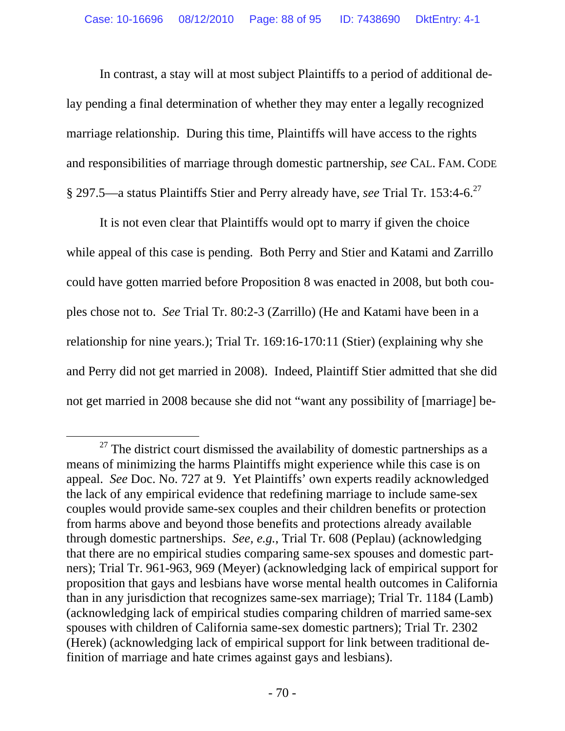In contrast, a stay will at most subject Plaintiffs to a period of additional delay pending a final determination of whether they may enter a legally recognized marriage relationship. During this time, Plaintiffs will have access to the rights and responsibilities of marriage through domestic partnership, *see* CAL. FAM. CODE § 297.5—a status Plaintiffs Stier and Perry already have, *see* Trial Tr. 153:4-6.27

 It is not even clear that Plaintiffs would opt to marry if given the choice while appeal of this case is pending. Both Perry and Stier and Katami and Zarrillo could have gotten married before Proposition 8 was enacted in 2008, but both couples chose not to. *See* Trial Tr. 80:2-3 (Zarrillo) (He and Katami have been in a relationship for nine years.); Trial Tr. 169:16-170:11 (Stier) (explaining why she and Perry did not get married in 2008). Indeed, Plaintiff Stier admitted that she did not get married in 2008 because she did not "want any possibility of [marriage] be-

 $27$  The district court dismissed the availability of domestic partnerships as a means of minimizing the harms Plaintiffs might experience while this case is on appeal. *See* Doc. No. 727 at 9. Yet Plaintiffs' own experts readily acknowledged the lack of any empirical evidence that redefining marriage to include same-sex couples would provide same-sex couples and their children benefits or protection from harms above and beyond those benefits and protections already available through domestic partnerships. *See, e.g.*, Trial Tr. 608 (Peplau) (acknowledging that there are no empirical studies comparing same-sex spouses and domestic partners); Trial Tr. 961-963, 969 (Meyer) (acknowledging lack of empirical support for proposition that gays and lesbians have worse mental health outcomes in California than in any jurisdiction that recognizes same-sex marriage); Trial Tr. 1184 (Lamb) (acknowledging lack of empirical studies comparing children of married same-sex spouses with children of California same-sex domestic partners); Trial Tr. 2302 (Herek) (acknowledging lack of empirical support for link between traditional definition of marriage and hate crimes against gays and lesbians).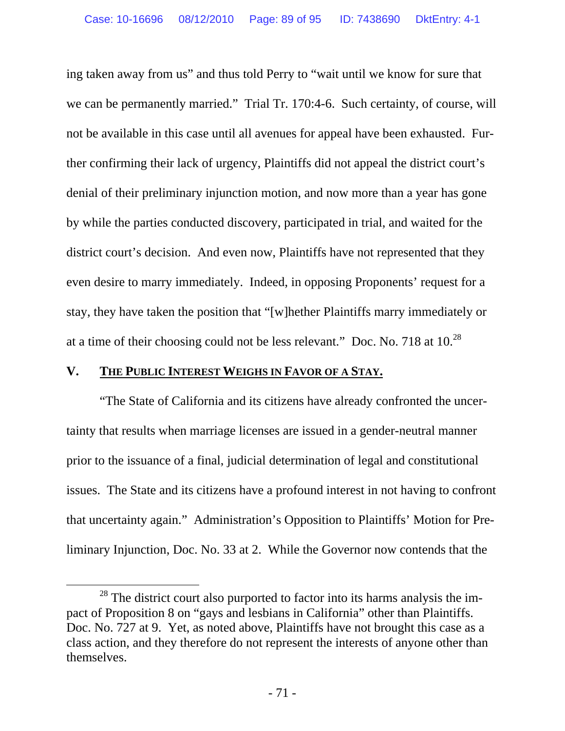ing taken away from us" and thus told Perry to "wait until we know for sure that we can be permanently married." Trial Tr. 170:4-6. Such certainty, of course, will not be available in this case until all avenues for appeal have been exhausted. Further confirming their lack of urgency, Plaintiffs did not appeal the district court's denial of their preliminary injunction motion, and now more than a year has gone by while the parties conducted discovery, participated in trial, and waited for the district court's decision. And even now, Plaintiffs have not represented that they even desire to marry immediately. Indeed, in opposing Proponents' request for a stay, they have taken the position that "[w]hether Plaintiffs marry immediately or at a time of their choosing could not be less relevant." Doc. No. 718 at  $10^{28}$ 

### **V. THE PUBLIC INTEREST WEIGHS IN FAVOR OF A STAY.**

 "The State of California and its citizens have already confronted the uncertainty that results when marriage licenses are issued in a gender-neutral manner prior to the issuance of a final, judicial determination of legal and constitutional issues. The State and its citizens have a profound interest in not having to confront that uncertainty again." Administration's Opposition to Plaintiffs' Motion for Preliminary Injunction, Doc. No. 33 at 2. While the Governor now contends that the

 $28$  The district court also purported to factor into its harms analysis the impact of Proposition 8 on "gays and lesbians in California" other than Plaintiffs. Doc. No. 727 at 9. Yet, as noted above, Plaintiffs have not brought this case as a class action, and they therefore do not represent the interests of anyone other than themselves.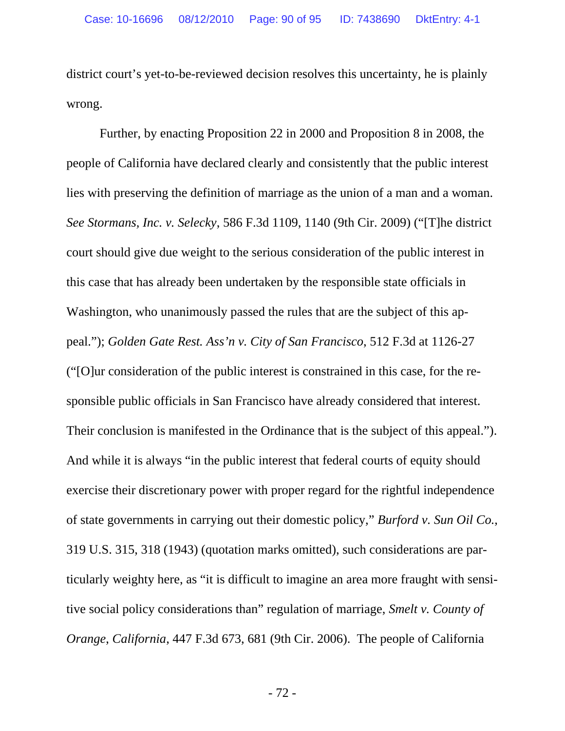district court's yet-to-be-reviewed decision resolves this uncertainty, he is plainly wrong.

 Further, by enacting Proposition 22 in 2000 and Proposition 8 in 2008, the people of California have declared clearly and consistently that the public interest lies with preserving the definition of marriage as the union of a man and a woman. *See Stormans, Inc. v. Selecky*, 586 F.3d 1109, 1140 (9th Cir. 2009) ("[T]he district court should give due weight to the serious consideration of the public interest in this case that has already been undertaken by the responsible state officials in Washington, who unanimously passed the rules that are the subject of this appeal."); *Golden Gate Rest. Ass'n v. City of San Francisco*, 512 F.3d at 1126-27 ("[O]ur consideration of the public interest is constrained in this case, for the responsible public officials in San Francisco have already considered that interest. Their conclusion is manifested in the Ordinance that is the subject of this appeal."). And while it is always "in the public interest that federal courts of equity should exercise their discretionary power with proper regard for the rightful independence of state governments in carrying out their domestic policy," *Burford v. Sun Oil Co.*, 319 U.S. 315, 318 (1943) (quotation marks omitted), such considerations are particularly weighty here, as "it is difficult to imagine an area more fraught with sensitive social policy considerations than" regulation of marriage, *Smelt v. County of Orange*, *California*, 447 F.3d 673, 681 (9th Cir. 2006). The people of California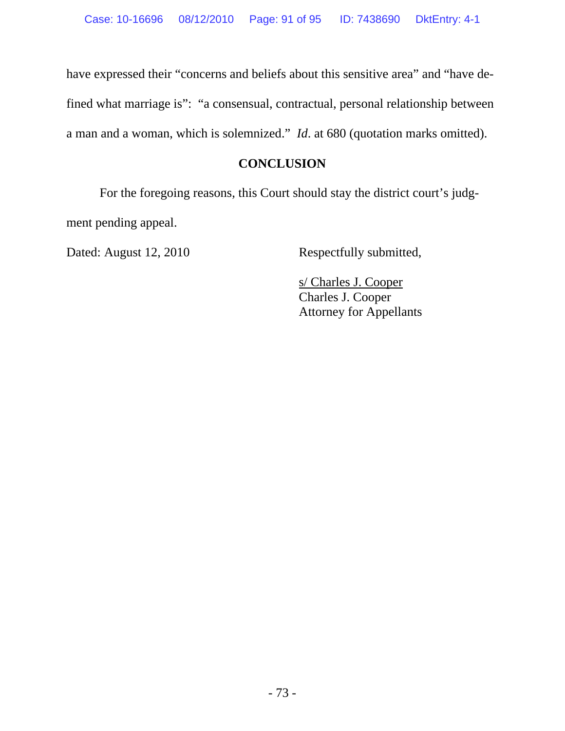have expressed their "concerns and beliefs about this sensitive area" and "have defined what marriage is": "a consensual, contractual, personal relationship between a man and a woman, which is solemnized." *Id*. at 680 (quotation marks omitted).

# **CONCLUSION**

 For the foregoing reasons, this Court should stay the district court's judgment pending appeal.

Dated: August 12, 2010 Respectfully submitted,

 s/ Charles J. Cooper Charles J. Cooper Attorney for Appellants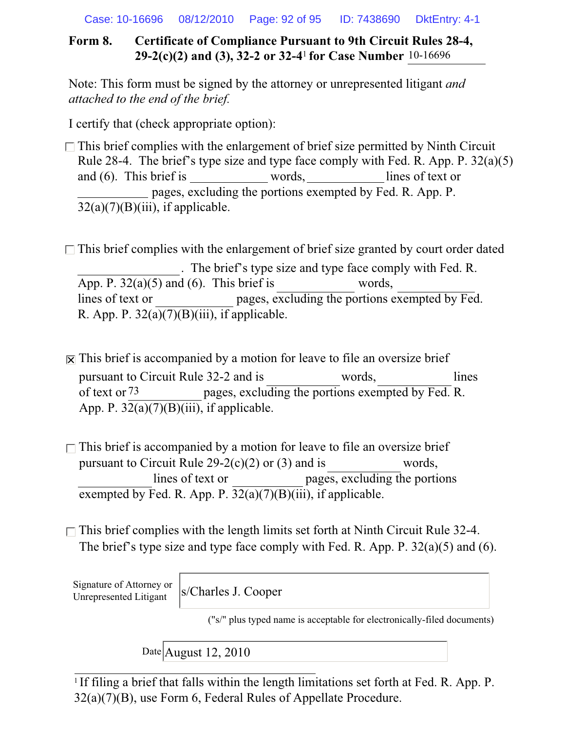Case: 10-16696 08/12/2010 Page: 92 of 95 ID: 7438690 DktEntry: 4-1

# **Form 8. Certificate of Compliance Pursuant to 9th Circuit Rules 28-4, 29-2(c)(2) and (3), 32-2 or 32-4**<sup>1</sup> **for Case Number** 10-16696

Note: This form must be signed by the attorney or unrepresented litigant *and attached to the end of the brief.*

I certify that (check appropriate option):

 $\Box$  This brief complies with the enlargement of brief size permitted by Ninth Circuit Rule 28-4. The brief's type size and type face comply with Fed. R. App. P. 32(a)(5) and (6). This brief is words, lines of text or pages, excluding the portions exempted by Fed. R. App. P.  $32(a)(7)(B)(iii)$ , if applicable.

 $\Box$  This brief complies with the enlargement of brief size granted by court order dated . The brief's type size and type face comply with Fed. R. App. P.  $32(a)(5)$  and (6). This brief is words, lines of text or pages, excluding the portions exempted by Fed. R. App. P.  $32(a)(7)(B)(iii)$ , if applicable.

 $\overline{R}$  This brief is accompanied by a motion for leave to file an oversize brief pursuant to Circuit Rule 32-2 and is words, lines pages, excluding the portions exempted by Fed. R. App. P.  $32(a)(7)(B)(iii)$ , if applicable. of text or 73

 $\Box$  This brief is accompanied by a motion for leave to file an oversize brief pursuant to Circuit Rule  $29-2(c)(2)$  or (3) and is words, lines of text or pages, excluding the portions exempted by Fed. R. App. P.  $32(a)(7)(B)(iii)$ , if applicable.

 $\Box$  This brief complies with the length limits set forth at Ninth Circuit Rule 32-4. The brief's type size and type face comply with Fed. R. App. P. 32(a)(5) and (6).

Signature of Attorney or Unrepresented Litigant

s/Charles J. Cooper

("s/" plus typed name is acceptable for electronically-filed documents)

Date August 12, 2010

<sup>1</sup> If filing a brief that falls within the length limitations set forth at Fed. R. App. P. 32(a)(7)(B), use Form 6, Federal Rules of Appellate Procedure.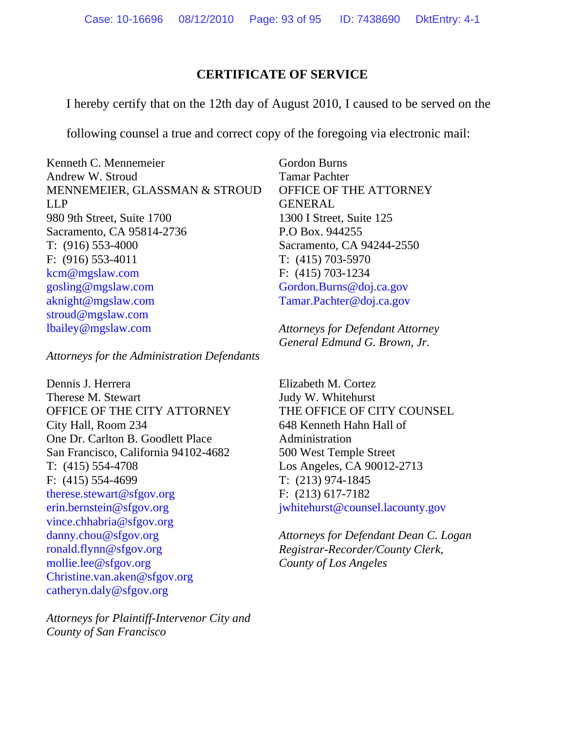### **CERTIFICATE OF SERVICE**

I hereby certify that on the 12th day of August 2010, I caused to be served on the

following counsel a true and correct copy of the foregoing via electronic mail:

Kenneth C. Mennemeier Andrew W. Stroud MENNEMEIER, GLASSMAN & STROUD LLP 980 9th Street, Suite 1700 Sacramento, CA 95814-2736 T: (916) 553-4000 F: (916) 553-4011 kcm@mgslaw.com gosling@mgslaw.com aknight@mgslaw.com stroud@mgslaw.com lbailey@mgslaw.com

*Attorneys for the Administration Defendants*

Dennis J. Herrera Therese M. Stewart OFFICE OF THE CITY ATTORNEY City Hall, Room 234 One Dr. Carlton B. Goodlett Place San Francisco, California 94102-4682 T: (415) 554-4708 F: (415) 554-4699 therese.stewart@sfgov.org erin.bernstein@sfgov.org vince.chhabria@sfgov.org danny.chou@sfgov.org ronald.flynn@sfgov.org mollie.lee@sfgov.org Christine.van.aken@sfgov.org catheryn.daly@sfgov.org

*Attorneys for Plaintiff-Intervenor City and County of San Francisco*

Gordon Burns Tamar Pachter OFFICE OF THE ATTORNEY GENERAL 1300 I Street, Suite 125 P.O Box. 944255 Sacramento, CA 94244-2550 T: (415) 703-5970 F: (415) 703-1234 Gordon.Burns@doj.ca.gov Tamar.Pachter@doj.ca.gov

*Attorneys for Defendant Attorney General Edmund G. Brown, Jr.* 

Elizabeth M. Cortez Judy W. Whitehurst THE OFFICE OF CITY COUNSEL 648 Kenneth Hahn Hall of Administration 500 West Temple Street Los Angeles, CA 90012-2713 T: (213) 974-1845 F: (213) 617-7182 jwhitehurst@counsel.lacounty.gov

*Attorneys for Defendant Dean C. Logan Registrar-Recorder/County Clerk, County of Los Angeles*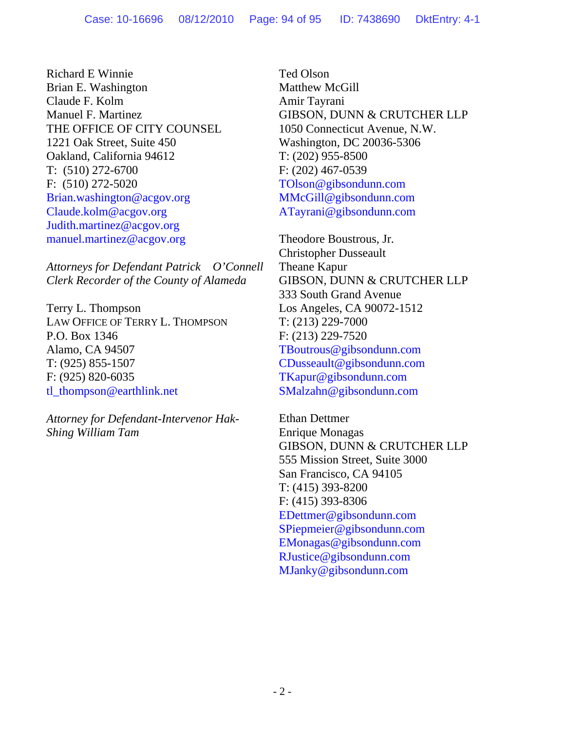Richard E Winnie Brian E. Washington Claude F. Kolm Manuel F. Martinez THE OFFICE OF CITY COUNSEL 1221 Oak Street, Suite 450 Oakland, California 94612 T: (510) 272-6700 F: (510) 272-5020 Brian.washington@acgov.org Claude.kolm@acgov.org Judith.martinez@acgov.org manuel.martinez@acgov.org

*Attorneys for Defendant Patrick O'Connell Clerk Recorder of the County of Alameda* 

Terry L. Thompson LAW OFFICE OF TERRY L. THOMPSON P.O. Box 1346 Alamo, CA 94507 T: (925) 855-1507 F: (925) 820-6035 tl\_thompson@earthlink.net

*Attorney for Defendant-Intervenor Hak-Shing William Tam* 

Ted Olson Matthew McGill Amir Tayrani GIBSON, DUNN & CRUTCHER LLP 1050 Connecticut Avenue, N.W. Washington, DC 20036-5306 T: (202) 955-8500 F: (202) 467-0539 TOlson@gibsondunn.com MMcGill@gibsondunn.com ATayrani@gibsondunn.com

Theodore Boustrous, Jr. Christopher Dusseault Theane Kapur GIBSON, DUNN & CRUTCHER LLP 333 South Grand Avenue Los Angeles, CA 90072-1512 T: (213) 229-7000 F: (213) 229-7520 TBoutrous@gibsondunn.com CDusseault@gibsondunn.com TKapur@gibsondunn.com SMalzahn@gibsondunn.com

Ethan Dettmer Enrique Monagas GIBSON, DUNN & CRUTCHER LLP 555 Mission Street, Suite 3000 San Francisco, CA 94105 T: (415) 393-8200 F: (415) 393-8306 EDettmer@gibsondunn.com SPiepmeier@gibsondunn.com EMonagas@gibsondunn.com RJustice@gibsondunn.com MJanky@gibsondunn.com